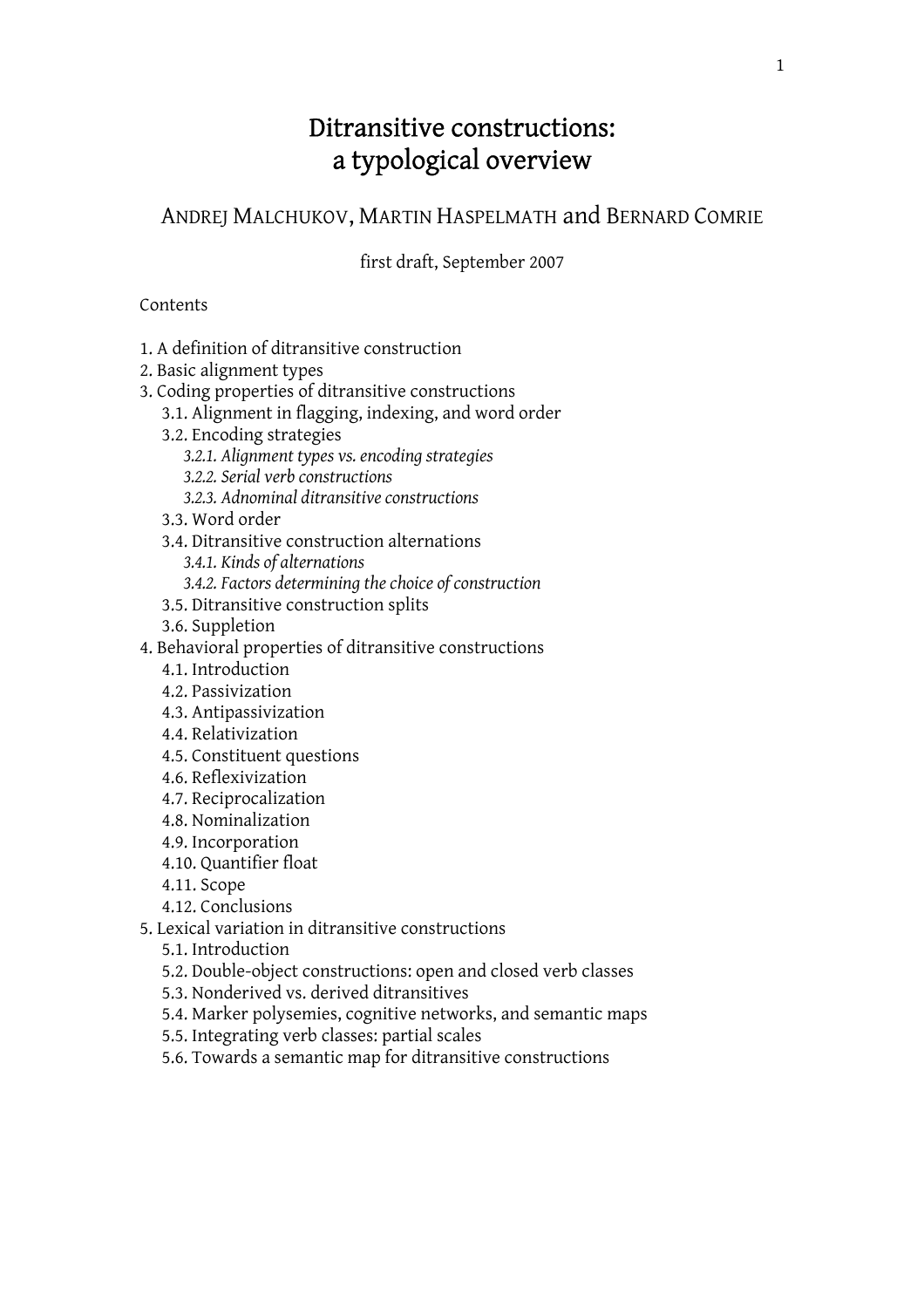# Ditransitive constructions: a typological overview

ANDREJ MALCHUKOV, MARTIN HASPELMATH and BERNARD COMRIE

first draft, September 2007

### Contents

- 1. A definition of ditransitive construction
- 2. Basic alignment types
- 3. Coding properties of ditransitive constructions
	- 3.1. Alignment in flagging, indexing, and word order
	- 3.2. Encoding strategies
		- *3.2.1. Alignment types vs. encoding strategies*
		- *3.2.2. Serial verb constructions*
		- *3.2.3. Adnominal ditransitive constructions*
	- 3.3. Word order
	- 3.4. Ditransitive construction alternations
		- *3.4.1. Kinds of alternations*
		- *3.4.2. Factors determining the choice of construction*
	- 3.5. Ditransitive construction splits
	- 3.6. Suppletion
- 4. Behavioral properties of ditransitive constructions
	- 4.1. Introduction
	- 4.2. Passivization
	- 4.3. Antipassivization
	- 4.4. Relativization
	- 4.5. Constituent questions
	- 4.6. Reflexivization
	- 4.7. Reciprocalization
	- 4.8. Nominalization
	- 4.9. Incorporation
	- 4.10. Quantifier float
	- 4.11. Scope
	- 4.12. Conclusions
- 5. Lexical variation in ditransitive constructions
	- 5.1. Introduction
	- 5.2. Double-object constructions: open and closed verb classes
	- 5.3. Nonderived vs. derived ditransitives
	- 5.4. Marker polysemies, cognitive networks, and semantic maps
	- 5.5. Integrating verb classes: partial scales
	- 5.6. Towards a semantic map for ditransitive constructions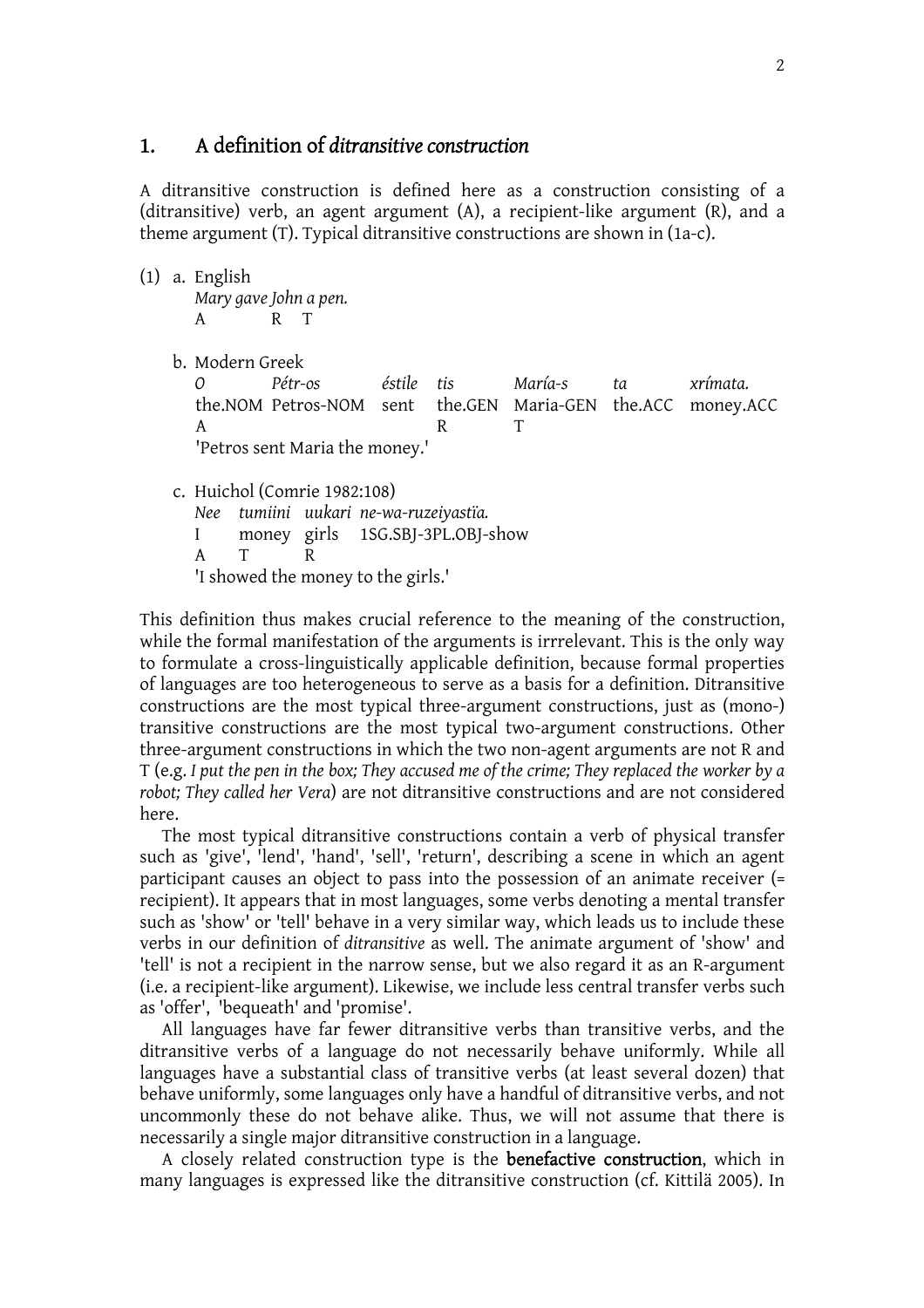# 1. A definition of *ditransitive construction*

A ditransitive construction is defined here as a construction consisting of a (ditransitive) verb, an agent argument (A), a recipient-like argument (R), and a theme argument (T). Typical ditransitive constructions are shown in (1a-c).

(1) a. English

*Mary gave John a pen.*  A R T

b. Modern Greek

*O Pétr-os éstile tis María-s ta xrímata.*  the.NOM Petros-NOM sent the.GEN Maria-GEN the.ACC money.ACC A R T 'Petros sent Maria the money.'

- c. Huichol (Comrie 1982:108)
- *Nee tumiini uukari ne-wa-ruzeiyastïa.*  I money girls 1SG.SBJ-3PL.OBJ-show A T R 'I showed the money to the girls.'

This definition thus makes crucial reference to the meaning of the construction, while the formal manifestation of the arguments is irrrelevant. This is the only way to formulate a cross-linguistically applicable definition, because formal properties of languages are too heterogeneous to serve as a basis for a definition. Ditransitive constructions are the most typical three-argument constructions, just as (mono-) transitive constructions are the most typical two-argument constructions. Other three-argument constructions in which the two non-agent arguments are not R and T (e.g. *I put the pen in the box; They accused me of the crime; They replaced the worker by a robot; They called her Vera*) are not ditransitive constructions and are not considered here.

 The most typical ditransitive constructions contain a verb of physical transfer such as 'give', 'lend', 'hand', 'sell', 'return', describing a scene in which an agent participant causes an object to pass into the possession of an animate receiver (= recipient). It appears that in most languages, some verbs denoting a mental transfer such as 'show' or 'tell' behave in a very similar way, which leads us to include these verbs in our definition of *ditransitive* as well. The animate argument of 'show' and 'tell' is not a recipient in the narrow sense, but we also regard it as an R-argument (i.e. a recipient-like argument). Likewise, we include less central transfer verbs such as 'offer', 'bequeath' and 'promise'.

 All languages have far fewer ditransitive verbs than transitive verbs, and the ditransitive verbs of a language do not necessarily behave uniformly. While all languages have a substantial class of transitive verbs (at least several dozen) that behave uniformly, some languages only have a handful of ditransitive verbs, and not uncommonly these do not behave alike. Thus, we will not assume that there is necessarily a single major ditransitive construction in a language.

 A closely related construction type is the benefactive construction, which in many languages is expressed like the ditransitive construction (cf. Kittilä 2005). In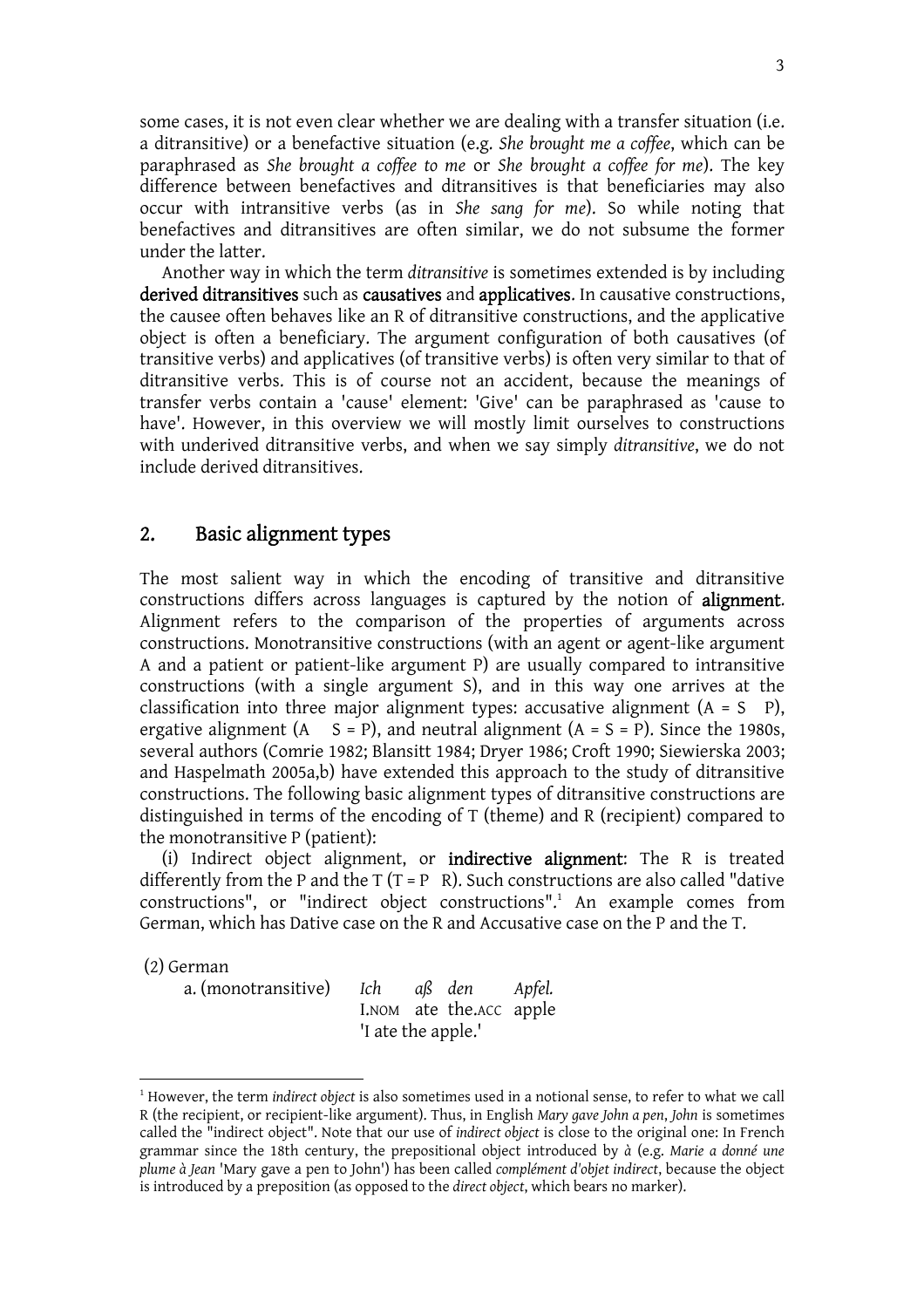some cases, it is not even clear whether we are dealing with a transfer situation (i.e. a ditransitive) or a benefactive situation (e.g. *She brought me a coffee*, which can be paraphrased as *She brought a coffee to me* or *She brought a coffee for me*). The key difference between benefactives and ditransitives is that beneficiaries may also occur with intransitive verbs (as in *She sang for me*). So while noting that benefactives and ditransitives are often similar, we do not subsume the former under the latter.

 Another way in which the term *ditransitive* is sometimes extended is by including derived ditransitives such as causatives and applicatives. In causative constructions, the causee often behaves like an R of ditransitive constructions, and the applicative object is often a beneficiary. The argument configuration of both causatives (of transitive verbs) and applicatives (of transitive verbs) is often very similar to that of ditransitive verbs. This is of course not an accident, because the meanings of transfer verbs contain a 'cause' element: 'Give' can be paraphrased as 'cause to have'. However, in this overview we will mostly limit ourselves to constructions with underived ditransitive verbs, and when we say simply *ditransitive*, we do not include derived ditransitives.

### 2. Basic alignment types

The most salient way in which the encoding of transitive and ditransitive constructions differs across languages is captured by the notion of alignment. Alignment refers to the comparison of the properties of arguments across constructions. Monotransitive constructions (with an agent or agent-like argument A and a patient or patient-like argument P) are usually compared to intransitive constructions (with a single argument S), and in this way one arrives at the classification into three major alignment types: accusative alignment  $(A = S \ P)$ , ergative alignment  $(A \t S = P)$ , and neutral alignment  $(A = S = P)$ . Since the 1980s, several authors (Comrie 1982; Blansitt 1984; Dryer 1986; Croft 1990; Siewierska 2003; and Haspelmath 2005a,b) have extended this approach to the study of ditransitive constructions. The following basic alignment types of ditransitive constructions are distinguished in terms of the encoding of T (theme) and R (recipient) compared to the monotransitive P (patient):

 (i) Indirect object alignment, or indirective alignment: The R is treated differently from the P and the T ( $T = P$  R). Such constructions are also called "dative constructions", or "indirect object constructions".<sup>1</sup> An example comes from German, which has Dative case on the R and Accusative case on the P and the T.

(2) German

a. (monotransitive) *Ich aß den Apfel.* I.NOM ate the.ACC apple 'I ate the apple.'

<sup>1</sup> However, the term *indirect object* is also sometimes used in a notional sense, to refer to what we call R (the recipient, or recipient-like argument). Thus, in English *Mary gave John a pen*, *John* is sometimes called the "indirect object". Note that our use of *indirect object* is close to the original one: In French grammar since the 18th century, the prepositional object introduced by *à* (e.g. *Marie a donné une plume à Jean* 'Mary gave a pen to John') has been called *complément d'objet indirect*, because the object is introduced by a preposition (as opposed to the *direct object*, which bears no marker).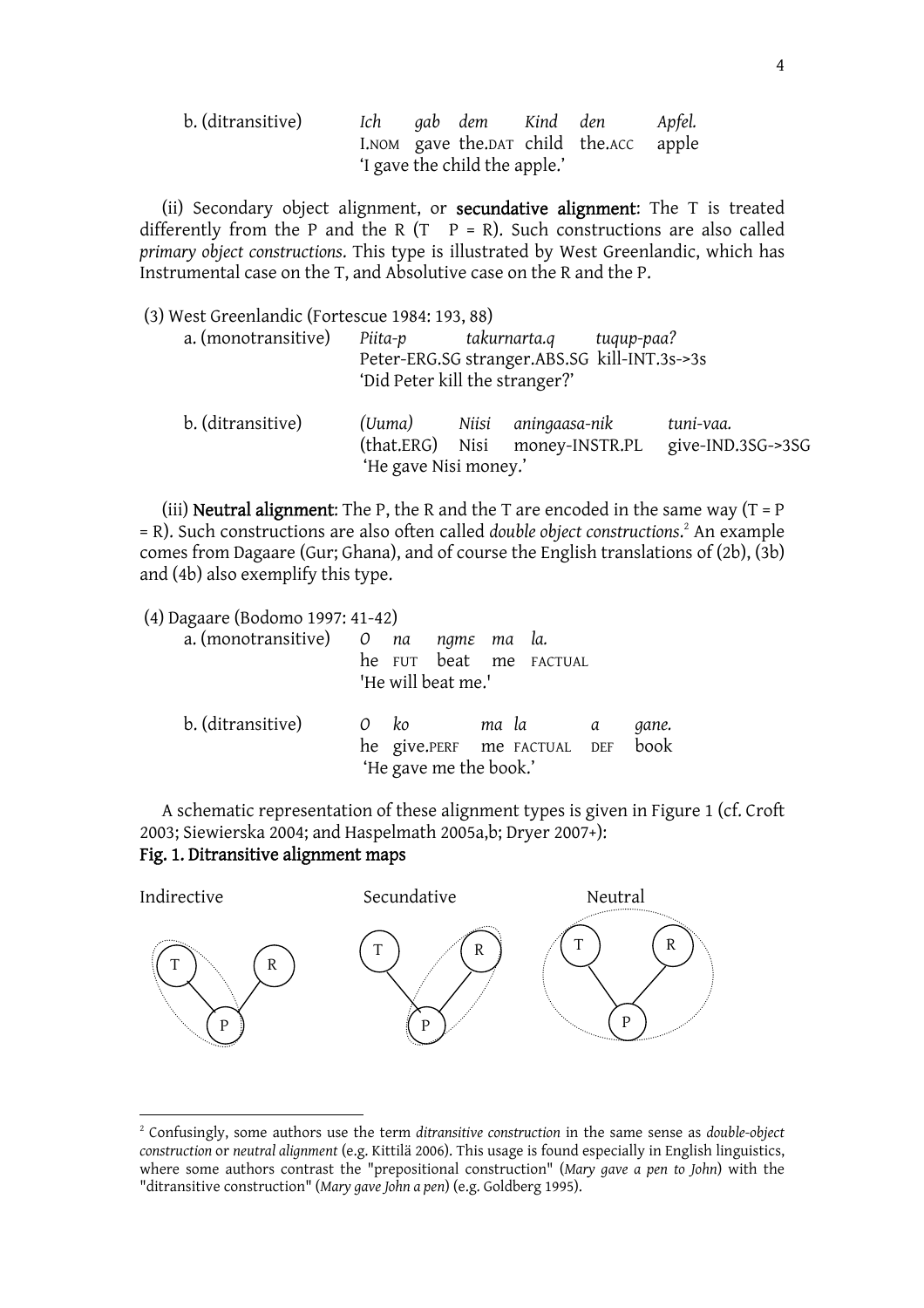| b. (ditransitive) | Ich | gab dem Kind den              |                                        | Apfel. |
|-------------------|-----|-------------------------------|----------------------------------------|--------|
|                   |     |                               | I.NOM gave the.DAT child the.ACC apple |        |
|                   |     | 'I gave the child the apple.' |                                        |        |

(ii) Secondary object alignment, or secundative alignment: The T is treated differently from the P and the R (T  $P = R$ ). Such constructions are also called *primary object constructions*. This type is illustrated by West Greenlandic, which has Instrumental case on the T, and Absolutive case on the R and the P.

| (3) West Greenlandic (Fortescue 1984: 193, 88) |                                 |                                                       |            |                                |  |
|------------------------------------------------|---------------------------------|-------------------------------------------------------|------------|--------------------------------|--|
| a. (monotransitive)                            | Piita-p                         | takurnarta.q                                          | tuqup-paa? |                                |  |
|                                                | 'Did Peter kill the stranger?'  | Peter-ERG.SG stranger.ABS.SG kill-INT.3s->3s          |            |                                |  |
| b. (ditransitive)                              | (Uuma)<br>'He gave Nisi money.' | Niisi aningaasa-nik<br>(that.ERG) Nisi money-INSTR.PL |            | tuni-vaa.<br>give-IND.3SG->3SG |  |

(iii) **Neutral alignment:** The P, the R and the T are encoded in the same way  $(T = P)$ = R). Such constructions are also often called *double object constructions*. <sup>2</sup> An example comes from Dagaare (Gur; Ghana), and of course the English translations of (2b), (3b) and (4b) also exemplify this type.

(4) Dagaare (Bodomo 1997: 41-42)

| a. (monotransitive) 0 na ngme ma la. | he FUT beat me FACTUAL<br>'He will beat me.'                              |  |       |
|--------------------------------------|---------------------------------------------------------------------------|--|-------|
| b. (ditransitive)                    | 0 ko mala a<br>he give.PERF me FACTUAL DEF book<br>'He gave me the book.' |  | gane. |

A schematic representation of these alignment types is given in Figure 1 (cf. Croft 2003; Siewierska 2004; and Haspelmath 2005a,b; Dryer 2007+):

### Fig. 1. Ditransitive alignment maps



<sup>2</sup> Confusingly, some authors use the term *ditransitive construction* in the same sense as *double-object construction* or *neutral alignment* (e.g. Kittilä 2006). This usage is found especially in English linguistics, where some authors contrast the "prepositional construction" (*Mary gave a pen to John*) with the "ditransitive construction" (*Mary gave John a pen*) (e.g. Goldberg 1995).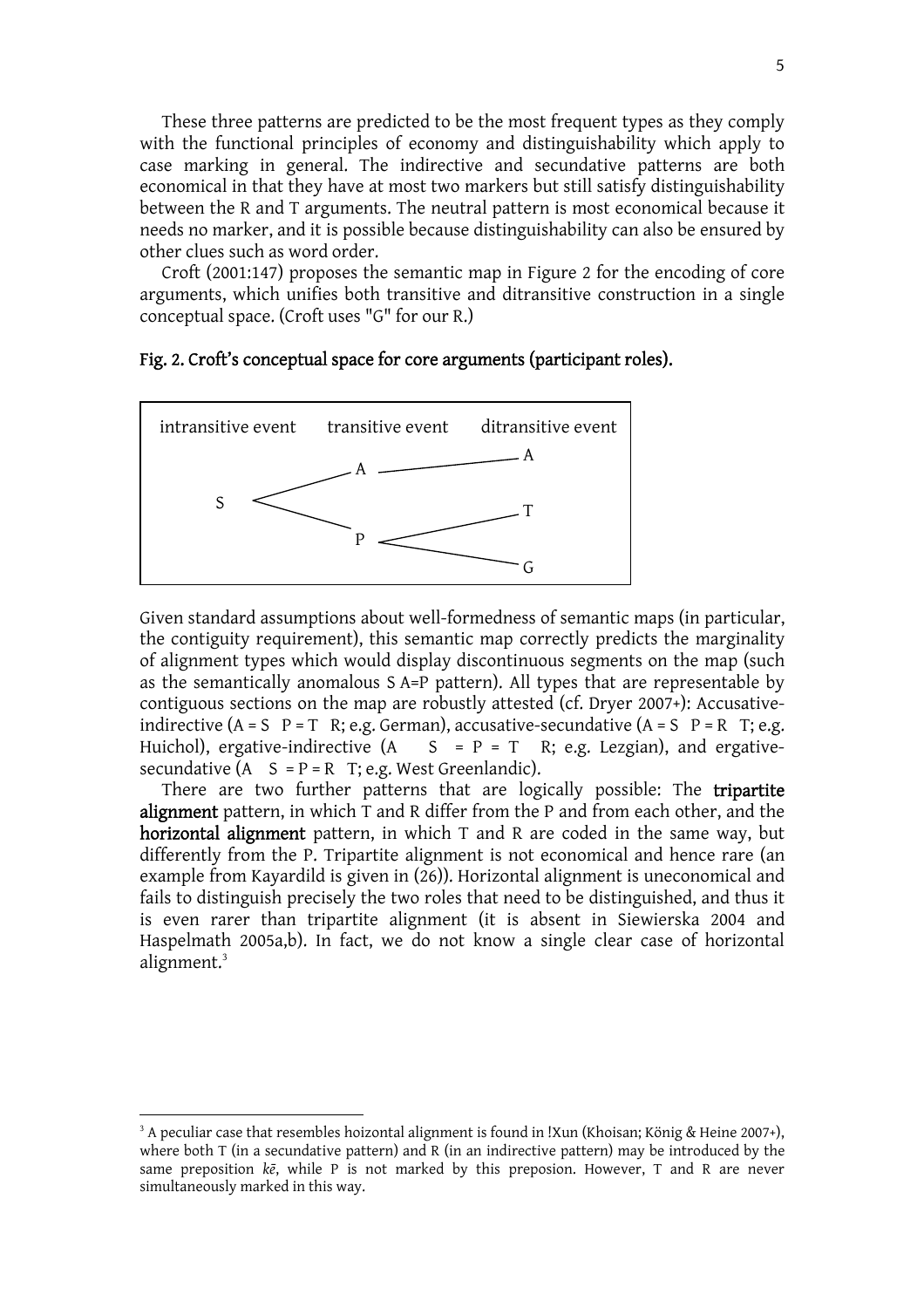These three patterns are predicted to be the most frequent types as they comply with the functional principles of economy and distinguishability which apply to case marking in general. The indirective and secundative patterns are both economical in that they have at most two markers but still satisfy distinguishability between the R and T arguments. The neutral pattern is most economical because it needs no marker, and it is possible because distinguishability can also be ensured by other clues such as word order.

 Croft (2001:147) proposes the semantic map in Figure 2 for the encoding of core arguments, which unifies both transitive and ditransitive construction in a single conceptual space. (Croft uses "G" for our R.)

#### Fig. 2. Croft's conceptual space for core arguments (participant roles).



Given standard assumptions about well-formedness of semantic maps (in particular, the contiguity requirement), this semantic map correctly predicts the marginality of alignment types which would display discontinuous segments on the map (such as the semantically anomalous SA=P pattern). All types that are representable by contiguous sections on the map are robustly attested (cf. Dryer 2007+): Accusativeindirective  $(A = S \ P = T \ R$ ; e.g. German), accusative-secundative  $(A = S \ P = R \ T)$ ; e.g. Huichol), ergative-indirective  $(A \ S = P = T \ R$ ; e.g. Lezgian), and ergativesecundative  $(A \ S = P = R \ T; e.g. West Greenlandic).$ 

There are two further patterns that are logically possible: The **tripartite** alignment pattern, in which T and R differ from the P and from each other, and the horizontal alignment pattern, in which T and R are coded in the same way, but differently from the P. Tripartite alignment is not economical and hence rare (an example from Kayardild is given in (26)). Horizontal alignment is uneconomical and fails to distinguish precisely the two roles that need to be distinguished, and thus it is even rarer than tripartite alignment (it is absent in Siewierska 2004 and Haspelmath 2005a,b). In fact, we do not know a single clear case of horizontal alignment.<sup>3</sup>

 $3$  A peculiar case that resembles hoizontal alignment is found in !Xun (Khoisan; König & Heine 2007+), where both T (in a secundative pattern) and R (in an indirective pattern) may be introduced by the same preposition *k:*, while P is not marked by this preposion. However, T and R are never simultaneously marked in this way.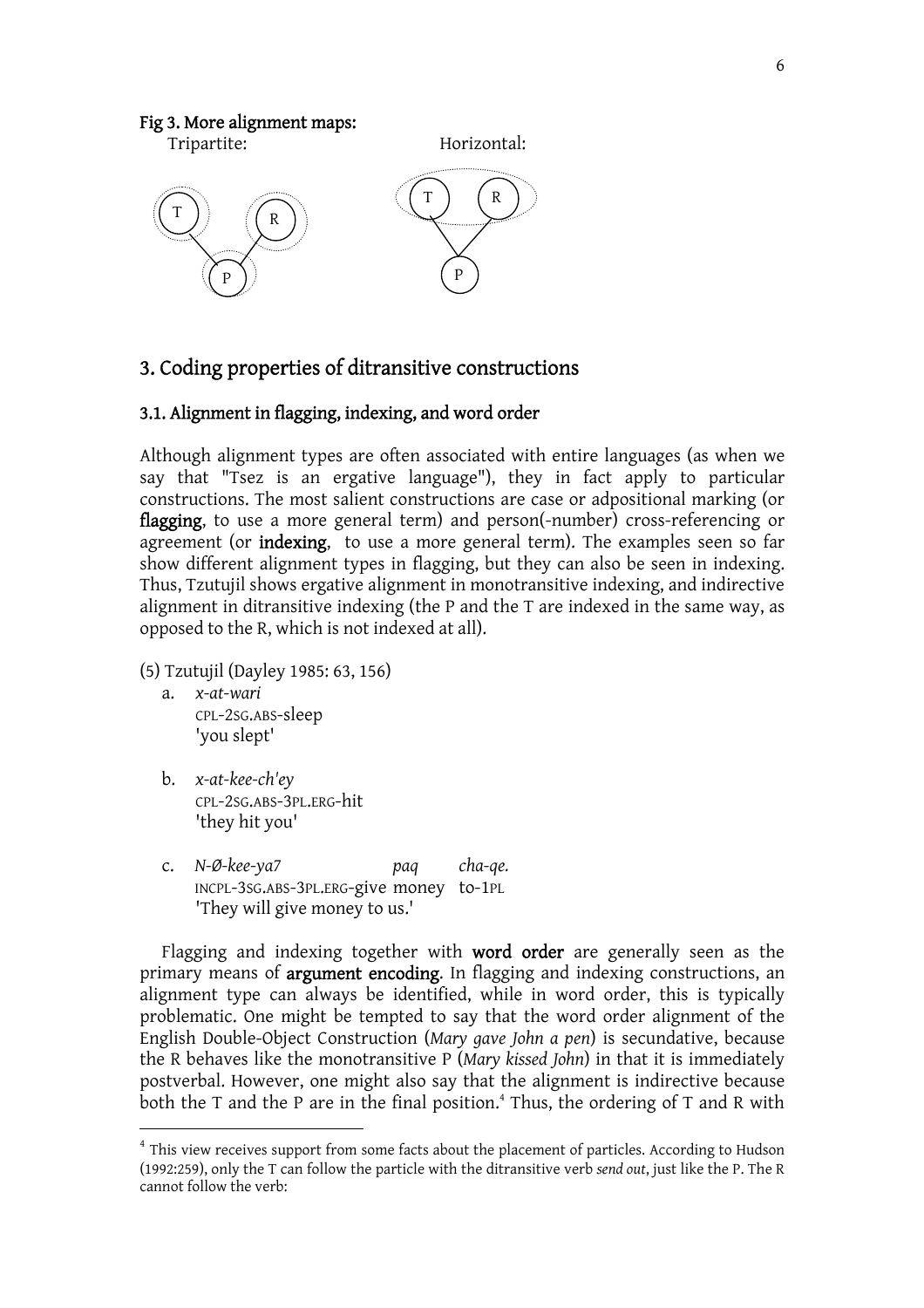### Fig 3. More alignment maps:



# 3. Coding properties of ditransitive constructions

### 3.1. Alignment in flagging, indexing, and word order

Although alignment types are often associated with entire languages (as when we say that "Tsez is an ergative language"), they in fact apply to particular constructions. The most salient constructions are case or adpositional marking (or flagging, to use a more general term) and person(-number) cross-referencing or agreement (or indexing, to use a more general term). The examples seen so far show different alignment types in flagging, but they can also be seen in indexing. Thus, Tzutujil shows ergative alignment in monotransitive indexing, and indirective alignment in ditransitive indexing (the P and the T are indexed in the same way, as opposed to the R, which is not indexed at all).

- (5) Tzutujil (Dayley 1985: 63, 156)
	- a. *x-at-wari* CPL-2SG.ABS-sleep 'you slept'
	- b. *x-at-kee-ch'ey* CPL-2SG.ABS-3PL.ERG-hit 'they hit you'
	- c. *N-Ø-kee-ya7 paq cha-qe.* INCPL-3SG.ABS-3PL.ERG-give money to-1PL 'They will give money to us.'

Flagging and indexing together with word order are generally seen as the primary means of argument encoding. In flagging and indexing constructions, an alignment type can always be identified, while in word order, this is typically problematic. One might be tempted to say that the word order alignment of the English Double-Object Construction (*Mary gave John a pen*) is secundative, because the R behaves like the monotransitive P (*Mary kissed John*) in that it is immediately postverbal. However, one might also say that the alignment is indirective because both the T and the P are in the final position.<sup>4</sup> Thus, the ordering of T and R with

<sup>&</sup>lt;sup>4</sup> This view receives support from some facts about the placement of particles. According to Hudson (1992:259), only the T can follow the particle with the ditransitive verb *send out*, just like the P. The R cannot follow the verb: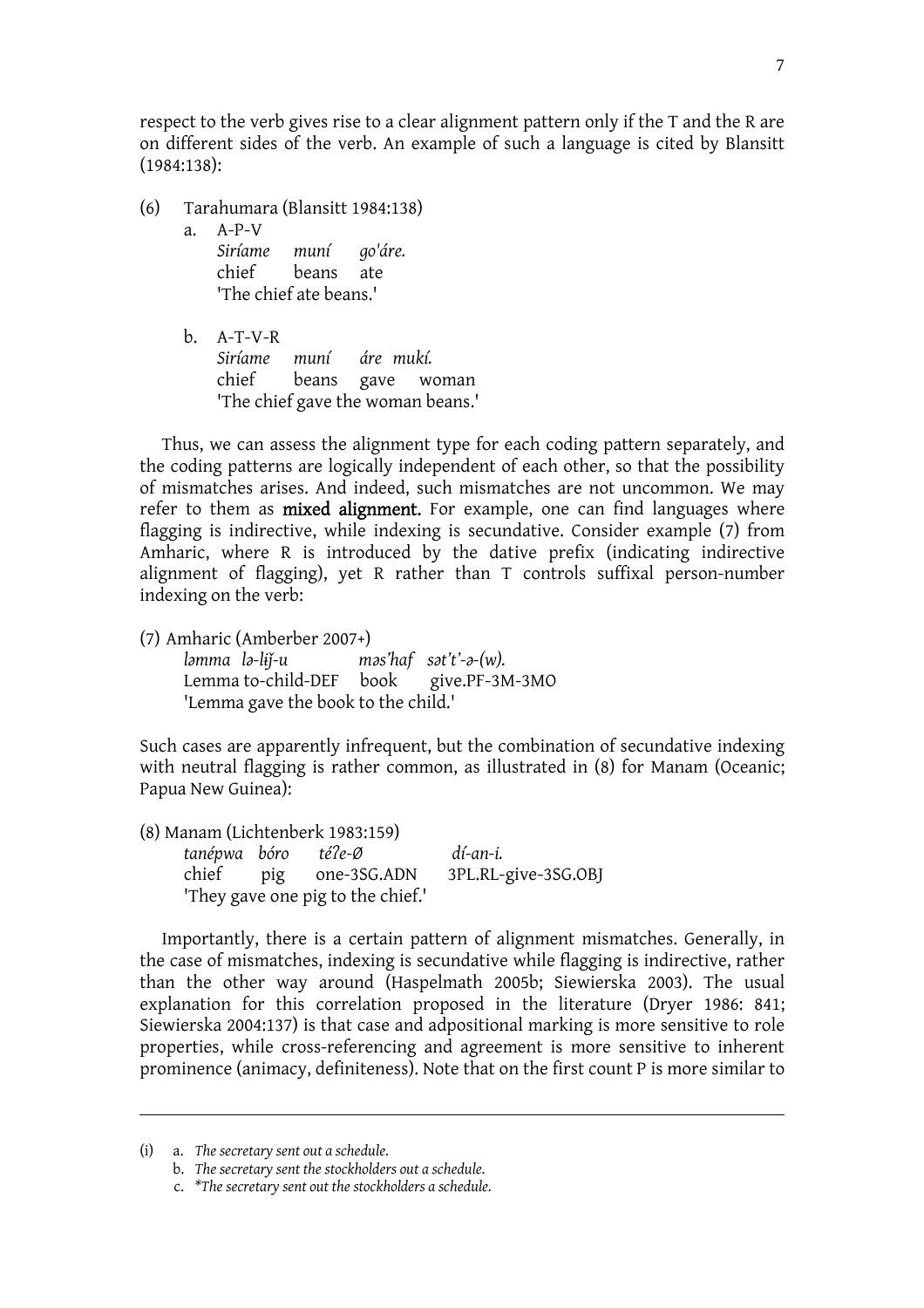respect to the verb gives rise to a clear alignment pattern only if the T and the R are on different sides of the verb. An example of such a language is cited by Blansitt (1984:138):

- (6) Tarahumara (Blansitt 1984:138)
	- a. A-P-V *Siríame muní go'áre.*

chief beans ate 'The chief ate beans.'

b. A-T-V-R *Siríame muní áre mukí.*  chief beans gave woman 'The chief gave the woman beans.'

Thus, we can assess the alignment type for each coding pattern separately, and the coding patterns are logically independent of each other, so that the possibility of mismatches arises. And indeed, such mismatches are not uncommon. We may refer to them as **mixed alignment**. For example, one can find languages where flagging is indirective, while indexing is secundative. Consider example (7) from Amharic, where R is introduced by the dative prefix (indicating indirective alignment of flagging), yet R rather than T controls suffixal person-number indexing on the verb:

(7) Amharic (Amberber 2007+)

*l><i><i>l***<b>***mma l<i>l***<sub></sub>***i***</sup>/***b***<sub>***r***</sub>** *mas'haf sat't'-a-(w). <br><i>Lemma* **to-child-DEF book give.PF-3M-3MO** Lemma to-child-DEF book 'Lemma gave the book to the child.'

Such cases are apparently infrequent, but the combination of secundative indexing with neutral flagging is rather common, as illustrated in (8) for Manam (Oceanic; Papua New Guinea):

(8) Manam (Lichtenberk 1983:159) *tanépwa bóro téCe-Ø dí-an-i.* chief pig one-3SG.ADN 3PL.RL-give-3SG.OBJ 'They gave one pig to the chief.'

Importantly, there is a certain pattern of alignment mismatches. Generally, in the case of mismatches, indexing is secundative while flagging is indirective, rather than the other way around (Haspelmath 2005b; Siewierska 2003). The usual explanation for this correlation proposed in the literature (Dryer 1986: 841; Siewierska 2004:137) is that case and adpositional marking is more sensitive to role properties, while cross-referencing and agreement is more sensitive to inherent prominence (animacy, definiteness). Note that on the first count P is more similar to

<sup>(</sup>i) a. *The secretary sent out a schedule.*

b. *The secretary sent the stockholders out a schedule.*

c. *\*The secretary sent out the stockholders a schedule.*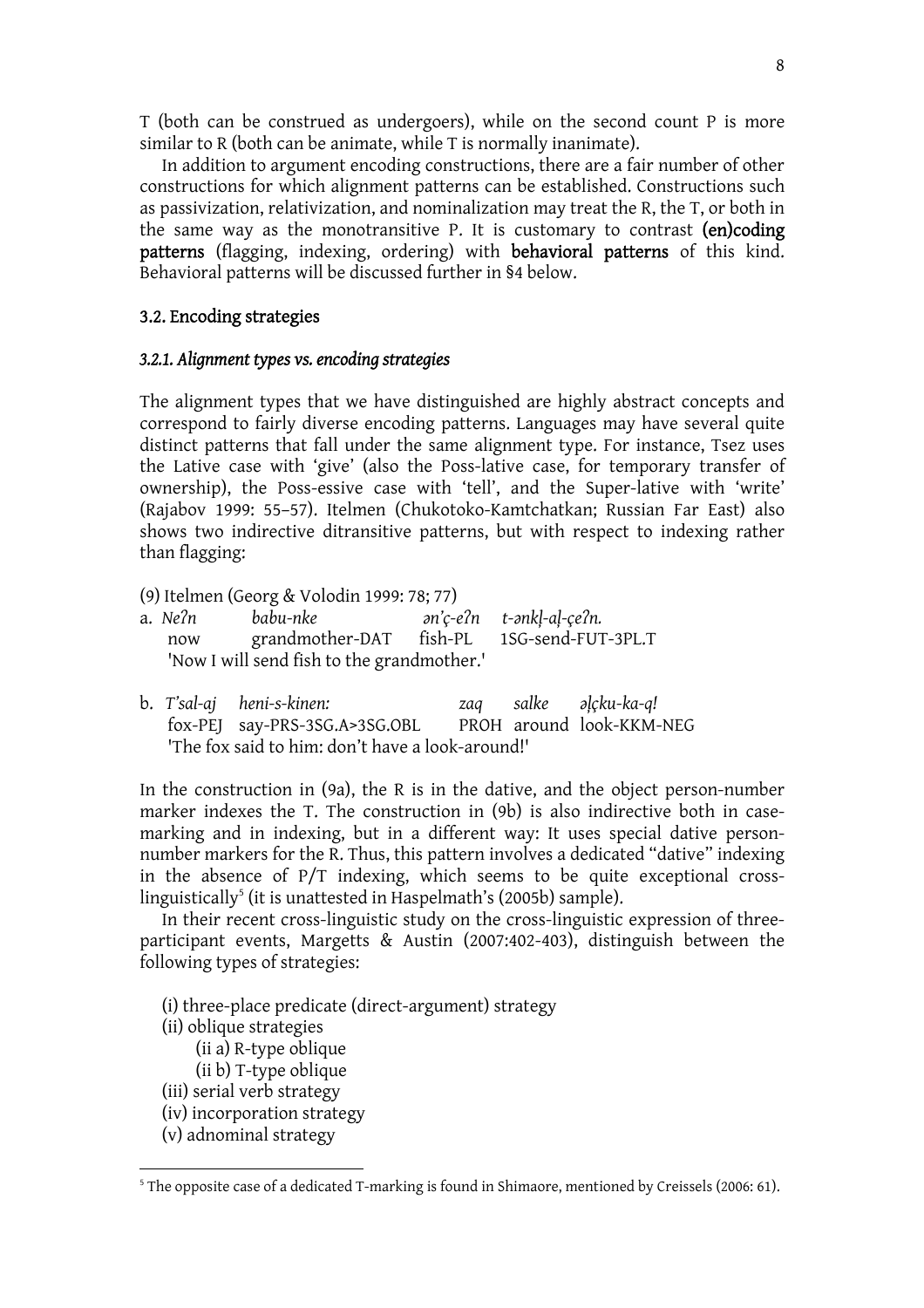T (both can be construed as undergoers), while on the second count P is more similar to R (both can be animate, while T is normally inanimate).

 In addition to argument encoding constructions, there are a fair number of other constructions for which alignment patterns can be established. Constructions such as passivization, relativization, and nominalization may treat the R, the T, or both in the same way as the monotransitive P. It is customary to contrast (en)coding patterns (flagging, indexing, ordering) with behavioral patterns of this kind. Behavioral patterns will be discussed further in §4 below.

### 3.2. Encoding strategies

#### *3.2.1. Alignment types vs. encoding strategies*

The alignment types that we have distinguished are highly abstract concepts and correspond to fairly diverse encoding patterns. Languages may have several quite distinct patterns that fall under the same alignment type. For instance, Tsez uses the Lative case with 'give' (also the Poss-lative case, for temporary transfer of ownership), the Poss-essive case with 'tell', and the Super-lative with 'write' (Rajabov 1999: 55–57). Itelmen (Chukotoko-Kamtchatkan; Russian Far East) also shows two indirective ditransitive patterns, but with respect to indexing rather than flagging:

(9) Itelmen (Georg & Volodin 1999: 78; 77)

| a. Ne?n | babu-nke                                   | ən'ç-e?n t-ənkl-al-çe?n.                   |
|---------|--------------------------------------------|--------------------------------------------|
| now     |                                            | grandmother-DAT fish-PL 1SG-send-FUT-3PL.T |
|         | 'Now I will send fish to the grandmother.' |                                            |

b. T'sal-aj heni-s-kinen:  $zaq$  salke  $\partial_1 c^k$ *ku-ka-q!* fox-PEJ say-PRS-3SG.A>3SG.OBL PROH around look-KKM-NEG 'The fox said to him: don't have a look-around!'

In the construction in (9a), the R is in the dative, and the object person-number marker indexes the T. The construction in (9b) is also indirective both in casemarking and in indexing, but in a different way: It uses special dative personnumber markers for the R. Thus, this pattern involves a dedicated "dative" indexing in the absence of P/T indexing, which seems to be quite exceptional crosslinguistically<sup>5</sup> (it is unattested in Haspelmath's (2005b) sample).

 In their recent cross-linguistic study on the cross-linguistic expression of threeparticipant events, Margetts & Austin (2007:402-403), distinguish between the following types of strategies:

- (i) three-place predicate (direct-argument) strategy
- (ii) oblique strategies
	- (ii a) R-type oblique
	- (ii b) T-type oblique
- (iii) serial verb strategy
- (iv) incorporation strategy
- (v) adnominal strategy

<sup>&</sup>lt;sup>5</sup> The opposite case of a dedicated T-marking is found in Shimaore, mentioned by Creissels (2006: 61).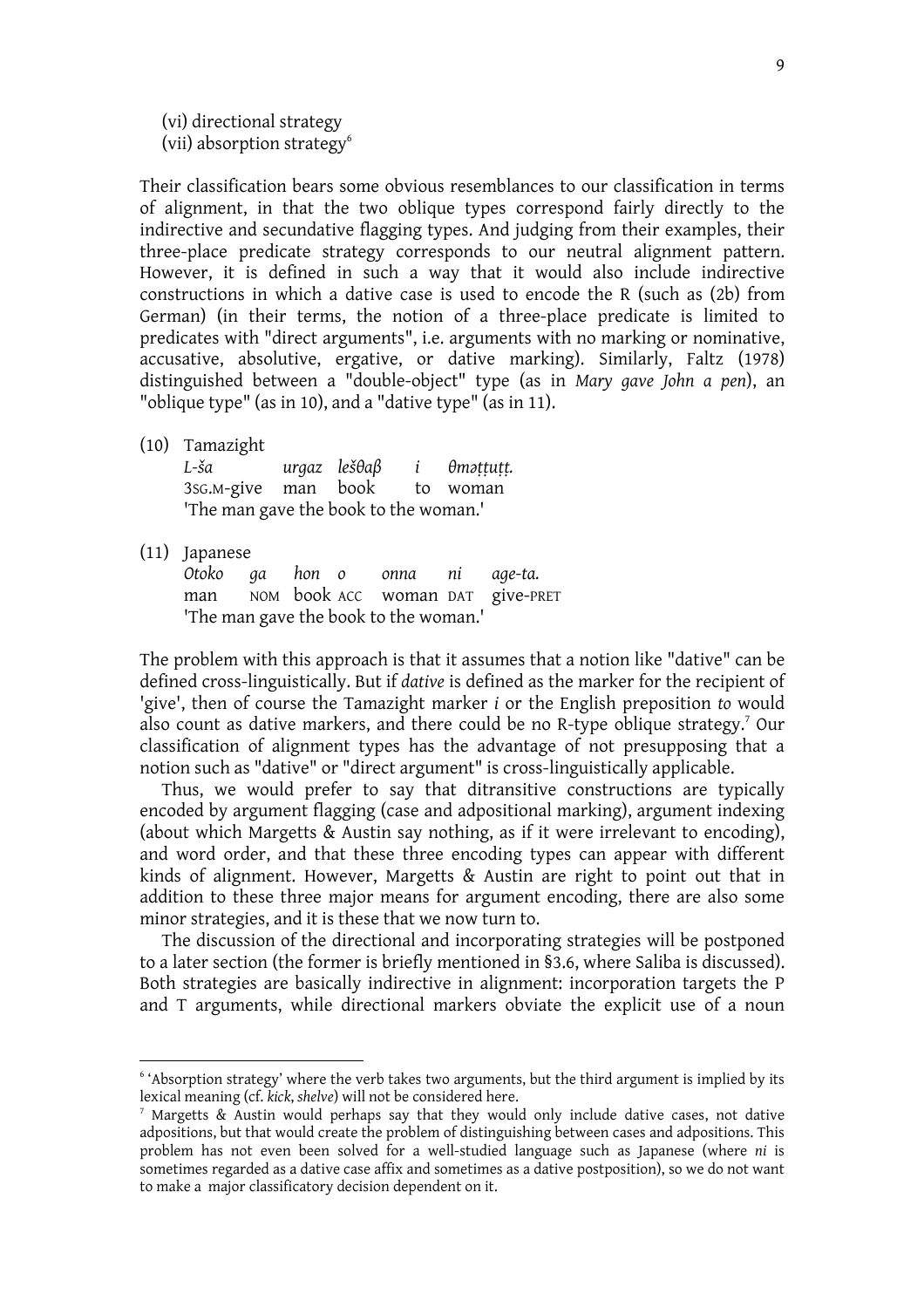(vi) directional strategy (vii) absorption strategy<sup>6</sup>

Their classification bears some obvious resemblances to our classification in terms of alignment, in that the two oblique types correspond fairly directly to the indirective and secundative flagging types. And judging from their examples, their three-place predicate strategy corresponds to our neutral alignment pattern. However, it is defined in such a way that it would also include indirective constructions in which a dative case is used to encode the R (such as (2b) from German) (in their terms, the notion of a three-place predicate is limited to predicates with "direct arguments", i.e. arguments with no marking or nominative, accusative, absolutive, ergative, or dative marking). Similarly, Faltz (1978) distinguished between a "double-object" type (as in *Mary gave John a pen*), an "oblique type" (as in 10), and a "dative type" (as in 11).

(10) Tamazight

| L-ša                                  |  | urgaz lešθaβ |  | i θməṭṭuṭṭ. |  |  |  |  |
|---------------------------------------|--|--------------|--|-------------|--|--|--|--|
| 3sg.m-give man book to woman          |  |              |  |             |  |  |  |  |
| 'The man gave the book to the woman.' |  |              |  |             |  |  |  |  |

(11) Japanese

*Otoko ga hon o onna ni age-ta.*  man NOM book ACC woman DAT give-PRET 'The man gave the book to the woman.'

The problem with this approach is that it assumes that a notion like "dative" can be defined cross-linguistically. But if *dative* is defined as the marker for the recipient of 'give', then of course the Tamazight marker *i* or the English preposition *to* would also count as dative markers, and there could be no R-type oblique strategy.<sup>7</sup> Our classification of alignment types has the advantage of not presupposing that a notion such as "dative" or "direct argument" is cross-linguistically applicable.

 Thus, we would prefer to say that ditransitive constructions are typically encoded by argument flagging (case and adpositional marking), argument indexing (about which Margetts & Austin say nothing, as if it were irrelevant to encoding), and word order, and that these three encoding types can appear with different kinds of alignment. However, Margetts & Austin are right to point out that in addition to these three major means for argument encoding, there are also some minor strategies, and it is these that we now turn to.

 The discussion of the directional and incorporating strategies will be postponed to a later section (the former is briefly mentioned in §3.6, where Saliba is discussed). Both strategies are basically indirective in alignment: incorporation targets the P and T arguments, while directional markers obviate the explicit use of a noun

<sup>&</sup>lt;sup>6</sup> 'Absorption strategy' where the verb takes two arguments, but the third argument is implied by its lexical meaning (cf. kick, shelve) will not be considered here.

<sup>&</sup>lt;sup>7</sup> Margetts & Austin would perhaps say that they would only include dative cases, not dative adpositions, but that would create the problem of distinguishing between cases and adpositions. This problem has not even been solved for a well-studied language such as Japanese (where *ni* is sometimes regarded as a dative case affix and sometimes as a dative postposition), so we do not want to make a major classificatory decision dependent on it.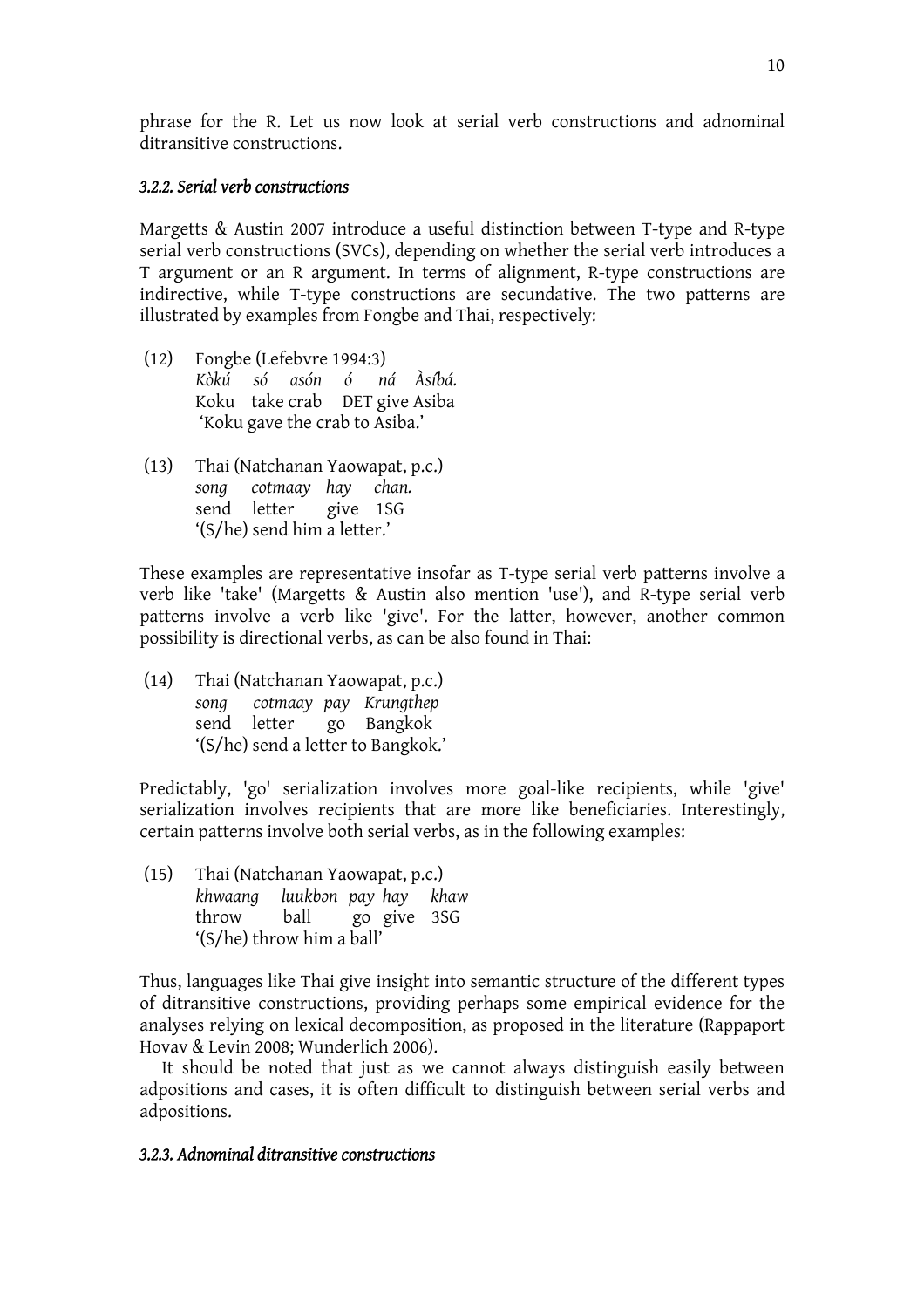phrase for the R. Let us now look at serial verb constructions and adnominal ditransitive constructions.

### *3.2.2. Serial verb constructions*

Margetts & Austin 2007 introduce a useful distinction between T-type and R-type serial verb constructions (SVCs), depending on whether the serial verb introduces a T argument or an R argument. In terms of alignment, R-type constructions are indirective, while T-type constructions are secundative. The two patterns are illustrated by examples from Fongbe and Thai, respectively:

- (12) Fongbe (Lefebvre 1994:3) *Kòkú só asón ó ná Àsíbá.*  Koku take crab DET give Asiba 'Koku gave the crab to Asiba.'
- (13) Thai (Natchanan Yaowapat, p.c.) *song cotmaay hay chan.*  send letter give 1SG '(S/he) send him a letter.'

These examples are representative insofar as T-type serial verb patterns involve a verb like 'take' (Margetts & Austin also mention 'use'), and R-type serial verb patterns involve a verb like 'give'. For the latter, however, another common possibility is directional verbs, as can be also found in Thai:

(14) Thai (Natchanan Yaowapat, p.c.) *song cotmaay pay Krungthep*  go Bangkok '(S/he) send a letter to Bangkok.'

Predictably, 'go' serialization involves more goal-like recipients, while 'give' serialization involves recipients that are more like beneficiaries. Interestingly, certain patterns involve both serial verbs, as in the following examples:

(15) Thai (Natchanan Yaowapat, p.c.) *khwaang luukbRn pay hay khaw* throw ball go give 3SG '(S/he) throw him a ball'

Thus, languages like Thai give insight into semantic structure of the different types of ditransitive constructions, providing perhaps some empirical evidence for the analyses relying on lexical decomposition, as proposed in the literature (Rappaport Hovav & Levin 2008; Wunderlich 2006).

 It should be noted that just as we cannot always distinguish easily between adpositions and cases, it is often difficult to distinguish between serial verbs and adpositions.

### *3.2.3. Adnominal ditransitive constructions*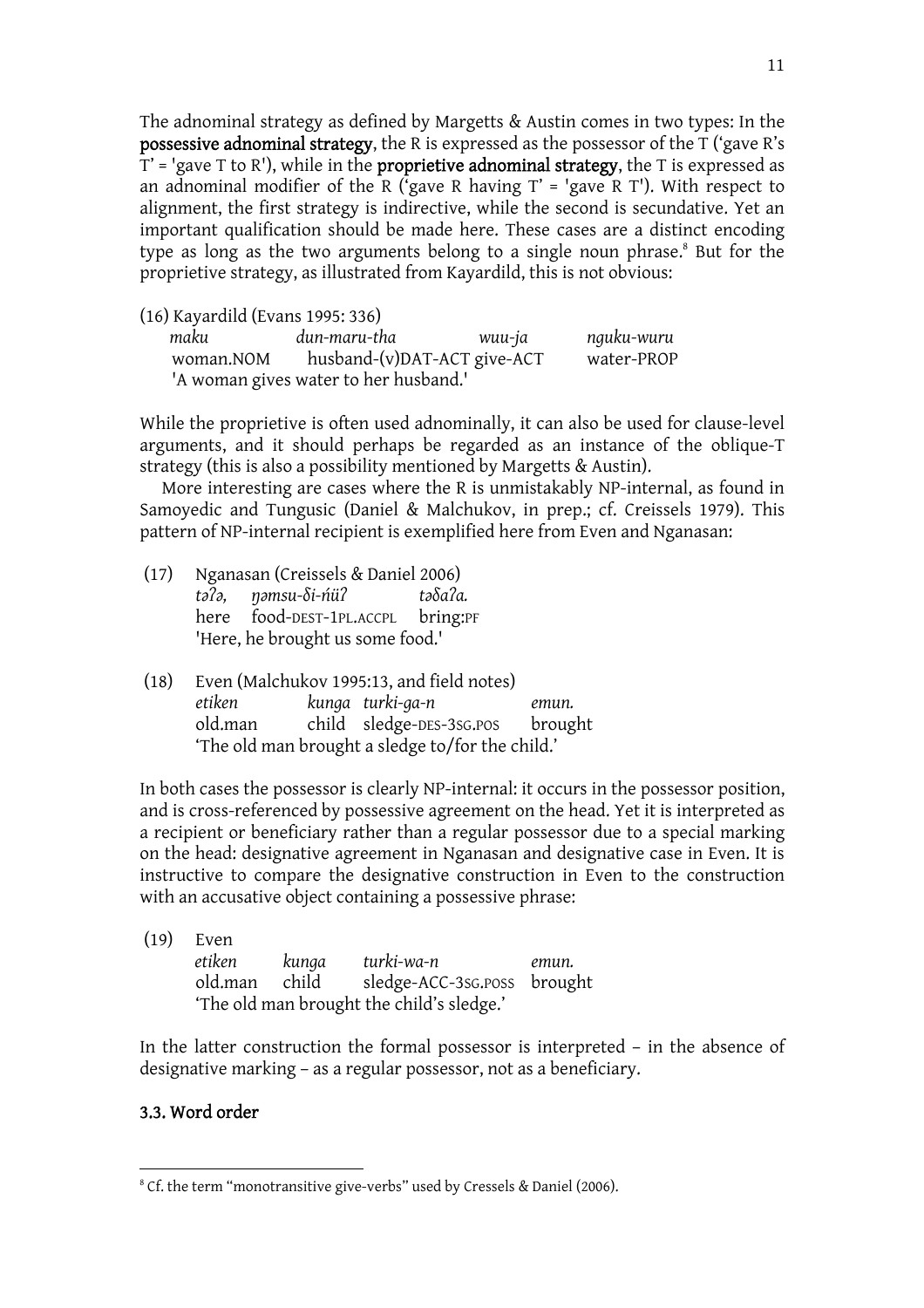The adnominal strategy as defined by Margetts & Austin comes in two types: In the possessive adnominal strategy, the R is expressed as the possessor of the T ('gave R's  $T'$  = 'gave T to R'), while in the **proprietive adnominal strategy**, the T is expressed as an adnominal modifier of the R ('gave R having  $T'$  = 'gave R T'). With respect to alignment, the first strategy is indirective, while the second is secundative. Yet an important qualification should be made here. These cases are a distinct encoding type as long as the two arguments belong to a single noun phrase.<sup>8</sup> But for the proprietive strategy, as illustrated from Kayardild, this is not obvious:

(16) Kayardild (Evans 1995: 336)

| maku      | dun-maru-tha                          | wuu-ja | nguku-wuru |
|-----------|---------------------------------------|--------|------------|
| woman.NOM | husband-(v)DAT-ACT give-ACT           |        | water-PROP |
|           | 'A woman gives water to her husband.' |        |            |

While the proprietive is often used adnominally, it can also be used for clause-level arguments, and it should perhaps be regarded as an instance of the oblique-T strategy (this is also a possibility mentioned by Margetts & Austin).

 More interesting are cases where the R is unmistakably NP-internal, as found in Samoyedic and Tungusic (Daniel & Malchukov, in prep.; cf. Creissels 1979). This pattern of NP-internal recipient is exemplified here from Even and Nganasan:

- (17) Nganasan (Creissels & Daniel 2006) *tMCM, TMmsu-Ui-VüC tMUaCa.* here food-DEST-1PL.ACCPL bring:PF 'Here, he brought us some food.'
- (18) Even (Malchukov 1995:13, and field notes) *etiken kunga turki-ga-n emun.* old.man child sledge-DES-3SG.POS brought 'The old man brought a sledge to/for the child.'

In both cases the possessor is clearly NP-internal: it occurs in the possessor position, and is cross-referenced by possessive agreement on the head. Yet it is interpreted as a recipient or beneficiary rather than a regular possessor due to a special marking on the head: designative agreement in Nganasan and designative case in Even. It is instructive to compare the designative construction in Even to the construction with an accusative object containing a possessive phrase:

| (19) | Even    |       |                                           |       |
|------|---------|-------|-------------------------------------------|-------|
|      | etiken  | kunga | turki-wa-n                                | emun. |
|      | old.man | child | sledge-ACC-3sG.poss brought               |       |
|      |         |       | 'The old man brought the child's sledge.' |       |

In the latter construction the formal possessor is interpreted – in the absence of designative marking – as a regular possessor, not as a beneficiary.

# 3.3. Word order

<sup>&</sup>lt;sup>8</sup> Cf. the term "monotransitive give-verbs" used by Cressels & Daniel (2006).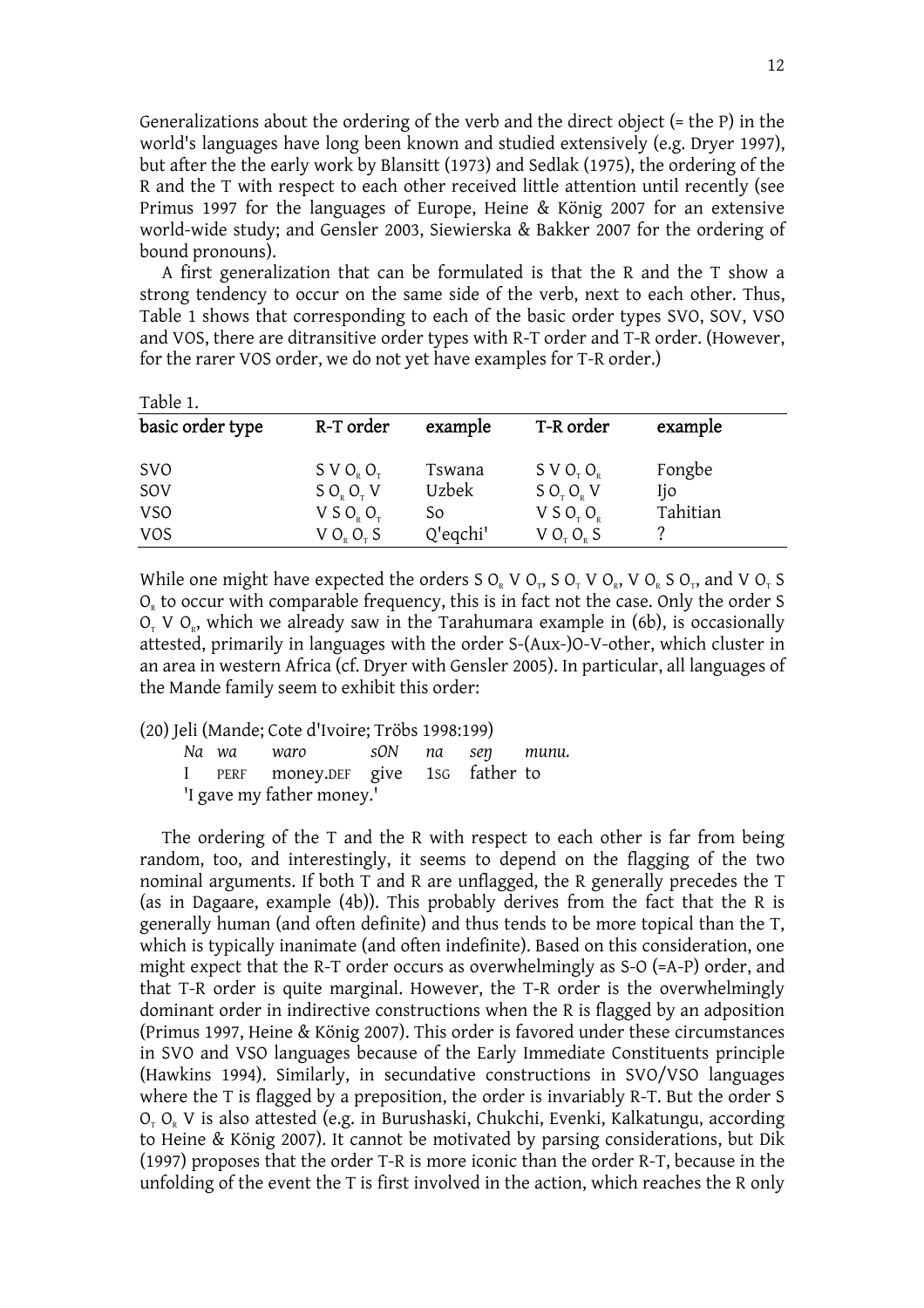Generalizations about the ordering of the verb and the direct object (= the P) in the world's languages have long been known and studied extensively (e.g. Dryer 1997), but after the the early work by Blansitt (1973) and Sedlak (1975), the ordering of the R and the T with respect to each other received little attention until recently (see Primus 1997 for the languages of Europe, Heine & König 2007 for an extensive world-wide study; and Gensler 2003, Siewierska & Bakker 2007 for the ordering of bound pronouns).

 A first generalization that can be formulated is that the R and the T show a strong tendency to occur on the same side of the verb, next to each other. Thus, Table 1 shows that corresponding to each of the basic order types SVO, SOV, VSO and VOS, there are ditransitive order types with R-T order and T-R order. (However, for the rarer VOS order, we do not yet have examples for T-R order.)

| Table 1.         |                                   |               |                                   |          |  |
|------------------|-----------------------------------|---------------|-----------------------------------|----------|--|
| basic order type | R-T order                         | example       | T-R order                         | example  |  |
| <b>SVO</b>       | S V O <sub>p</sub> O <sub>r</sub> | Tswana        | S V O <sub>r</sub> O <sub>p</sub> | Fongbe   |  |
| SOV              | SO <sub>v</sub> O <sub>v</sub> V  | <b>Uzbek</b>  | SO <sub>x</sub> O <sub>y</sub> V  | Ijo      |  |
| <b>VSO</b>       | V S O <sub>p</sub> O <sub>r</sub> | <sub>So</sub> | V S O <sub>r</sub> O <sub>e</sub> | Tahitian |  |
| <b>VOS</b>       | V O <sub>p</sub> O <sub>r</sub> S | Q'eqchi'      | V O <sub>r</sub> O <sub>p</sub> S |          |  |

While one might have expected the orders S  $O_R$  V  $O_T$ , S  $O_T$  V  $O_R$ , V  $O_R$ , S  $O_T$ , and V  $O_T$  S  $O<sub>R</sub>$  to occur with comparable frequency, this is in fact not the case. Only the order S  $O<sub>r</sub>$  V  $O<sub>s</sub>$ , which we already saw in the Tarahumara example in (6b), is occasionally attested, primarily in languages with the order S-(Aux-)O-V-other, which cluster in an area in western Africa (cf. Dryer with Gensler 2005). In particular, all languages of the Mande family seem to exhibit this order:

(20) Jeli (Mande; Cote d'Ivoire; Tröbs 1998:199)

| Na wa | waro                                |  | s0N na seŋ munu. |  |
|-------|-------------------------------------|--|------------------|--|
|       | I PERF money.DEF give 1sG father to |  |                  |  |
|       | 'I gave my father money.'           |  |                  |  |

The ordering of the T and the R with respect to each other is far from being random, too, and interestingly, it seems to depend on the flagging of the two nominal arguments. If both T and R are unflagged, the R generally precedes the T (as in Dagaare, example (4b)). This probably derives from the fact that the R is generally human (and often definite) and thus tends to be more topical than the T, which is typically inanimate (and often indefinite). Based on this consideration, one might expect that the R-T order occurs as overwhelmingly as S-O (=A-P) order, and that T-R order is quite marginal. However, the T-R order is the overwhelmingly dominant order in indirective constructions when the R is flagged by an adposition (Primus 1997, Heine & König 2007). This order is favored under these circumstances in SVO and VSO languages because of the Early Immediate Constituents principle (Hawkins 1994). Similarly, in secundative constructions in SVO/VSO languages where the T is flagged by a preposition, the order is invariably R-T. But the order S O<sub>r</sub> O<sub>r</sub> V is also attested (e.g. in Burushaski, Chukchi, Evenki, Kalkatungu, according to Heine & König 2007). It cannot be motivated by parsing considerations, but Dik (1997) proposes that the order T-R is more iconic than the order R-T, because in the unfolding of the event the T is first involved in the action, which reaches the R only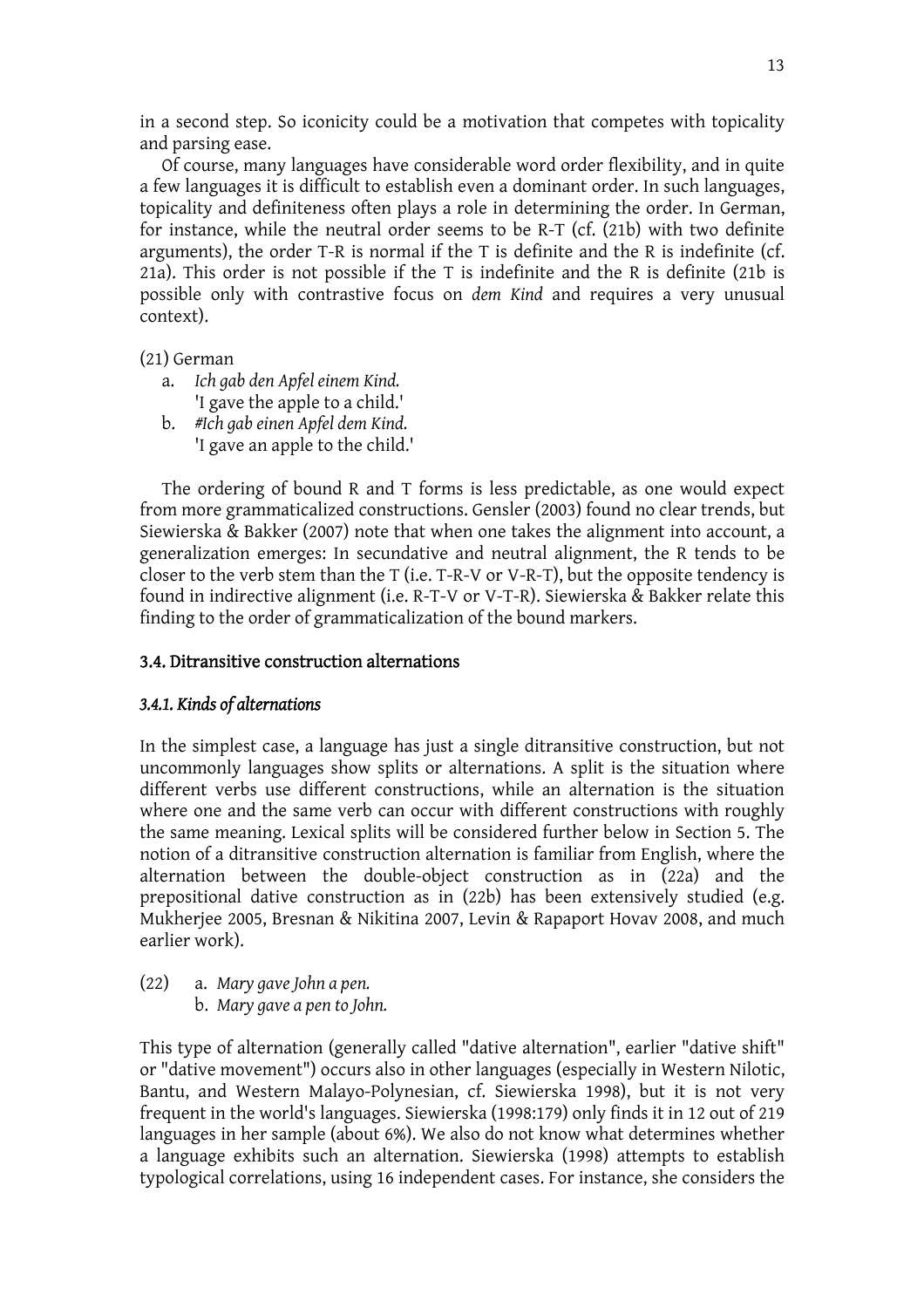in a second step. So iconicity could be a motivation that competes with topicality and parsing ease.

 Of course, many languages have considerable word order flexibility, and in quite a few languages it is difficult to establish even a dominant order. In such languages, topicality and definiteness often plays a role in determining the order. In German, for instance, while the neutral order seems to be R-T (cf. (21b) with two definite arguments), the order T-R is normal if the T is definite and the R is indefinite (cf. 21a). This order is not possible if the T is indefinite and the R is definite (21b is possible only with contrastive focus on *dem Kind* and requires a very unusual context).

- (21) German
	- a. *Ich gab den Apfel einem Kind.* 'I gave the apple to a child.'
	- b. *#Ich gab einen Apfel dem Kind.* 'I gave an apple to the child.'

The ordering of bound R and T forms is less predictable, as one would expect from more grammaticalized constructions. Gensler (2003) found no clear trends, but Siewierska & Bakker (2007) note that when one takes the alignment into account, a generalization emerges: In secundative and neutral alignment, the R tends to be closer to the verb stem than the T (i.e. T-R-V or V-R-T), but the opposite tendency is found in indirective alignment (i.e. R-T-V or V-T-R). Siewierska & Bakker relate this finding to the order of grammaticalization of the bound markers.

### 3.4. Ditransitive construction alternations

### *3.4.1. Kinds of alternations*

In the simplest case, a language has just a single ditransitive construction, but not uncommonly languages show splits or alternations. A split is the situation where different verbs use different constructions, while an alternation is the situation where one and the same verb can occur with different constructions with roughly the same meaning. Lexical splits will be considered further below in Section 5. The notion of a ditransitive construction alternation is familiar from English, where the alternation between the double-object construction as in (22a) and the prepositional dative construction as in (22b) has been extensively studied (e.g. Mukherjee 2005, Bresnan & Nikitina 2007, Levin & Rapaport Hovav 2008, and much earlier work).

(22) a. *Mary gave John a pen.* b. *Mary gave a pen to John.*

This type of alternation (generally called "dative alternation", earlier "dative shift" or "dative movement") occurs also in other languages (especially in Western Nilotic, Bantu, and Western Malayo-Polynesian, cf. Siewierska 1998), but it is not very frequent in the world's languages. Siewierska (1998:179) only finds it in 12 out of 219 languages in her sample (about 6%). We also do not know what determines whether a language exhibits such an alternation. Siewierska (1998) attempts to establish typological correlations, using 16 independent cases. For instance, she considers the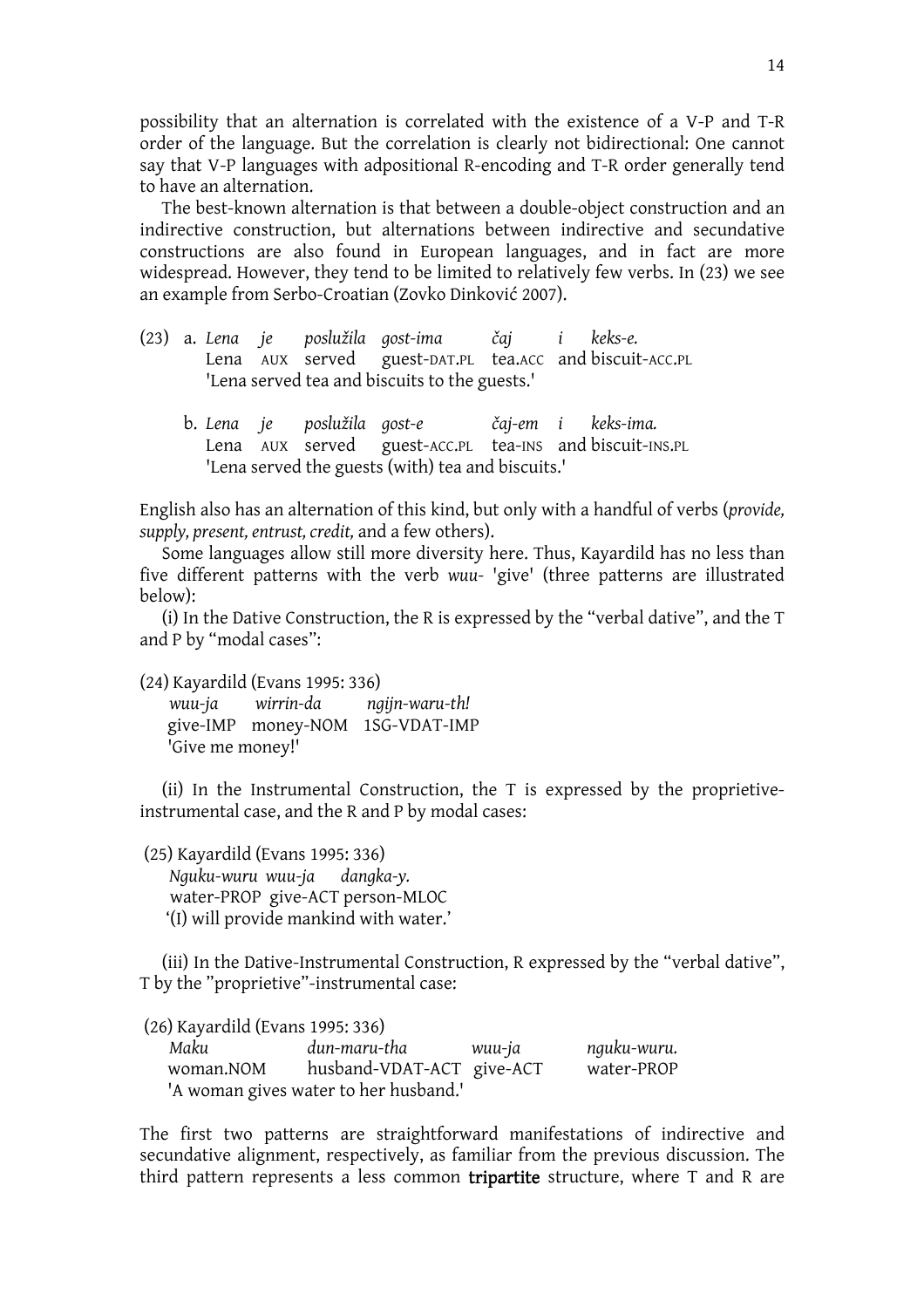possibility that an alternation is correlated with the existence of a V-P and T-R order of the language. But the correlation is clearly not bidirectional: One cannot say that V-P languages with adpositional R-encoding and T-R order generally tend to have an alternation.

 The best-known alternation is that between a double-object construction and an indirective construction, but alternations between indirective and secundative constructions are also found in European languages, and in fact are more widespread. However, they tend to be limited to relatively few verbs. In (23) we see an example from Serbo-Croatian (Zovko Dinković 2007).

- (23) a. *Lena je poslužila gost-ima Zaj i keks-e.*  Lena AUX served guest-DAT.PL tea.ACC and biscuit-ACC.PL 'Lena served tea and biscuits to the guests.'
	- b. *Lena je poslužila gost-e Zaj-em i keks-ima.* Lena AUX served guest-ACC.PL tea-INS and biscuit-INS.PL 'Lena served the guests (with) tea and biscuits.'

English also has an alternation of this kind, but only with a handful of verbs (*provide, supply, present, entrust, credit,* and a few others).

 Some languages allow still more diversity here. Thus, Kayardild has no less than five different patterns with the verb *wuu-* 'give' (three patterns are illustrated below):

 (i) In the Dative Construction, the R is expressed by the "verbal dative", and the T and P by "modal cases":

(24) Kayardild (Evans 1995: 336)

*wuu-ja wirrin-da ngijn-waru-th!*  give-IMP money-NOM 1SG-VDAT-IMP 'Give me money!'

(ii) In the Instrumental Construction, the T is expressed by the proprietiveinstrumental case, and the R and P by modal cases:

(25) Kayardild (Evans 1995: 336) *Nguku-wuru wuu-ja dangka-y.*  water-PROP give-ACT person-MLOC '(I) will provide mankind with water.'

(iii) In the Dative-Instrumental Construction, R expressed by the "verbal dative", T by the "proprietive"-instrumental case:

(26) Kayardild (Evans 1995: 336) *Maku dun-maru-tha wuu-ja nguku-wuru.* woman.NOM husband-VDAT-ACT give-ACT water-PROP 'A woman gives water to her husband.'

The first two patterns are straightforward manifestations of indirective and secundative alignment, respectively, as familiar from the previous discussion. The third pattern represents a less common **tripartite** structure, where  $T$  and  $R$  are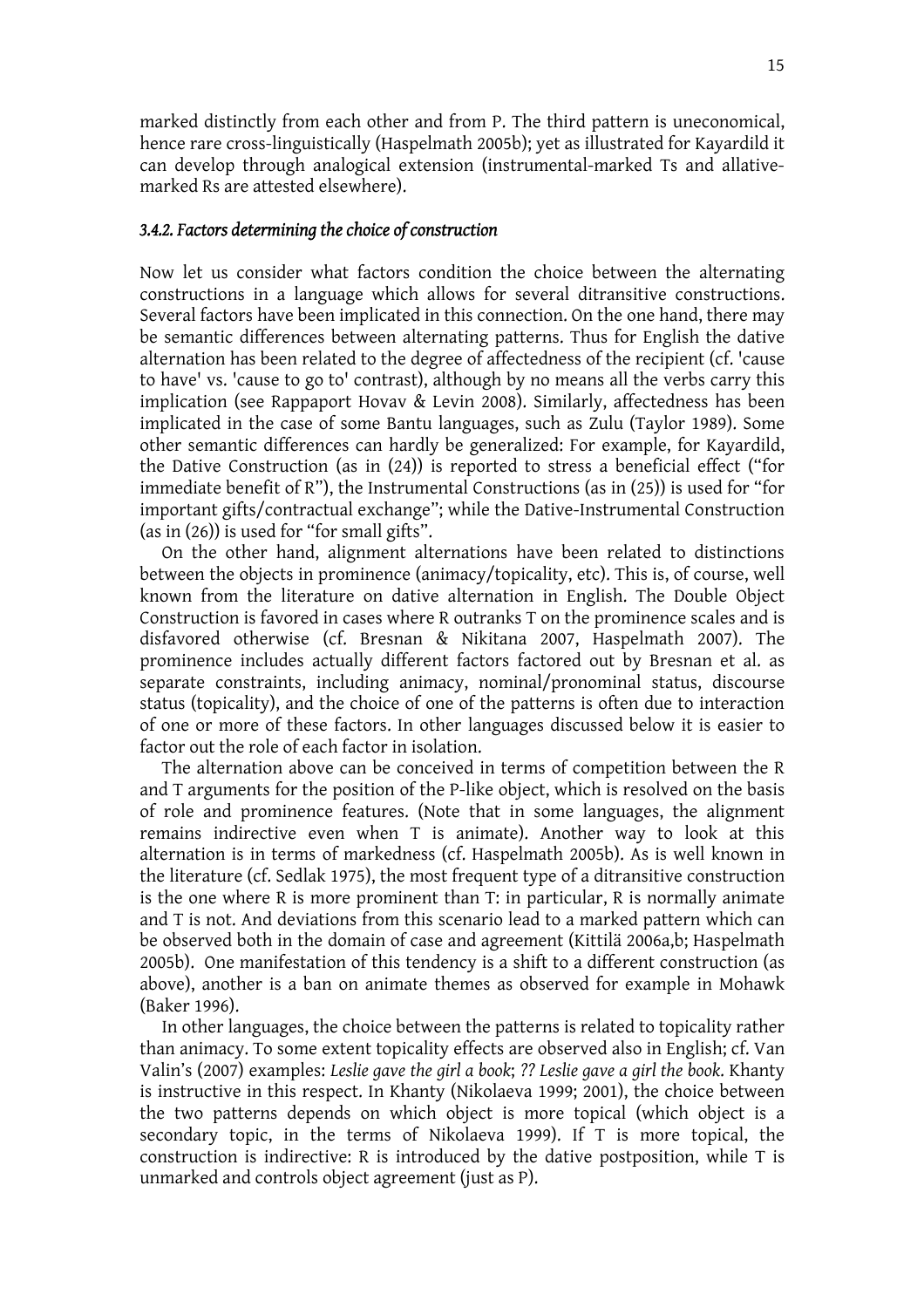marked distinctly from each other and from P. The third pattern is uneconomical, hence rare cross-linguistically (Haspelmath 2005b); yet as illustrated for Kayardild it can develop through analogical extension (instrumental-marked Ts and allativemarked Rs are attested elsewhere).

#### *3.4.2. Factors determining the choice of construction*

Now let us consider what factors condition the choice between the alternating constructions in a language which allows for several ditransitive constructions. Several factors have been implicated in this connection. On the one hand, there may be semantic differences between alternating patterns. Thus for English the dative alternation has been related to the degree of affectedness of the recipient (cf. 'cause to have' vs. 'cause to go to' contrast), although by no means all the verbs carry this implication (see Rappaport Hovav & Levin 2008). Similarly, affectedness has been implicated in the case of some Bantu languages, such as Zulu (Taylor 1989). Some other semantic differences can hardly be generalized: For example, for Kayardild, the Dative Construction (as in (24)) is reported to stress a beneficial effect ("for immediate benefit of R"), the Instrumental Constructions (as in (25)) is used for "for important gifts/contractual exchange"; while the Dative-Instrumental Construction (as in (26)) is used for "for small gifts".

 On the other hand, alignment alternations have been related to distinctions between the objects in prominence (animacy/topicality, etc). This is, of course, well known from the literature on dative alternation in English. The Double Object Construction is favored in cases where R outranks T on the prominence scales and is disfavored otherwise (cf. Bresnan & Nikitana 2007, Haspelmath 2007). The prominence includes actually different factors factored out by Bresnan et al. as separate constraints, including animacy, nominal/pronominal status, discourse status (topicality), and the choice of one of the patterns is often due to interaction of one or more of these factors. In other languages discussed below it is easier to factor out the role of each factor in isolation.

 The alternation above can be conceived in terms of competition between the R and T arguments for the position of the P-like object, which is resolved on the basis of role and prominence features. (Note that in some languages, the alignment remains indirective even when T is animate). Another way to look at this alternation is in terms of markedness (cf. Haspelmath 2005b). As is well known in the literature (cf. Sedlak 1975), the most frequent type of a ditransitive construction is the one where R is more prominent than T: in particular, R is normally animate and T is not. And deviations from this scenario lead to a marked pattern which can be observed both in the domain of case and agreement (Kittilä 2006a,b; Haspelmath 2005b). One manifestation of this tendency is a shift to a different construction (as above), another is a ban on animate themes as observed for example in Mohawk (Baker 1996).

 In other languages, the choice between the patterns is related to topicality rather than animacy. To some extent topicality effects are observed also in English; cf. Van Valin's (2007) examples: *Leslie gave the girl a book*; *?? Leslie gave a girl the book*. Khanty is instructive in this respect. In Khanty (Nikolaeva 1999; 2001), the choice between the two patterns depends on which object is more topical (which object is a secondary topic, in the terms of Nikolaeva 1999). If T is more topical, the construction is indirective: R is introduced by the dative postposition, while T is unmarked and controls object agreement (just as P).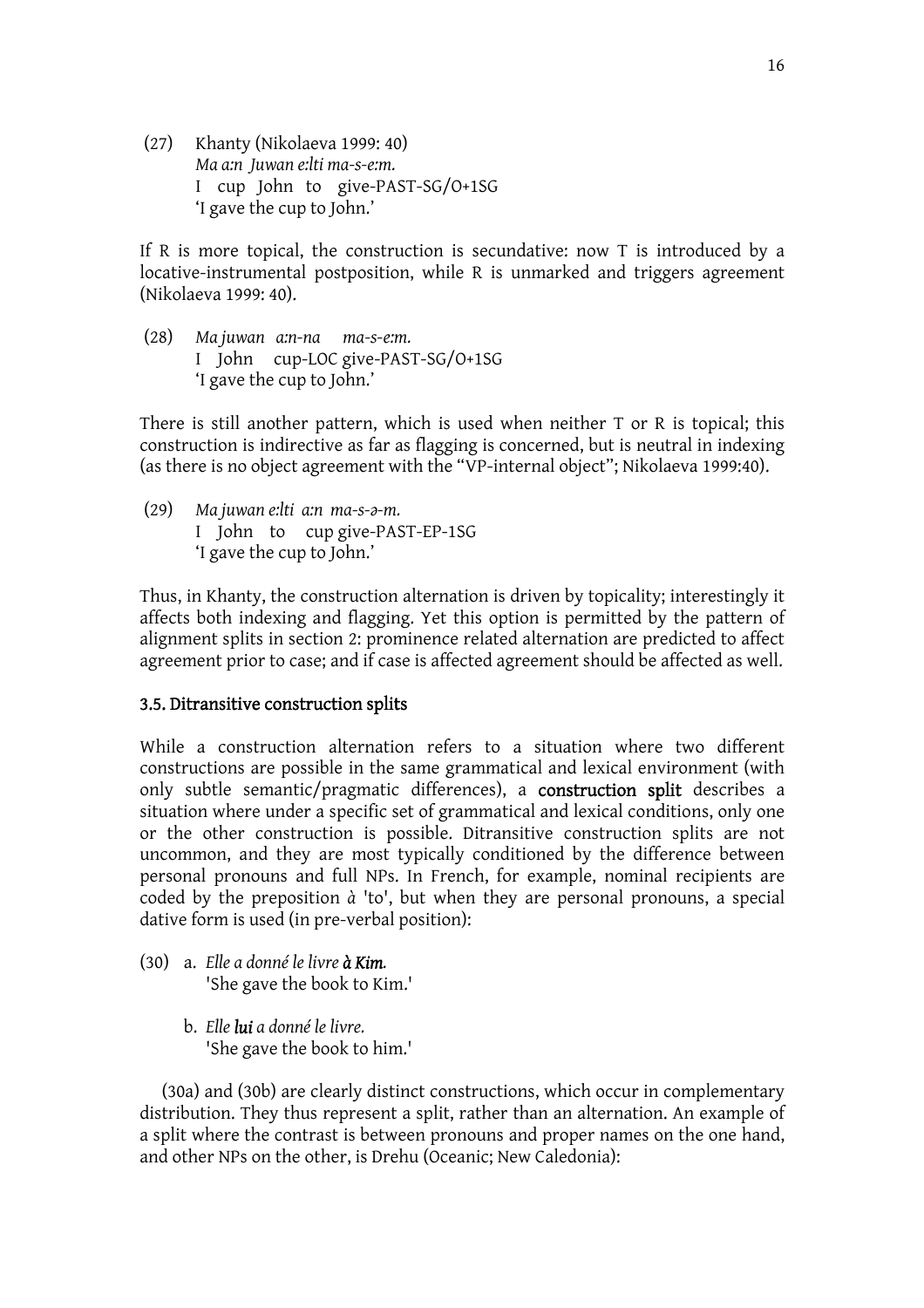(27) Khanty (Nikolaeva 1999: 40) *Ma a:n Juwan e:lti ma-s-e:m.* I cup John to give-PAST-SG/O+1SG 'I gave the cup to John.'

If R is more topical, the construction is secundative: now T is introduced by a locative-instrumental postposition, while R is unmarked and triggers agreement (Nikolaeva 1999: 40).

(28) *Ma juwan a:n-na ma-s-e:m.* I John cup-LOC give-PAST-SG/O+1SG 'I gave the cup to John.'

There is still another pattern, which is used when neither T or R is topical; this construction is indirective as far as flagging is concerned, but is neutral in indexing (as there is no object agreement with the "VP-internal object"; Nikolaeva 1999:40).

(29) *Ma juwan e:lti a:n ma-s-[-m.* I John to cup give-PAST-EP-1SG 'I gave the cup to John.'

Thus, in Khanty, the construction alternation is driven by topicality; interestingly it affects both indexing and flagging. Yet this option is permitted by the pattern of alignment splits in section 2: prominence related alternation are predicted to affect agreement prior to case; and if case is affected agreement should be affected as well.

### 3.5. Ditransitive construction splits

While a construction alternation refers to a situation where two different constructions are possible in the same grammatical and lexical environment (with only subtle semantic/pragmatic differences), a construction split describes a situation where under a specific set of grammatical and lexical conditions, only one or the other construction is possible. Ditransitive construction splits are not uncommon, and they are most typically conditioned by the difference between personal pronouns and full NPs. In French, for example, nominal recipients are coded by the preposition *à* 'to', but when they are personal pronouns, a special dative form is used (in pre-verbal position):

- (30) a. *Elle a donné le livre à Kim.* 'She gave the book to Kim.'
	- b. *Elle lui a donné le livre.* 'She gave the book to him.'

(30a) and (30b) are clearly distinct constructions, which occur in complementary distribution. They thus represent a split, rather than an alternation. An example of a split where the contrast is between pronouns and proper names on the one hand, and other NPs on the other, is Drehu (Oceanic; New Caledonia):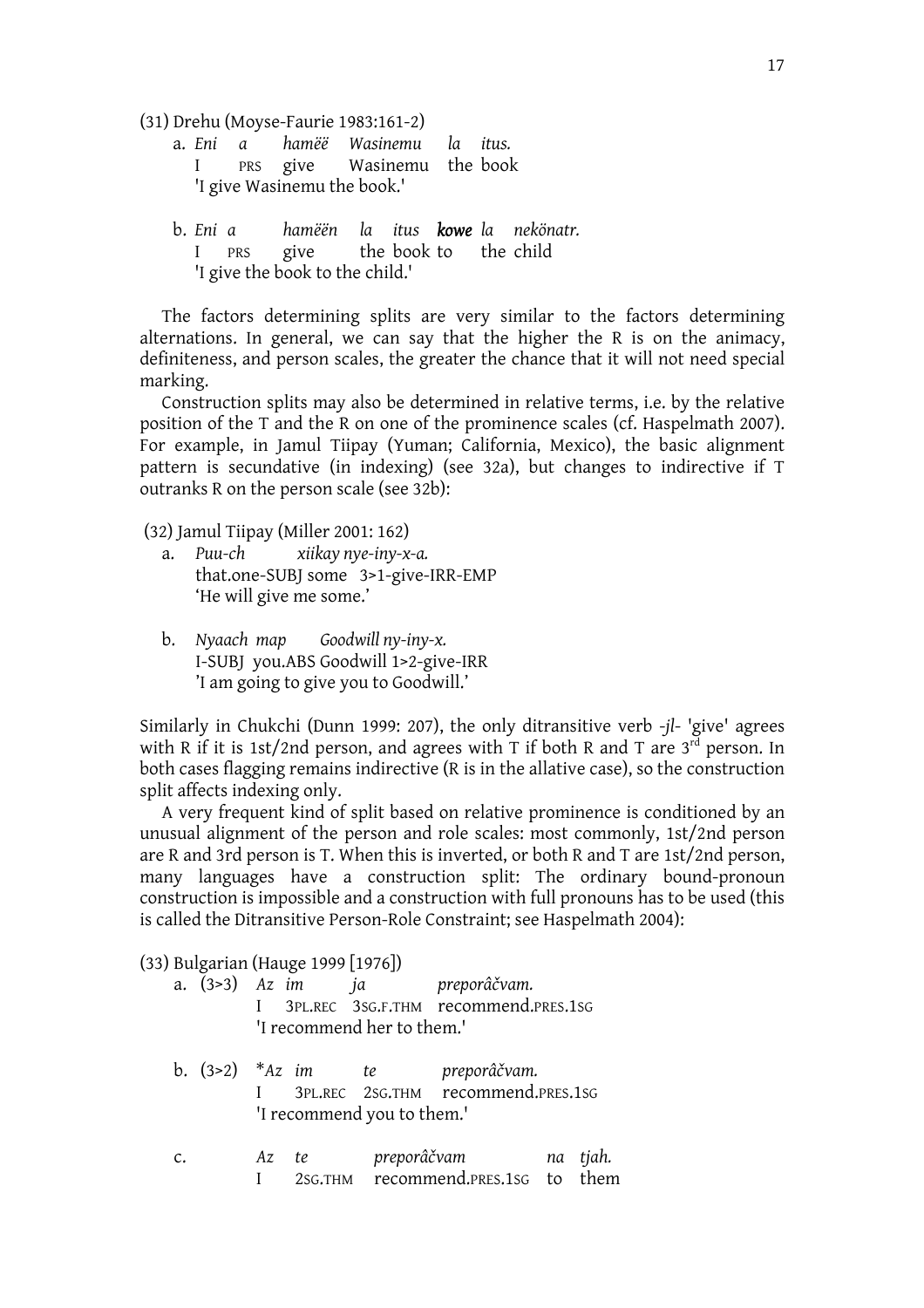(31) Drehu (Moyse-Faurie 1983:161-2)

- a. *Eni a hamëë Wasinemu la itus.* I PRS give Wasinemu the book 'I give Wasinemu the book.'
- b. *Eni a hamëën la itus kowe la nekönatr.* I PRS give the book to 'I give the book to the child.'

The factors determining splits are very similar to the factors determining alternations. In general, we can say that the higher the R is on the animacy, definiteness, and person scales, the greater the chance that it will not need special marking.

 Construction splits may also be determined in relative terms, i.e. by the relative position of the T and the R on one of the prominence scales (cf. Haspelmath 2007). For example, in Jamul Tiipay (Yuman; California, Mexico), the basic alignment pattern is secundative (in indexing) (see 32a), but changes to indirective if T outranks R on the person scale (see 32b):

(32) Jamul Tiipay (Miller 2001: 162)

- a. *Puu-ch xiikay nye-iny-x-a.* that.one-SUBJ some 3>1-give-IRR-EMP 'He will give me some.'
- b. *Nyaach map Goodwill ny-iny-x.* I-SUBJ you.ABS Goodwill 1>2-give-IRR 'I am going to give you to Goodwill.'

Similarly in Chukchi (Dunn 1999: 207), the only ditransitive verb -*jl*- 'give' agrees with R if it is 1st/2nd person, and agrees with T if both R and T are  $3<sup>rd</sup>$  person. In both cases flagging remains indirective (R is in the allative case), so the construction split affects indexing only.

 A very frequent kind of split based on relative prominence is conditioned by an unusual alignment of the person and role scales: most commonly, 1st/2nd person are R and 3rd person is T. When this is inverted, or both R and T are 1st/2nd person, many languages have a construction split: The ordinary bound-pronoun construction is impossible and a construction with full pronouns has to be used (this is called the Ditransitive Person-Role Constraint; see Haspelmath 2004):

(33) Bulgarian (Hauge 1999 [1976])

|    |    | 'I recommend her to them.' | a. (3>3) Az im ja preporâčvam.<br>3PL.REC 3SG.F.THM recommend.PRES.1SG  |  |
|----|----|----------------------------|-------------------------------------------------------------------------|--|
|    |    | 'I recommend you to them.' | b. (3>2) *Az im te preporâčvam.<br>I 3PL.REC 2SG.THM recommend.PRES.1SG |  |
| c. | Az |                            | 2SG.THM recommend.PRES.1SG to them                                      |  |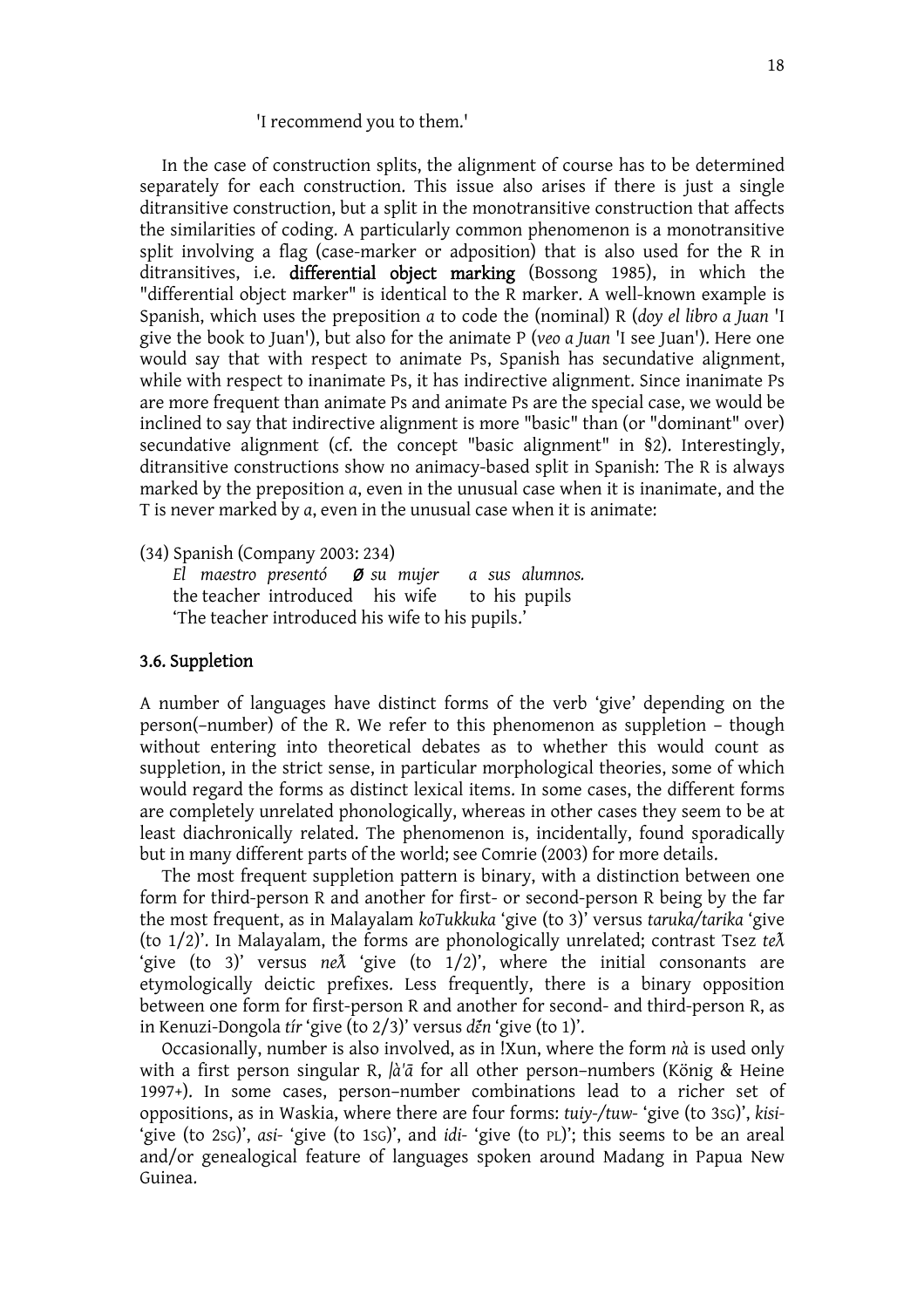#### 'I recommend you to them.'

In the case of construction splits, the alignment of course has to be determined separately for each construction. This issue also arises if there is just a single ditransitive construction, but a split in the monotransitive construction that affects the similarities of coding. A particularly common phenomenon is a monotransitive split involving a flag (case-marker or adposition) that is also used for the R in ditransitives, i.e. differential object marking (Bossong 1985), in which the "differential object marker" is identical to the R marker. A well-known example is Spanish, which uses the preposition *a* to code the (nominal) R (*doy el libro a Juan* 'I give the book to Juan'), but also for the animate P (*veo a Juan* 'I see Juan'). Here one would say that with respect to animate Ps, Spanish has secundative alignment, while with respect to inanimate Ps, it has indirective alignment. Since inanimate Ps are more frequent than animate Ps and animate Ps are the special case, we would be inclined to say that indirective alignment is more "basic" than (or "dominant" over) secundative alignment (cf. the concept "basic alignment" in §2). Interestingly, ditransitive constructions show no animacy-based split in Spanish: The R is always marked by the preposition *a*, even in the unusual case when it is inanimate, and the T is never marked by *a*, even in the unusual case when it is animate:

(34) Spanish (Company 2003: 234)

*El maestro presentó Ø su mujer a sus alumnos.* the teacher introduced his wife to his pupils 'The teacher introduced his wife to his pupils.'

#### 3.6. Suppletion

A number of languages have distinct forms of the verb 'give' depending on the person(–number) of the R. We refer to this phenomenon as suppletion – though without entering into theoretical debates as to whether this would count as suppletion, in the strict sense, in particular morphological theories, some of which would regard the forms as distinct lexical items. In some cases, the different forms are completely unrelated phonologically, whereas in other cases they seem to be at least diachronically related. The phenomenon is, incidentally, found sporadically but in many different parts of the world; see Comrie (2003) for more details.

 The most frequent suppletion pattern is binary, with a distinction between one form for third-person R and another for first- or second-person R being by the far the most frequent, as in Malayalam *koTukkuka* 'give (to 3)' versus *taruka/tarika* 'give (to 1/2)'. In Malayalam, the forms are phonologically unrelated; contrast Tsez *tec* 'give (to 3)' versus *ne* $\lambda$  'give (to 1/2)', where the initial consonants are etymologically deictic prefixes. Less frequently, there is a binary opposition between one form for first-person R and another for second- and third-person R, as in Kenuzi-Dongola *tir* 'give (to 2/3)' versus *d*<sup>2</sup>n 'give (to 1)'.

 Occasionally, number is also involved, as in !Xun, where the form *nà* is used only with a first person singular R, *|à'i* for all other person–numbers (König & Heine 1997+). In some cases, person–number combinations lead to a richer set of oppositions, as in Waskia, where there are four forms: *tuiy-/tuw-* 'give (to 3SG)', *kisi-* 'give (to 2SG)', *asi-* 'give (to 1SG)', and *idi-* 'give (to PL)'; this seems to be an areal and/or genealogical feature of languages spoken around Madang in Papua New Guinea.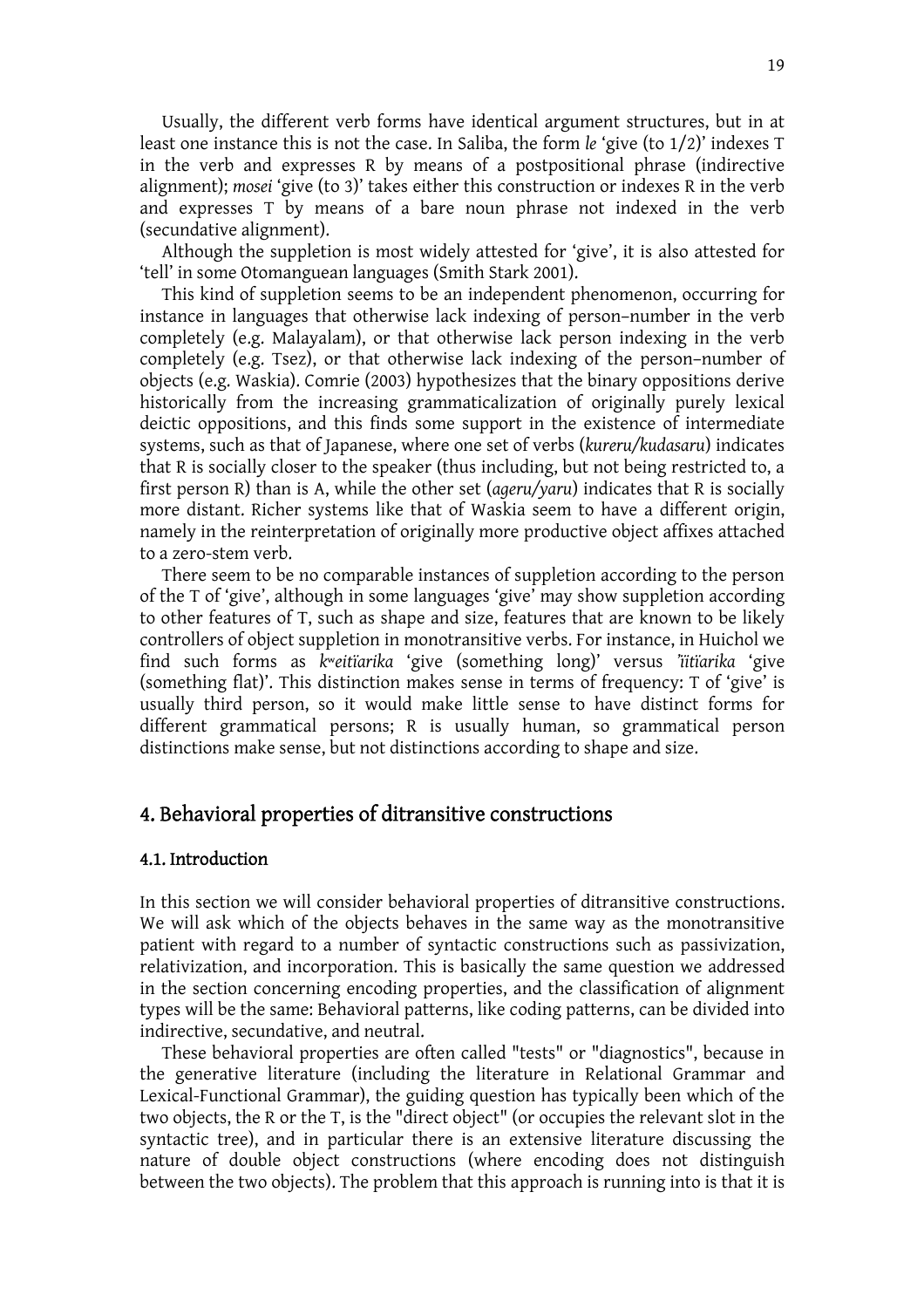Usually, the different verb forms have identical argument structures, but in at least one instance this is not the case. In Saliba, the form *le* 'give (to 1/2)' indexes T in the verb and expresses R by means of a postpositional phrase (indirective alignment); *mosei* 'give (to 3)' takes either this construction or indexes R in the verb and expresses T by means of a bare noun phrase not indexed in the verb (secundative alignment).

 Although the suppletion is most widely attested for 'give', it is also attested for 'tell' in some Otomanguean languages (Smith Stark 2001).

 This kind of suppletion seems to be an independent phenomenon, occurring for instance in languages that otherwise lack indexing of person–number in the verb completely (e.g. Malayalam), or that otherwise lack person indexing in the verb completely (e.g. Tsez), or that otherwise lack indexing of the person–number of objects (e.g. Waskia). Comrie (2003) hypothesizes that the binary oppositions derive historically from the increasing grammaticalization of originally purely lexical deictic oppositions, and this finds some support in the existence of intermediate systems, such as that of Japanese, where one set of verbs (*kureru/kudasaru*) indicates that R is socially closer to the speaker (thus including, but not being restricted to, a first person R) than is A, while the other set (*ageru/yaru*) indicates that R is socially more distant. Richer systems like that of Waskia seem to have a different origin, namely in the reinterpretation of originally more productive object affixes attached to a zero-stem verb.

 There seem to be no comparable instances of suppletion according to the person of the T of 'give', although in some languages 'give' may show suppletion according to other features of T, such as shape and size, features that are known to be likely controllers of object suppletion in monotransitive verbs. For instance, in Huichol we find such forms as *k*^*eitïarika* 'give (something long)' versus *'ïitïarika* 'give (something flat)'. This distinction makes sense in terms of frequency: T of 'give' is usually third person, so it would make little sense to have distinct forms for different grammatical persons; R is usually human, so grammatical person distinctions make sense, but not distinctions according to shape and size.

### 4. Behavioral properties of ditransitive constructions

#### 4.1. Introduction

In this section we will consider behavioral properties of ditransitive constructions. We will ask which of the objects behaves in the same way as the monotransitive patient with regard to a number of syntactic constructions such as passivization, relativization, and incorporation. This is basically the same question we addressed in the section concerning encoding properties, and the classification of alignment types will be the same: Behavioral patterns, like coding patterns, can be divided into indirective, secundative, and neutral.

 These behavioral properties are often called "tests" or "diagnostics", because in the generative literature (including the literature in Relational Grammar and Lexical-Functional Grammar), the guiding question has typically been which of the two objects, the R or the T, is the "direct object" (or occupies the relevant slot in the syntactic tree), and in particular there is an extensive literature discussing the nature of double object constructions (where encoding does not distinguish between the two objects). The problem that this approach is running into is that it is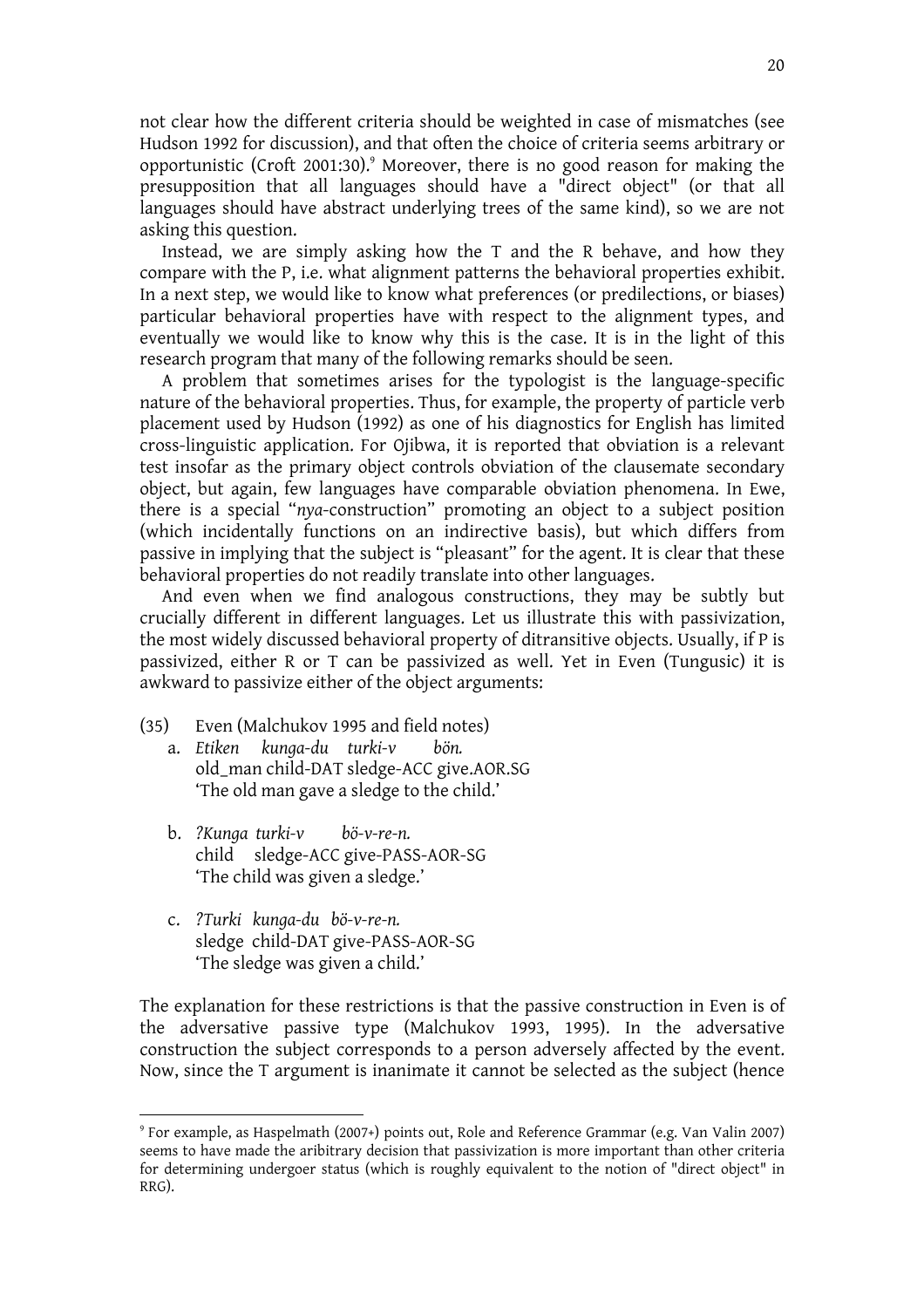not clear how the different criteria should be weighted in case of mismatches (see Hudson 1992 for discussion), and that often the choice of criteria seems arbitrary or opportunistic (Croft 2001:30).<sup>9</sup> Moreover, there is no good reason for making the presupposition that all languages should have a "direct object" (or that all languages should have abstract underlying trees of the same kind), so we are not asking this question.

Instead, we are simply asking how the  $T$  and the R behave, and how they compare with the P, i.e. what alignment patterns the behavioral properties exhibit. In a next step, we would like to know what preferences (or predilections, or biases) particular behavioral properties have with respect to the alignment types, and eventually we would like to know why this is the case. It is in the light of this research program that many of the following remarks should be seen.

 A problem that sometimes arises for the typologist is the language-specific nature of the behavioral properties. Thus, for example, the property of particle verb placement used by Hudson (1992) as one of his diagnostics for English has limited cross-linguistic application. For Ojibwa, it is reported that obviation is a relevant test insofar as the primary object controls obviation of the clausemate secondary object, but again, few languages have comparable obviation phenomena. In Ewe, there is a special "*nya*-construction" promoting an object to a subject position (which incidentally functions on an indirective basis), but which differs from passive in implying that the subject is "pleasant" for the agent. It is clear that these behavioral properties do not readily translate into other languages.

 And even when we find analogous constructions, they may be subtly but crucially different in different languages. Let us illustrate this with passivization, the most widely discussed behavioral property of ditransitive objects. Usually, if P is passivized, either R or T can be passivized as well. Yet in Even (Tungusic) it is awkward to passivize either of the object arguments:

- (35) Even (Malchukov 1995 and field notes)
	- a. *Etiken kunga-du turki-v bön.* old\_man child-DAT sledge-ACC give.AOR.SG 'The old man gave a sledge to the child.'
	- b. *?Kunga turki-v bö-v-re-n.* child sledge-ACC give-PASS-AOR-SG 'The child was given a sledge.'
	- c. *?Turki kunga-du bö-v-re-n.* sledge child-DAT give-PASS-AOR-SG 'The sledge was given a child.'

The explanation for these restrictions is that the passive construction in Even is of the adversative passive type (Malchukov 1993, 1995). In the adversative construction the subject corresponds to a person adversely affected by the event. Now, since the T argument is inanimate it cannot be selected as the subject (hence

<sup>9</sup> For example, as Haspelmath (2007+) points out, Role and Reference Grammar (e.g. Van Valin 2007) seems to have made the aribitrary decision that passivization is more important than other criteria for determining undergoer status (which is roughly equivalent to the notion of "direct object" in RRG).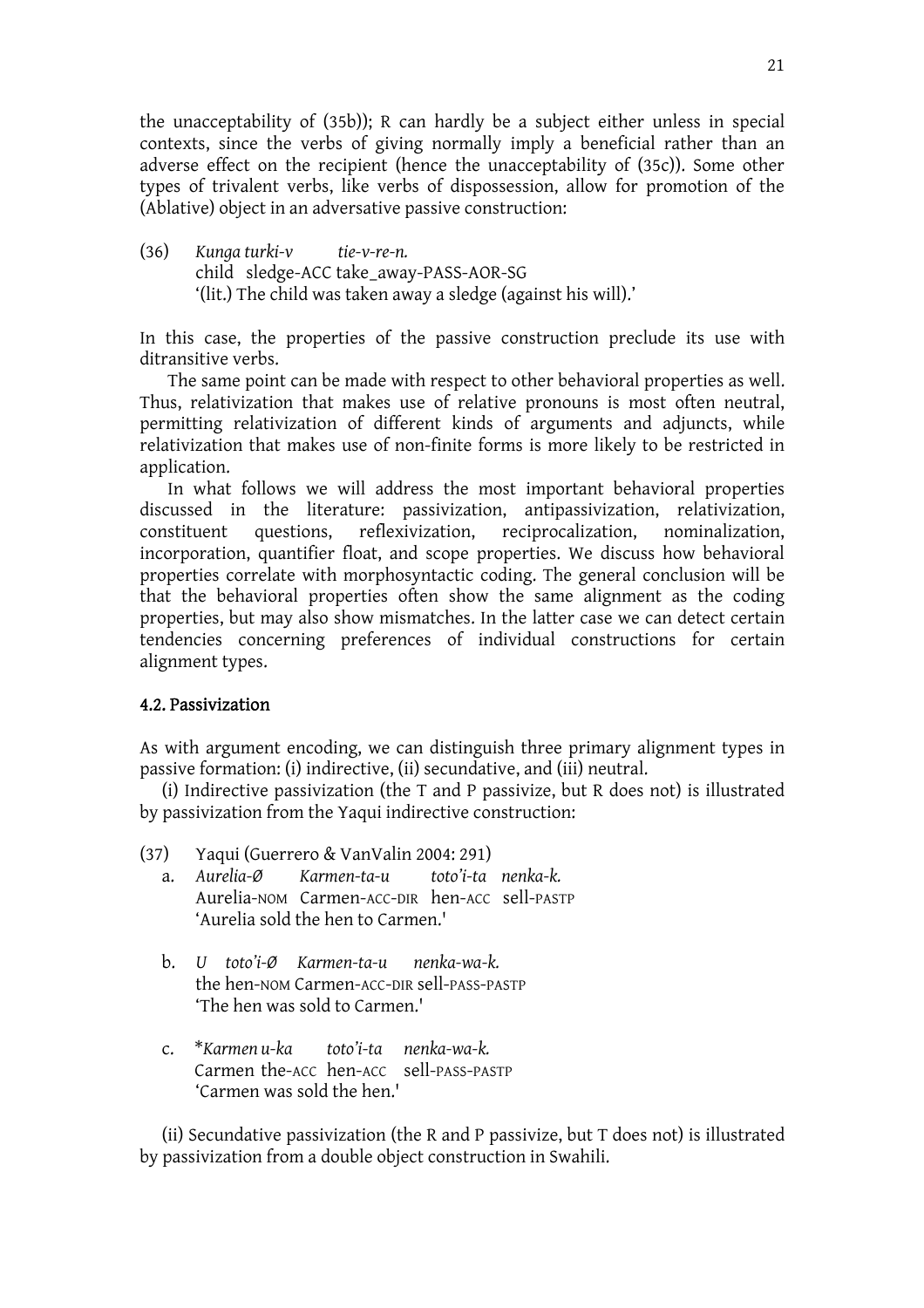the unacceptability of (35b)); R can hardly be a subject either unless in special contexts, since the verbs of giving normally imply a beneficial rather than an adverse effect on the recipient (hence the unacceptability of (35c)). Some other types of trivalent verbs, like verbs of dispossession, allow for promotion of the (Ablative) object in an adversative passive construction:

(36) *Kunga turki-v tie-v-re-n.* child sledge-ACC take\_away-PASS-AOR-SG '(lit.) The child was taken away a sledge (against his will).'

In this case, the properties of the passive construction preclude its use with ditransitive verbs.

 The same point can be made with respect to other behavioral properties as well. Thus, relativization that makes use of relative pronouns is most often neutral, permitting relativization of different kinds of arguments and adjuncts, while relativization that makes use of non-finite forms is more likely to be restricted in application.

 In what follows we will address the most important behavioral properties discussed in the literature: passivization, antipassivization, relativization, constituent questions, reflexivization, reciprocalization, nominalization, incorporation, quantifier float, and scope properties. We discuss how behavioral properties correlate with morphosyntactic coding. The general conclusion will be that the behavioral properties often show the same alignment as the coding properties, but may also show mismatches. In the latter case we can detect certain tendencies concerning preferences of individual constructions for certain alignment types.

### 4.2. Passivization

As with argument encoding, we can distinguish three primary alignment types in passive formation: (i) indirective, (ii) secundative, and (iii) neutral.

 (i) Indirective passivization (the T and P passivize, but R does not) is illustrated by passivization from the Yaqui indirective construction:

- (37) Yaqui (Guerrero & VanValin 2004: 291) a. *Aurelia-Ø Karmen-ta-u toto'i-ta nenka-k.* 
	- Aurelia-NOM Carmen-ACC-DIR hen-ACC sell-PASTP 'Aurelia sold the hen to Carmen.'
	- b. *U toto'i-Ø Karmen-ta-u nenka-wa-k.*  the hen-NOM Carmen-ACC-DIR sell-PASS-PASTP 'The hen was sold to Carmen.'
	- c. \**Karmen u-ka toto'i-ta nenka-wa-k.*  Carmen the-ACC hen-ACC sell-PASS-PASTP 'Carmen was sold the hen.'

(ii) Secundative passivization (the R and P passivize, but T does not) is illustrated by passivization from a double object construction in Swahili.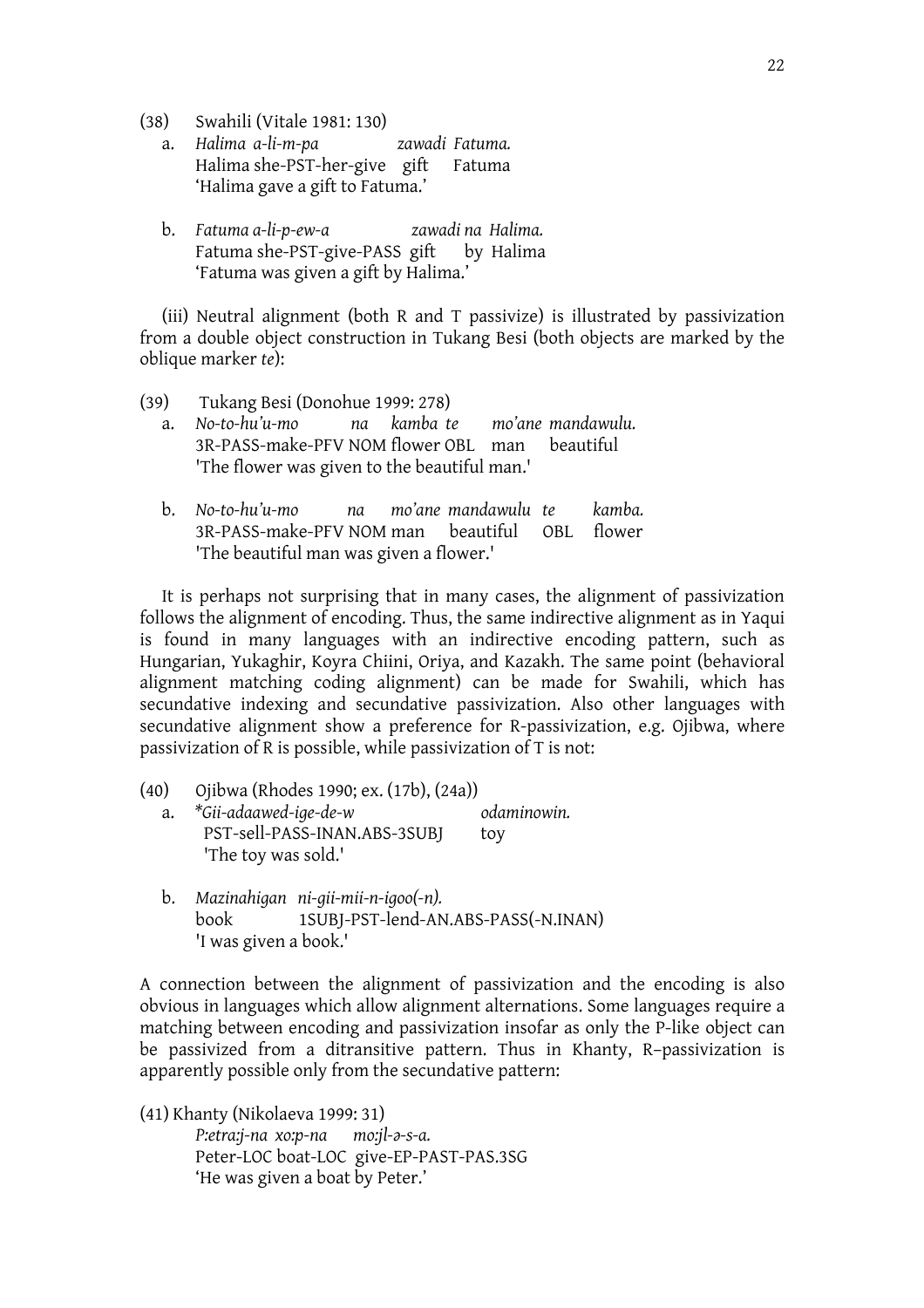(38) Swahili (Vitale 1981: 130)

- a. *Halima a-li-m-pa zawadi Fatuma.*  Halima she-PST-her-give gift Fatuma 'Halima gave a gift to Fatuma.'
- b. *Fatuma a-li-p-ew-a zawadi na Halima.*  Fatuma she-PST-give-PASS gift by Halima 'Fatuma was given a gift by Halima.'

(iii) Neutral alignment (both R and T passivize) is illustrated by passivization from a double object construction in Tukang Besi (both objects are marked by the oblique marker *te*):

- (39) Tukang Besi (Donohue 1999: 278)
	- a. *No-to-hu'u-mo na kamba te mo'ane mandawulu.*  3R-PASS-make-PFV NOM flower OBL man beautiful 'The flower was given to the beautiful man.'
	- b. *No-to-hu'u-mo na mo'ane mandawulu te kamba.*  3R-PASS-make-PFV NOM man beautiful OBL flower 'The beautiful man was given a flower.'

It is perhaps not surprising that in many cases, the alignment of passivization follows the alignment of encoding. Thus, the same indirective alignment as in Yaqui is found in many languages with an indirective encoding pattern, such as Hungarian, Yukaghir, Koyra Chiini, Oriya, and Kazakh. The same point (behavioral alignment matching coding alignment) can be made for Swahili, which has secundative indexing and secundative passivization. Also other languages with secundative alignment show a preference for R-passivization, e.g. Ojibwa, where passivization of R is possible, while passivization of T is not:

- (40) Ojibwa (Rhodes 1990; ex. (17b), (24a)) a. *\*Gii-adaawed-ige-de-w odaminowin.* PST-sell-PASS-INAN.ABS-3SUBJ toy 'The toy was sold.'
	- b. *Mazinahigan ni-gii-mii-n-igoo(-n).* book 1SUBJ-PST-lend-AN.ABS-PASS(-N.INAN) 'I was given a book.'

A connection between the alignment of passivization and the encoding is also obvious in languages which allow alignment alternations. Some languages require a matching between encoding and passivization insofar as only the P-like object can be passivized from a ditransitive pattern. Thus in Khanty, R–passivization is apparently possible only from the secundative pattern:

(41) Khanty (Nikolaeva 1999: 31) *P:etra:j-na xo:p-na mo:jl-[-s-a.*  Peter-LOC boat-LOC give-EP-PAST-PAS.3SG 'He was given a boat by Peter.'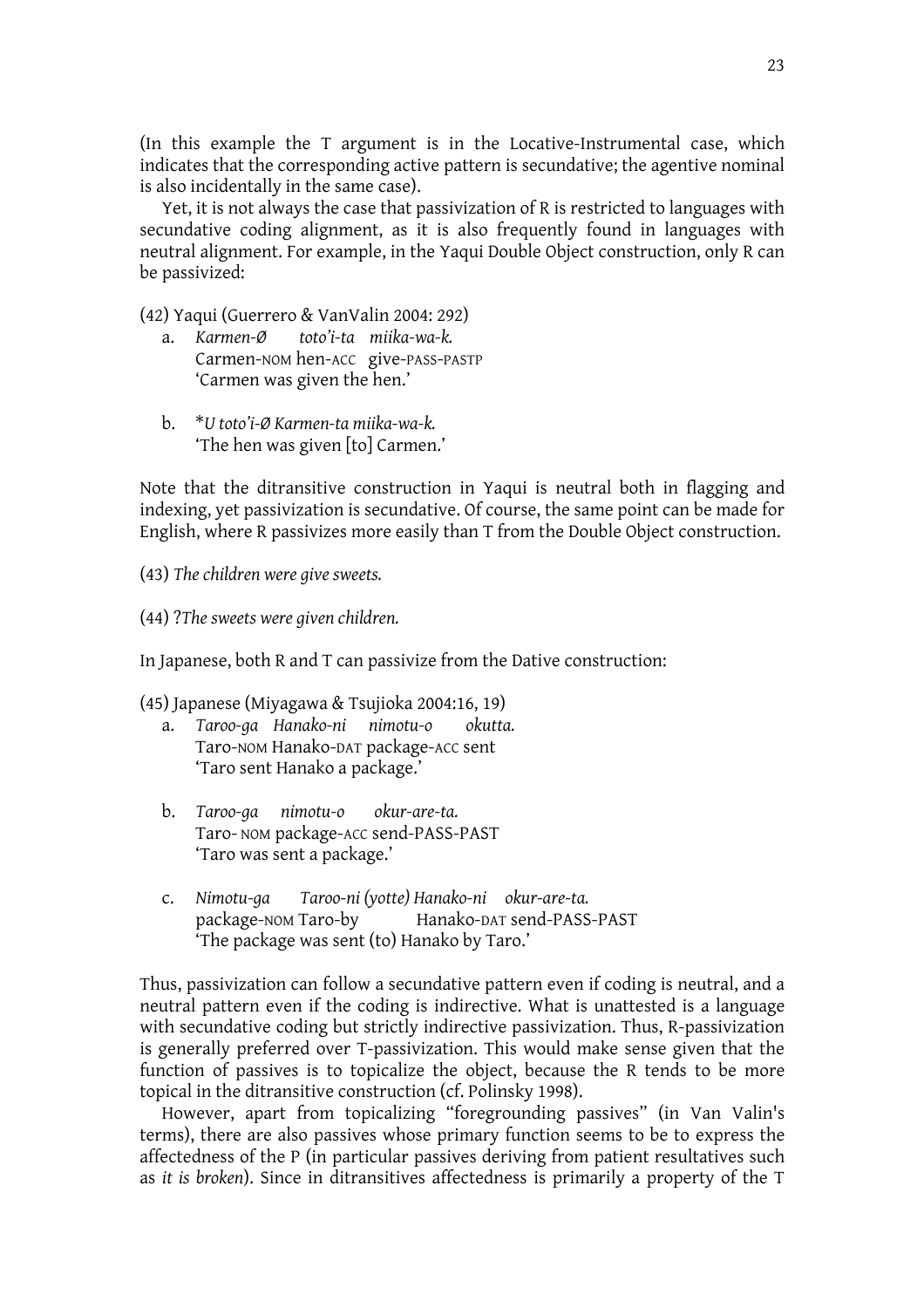(In this example the T argument is in the Locative-Instrumental case, which indicates that the corresponding active pattern is secundative; the agentive nominal is also incidentally in the same case).

 Yet, it is not always the case that passivization of R is restricted to languages with secundative coding alignment, as it is also frequently found in languages with neutral alignment. For example, in the Yaqui Double Object construction, only R can be passivized:

(42) Yaqui (Guerrero & VanValin 2004: 292)

- a. *Karmen-Ø toto'i-ta miika-wa-k.*  Carmen-NOM hen-ACC give-PASS-PASTP 'Carmen was given the hen.'
- b. \**U toto'i-Ø Karmen-ta miika-wa-k.*  'The hen was given [to] Carmen.'

Note that the ditransitive construction in Yaqui is neutral both in flagging and indexing, yet passivization is secundative. Of course, the same point can be made for English, where R passivizes more easily than T from the Double Object construction.

- (43) *The children were give sweets.*
- (44) ?*The sweets were given children.*

In Japanese, both R and T can passivize from the Dative construction:

(45) Japanese (Miyagawa & Tsujioka 2004:16, 19)

- a. *Taroo-ga Hanako-ni nimotu-o okutta.* Taro-NOM Hanako-DAT package-ACC sent 'Taro sent Hanako a package.'
- b. *Taroo-ga nimotu-o okur-are-ta.* Taro- NOM package-ACC send-PASS-PAST 'Taro was sent a package.'
- c. *Nimotu-ga Taroo-ni (yotte) Hanako-ni okur-are-ta.* package-NOM Taro-by Hanako-DAT send-PASS-PAST 'The package was sent (to) Hanako by Taro.'

Thus, passivization can follow a secundative pattern even if coding is neutral, and a neutral pattern even if the coding is indirective. What is unattested is a language with secundative coding but strictly indirective passivization. Thus, R-passivization is generally preferred over T-passivization. This would make sense given that the function of passives is to topicalize the object, because the R tends to be more topical in the ditransitive construction (cf. Polinsky 1998).

 However, apart from topicalizing "foregrounding passives" (in Van Valin's terms), there are also passives whose primary function seems to be to express the affectedness of the P (in particular passives deriving from patient resultatives such as *it is broken*). Since in ditransitives affectedness is primarily a property of the T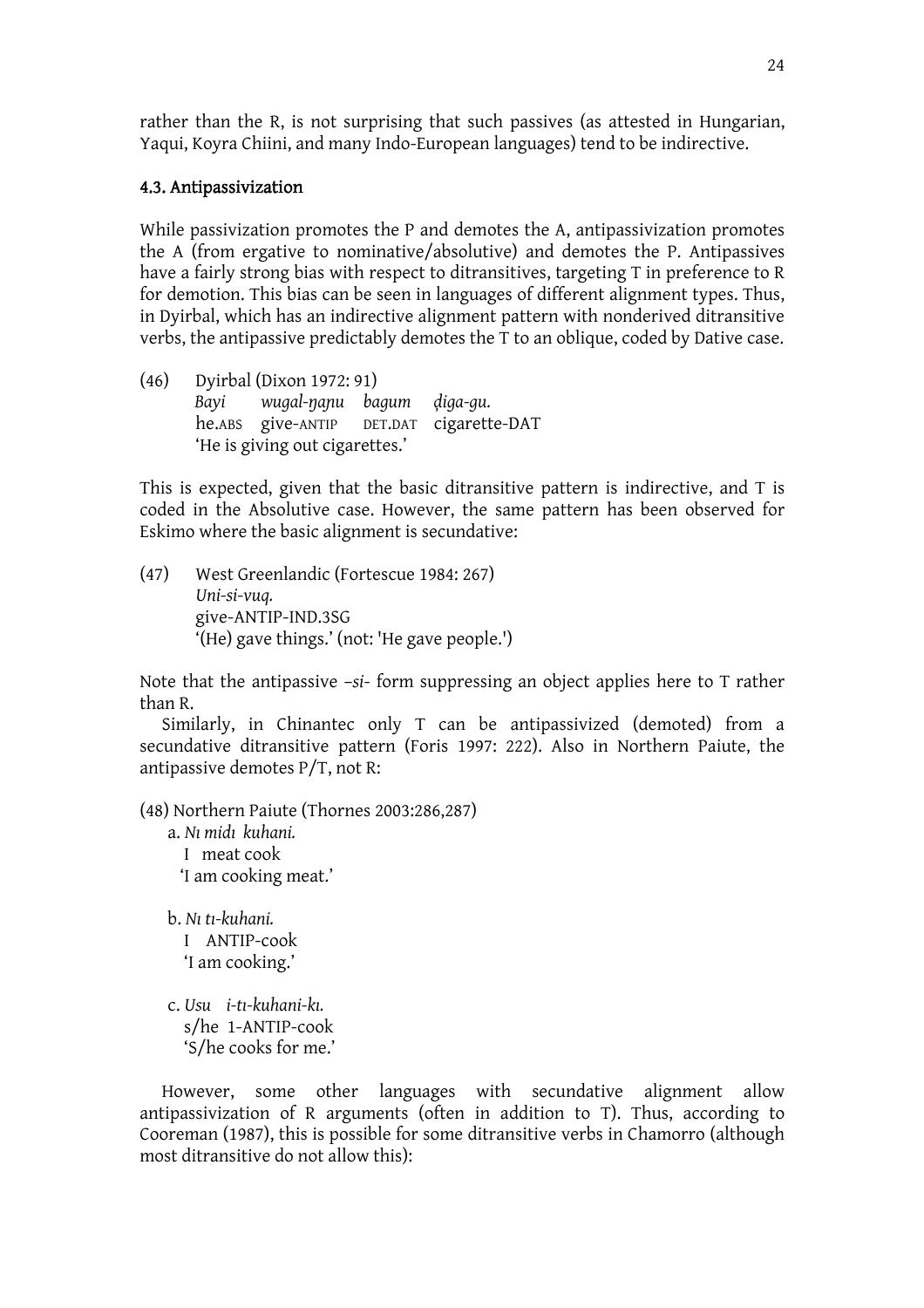rather than the R, is not surprising that such passives (as attested in Hungarian, Yaqui, Koyra Chiini, and many Indo-European languages) tend to be indirective.

### 4.3. Antipassivization

While passivization promotes the P and demotes the A, antipassivization promotes the A (from ergative to nominative/absolutive) and demotes the P. Antipassives have a fairly strong bias with respect to ditransitives, targeting T in preference to R for demotion. This bias can be seen in languages of different alignment types. Thus, in Dyirbal, which has an indirective alignment pattern with nonderived ditransitive verbs, the antipassive predictably demotes the T to an oblique, coded by Dative case.

(46) Dyirbal (Dixon 1972: 91) *Bayi* wugal-nanu bagum diga-gu. he.ABS give-ANTIP DET.DAT cigarette-DAT 'He is giving out cigarettes.'

This is expected, given that the basic ditransitive pattern is indirective, and T is coded in the Absolutive case. However, the same pattern has been observed for Eskimo where the basic alignment is secundative:

(47) West Greenlandic (Fortescue 1984: 267) *Uni-si-vuq.*  give-ANTIP-IND.3SG '(He) gave things.' (not: 'He gave people.')

Note that the antipassive –*si*- form suppressing an object applies here to T rather than R.

 Similarly, in Chinantec only T can be antipassivized (demoted) from a secundative ditransitive pattern (Foris 1997: 222). Also in Northern Paiute, the antipassive demotes P/T, not R:

(48) Northern Paiute (Thornes 2003:286,287)

- a. *Nn midn kuhani.* I meat cook 'I am cooking meat.'
- b. *Nn tn-kuhani.* I ANTIP-cook 'I am cooking.'
- c. *Usu i-tn-kuhani-kn.* s/he 1-ANTIP-cook 'S/he cooks for me.'

However, some other languages with secundative alignment allow antipassivization of R arguments (often in addition to T). Thus, according to Cooreman (1987), this is possible for some ditransitive verbs in Chamorro (although most ditransitive do not allow this):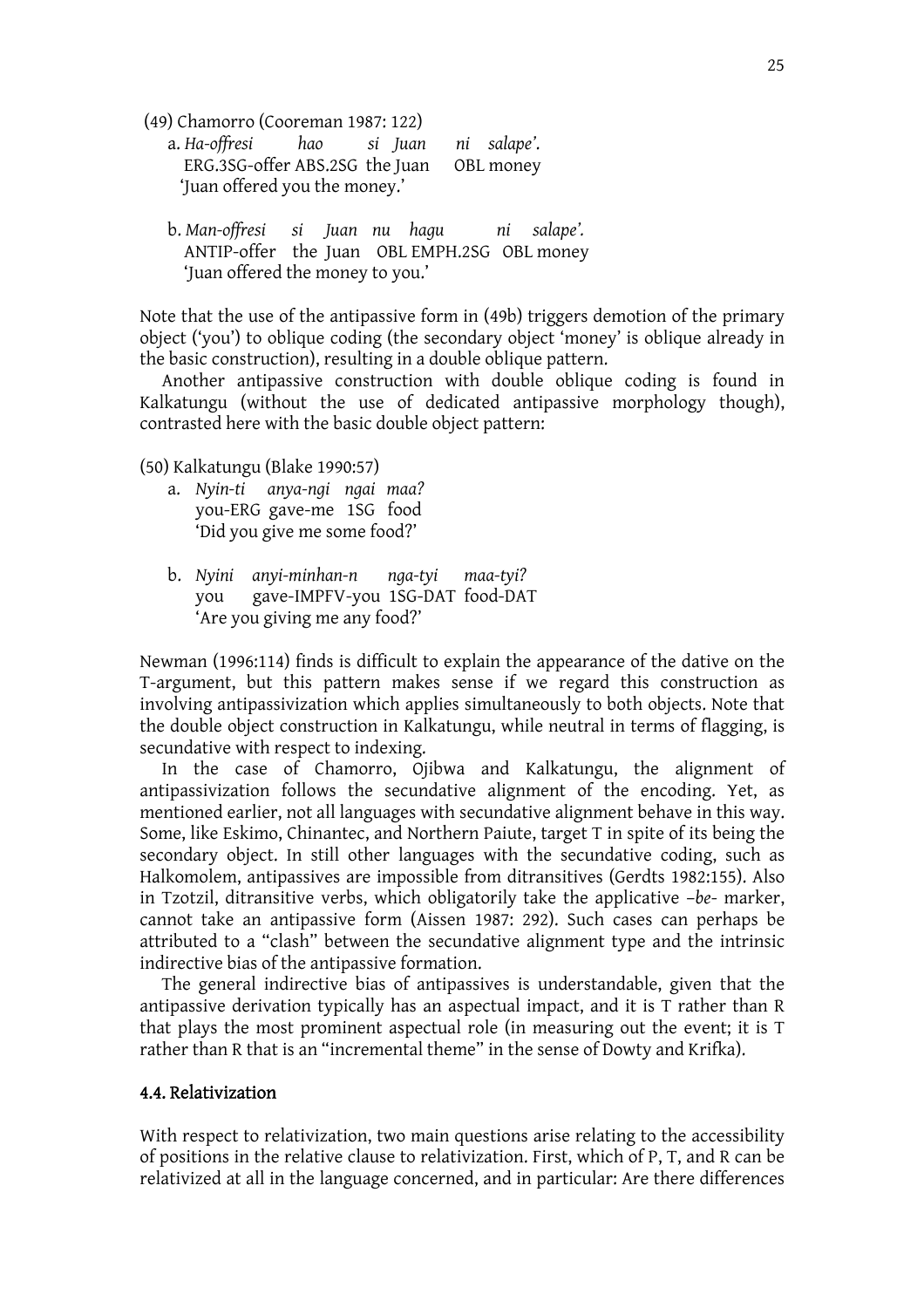(49) Chamorro (Cooreman 1987: 122)

| a. Ha-offresi hao si Juan ni salape'.    |  |  |
|------------------------------------------|--|--|
| ERG.3SG-offer ABS.2SG the Juan OBL money |  |  |
| 'Juan offered you the money.'            |  |  |

b. *Man-offresi si Juan nu hagu ni salape'.* ANTIP-offer the Juan OBL EMPH.2SG OBL money 'Juan offered the money to you.'

Note that the use of the antipassive form in (49b) triggers demotion of the primary object ('you') to oblique coding (the secondary object 'money' is oblique already in the basic construction), resulting in a double oblique pattern.

 Another antipassive construction with double oblique coding is found in Kalkatungu (without the use of dedicated antipassive morphology though), contrasted here with the basic double object pattern:

(50) Kalkatungu (Blake 1990:57)

- a. *Nyin-ti anya-ngi ngai maa?* you-ERG gave-me 1SG food 'Did you give me some food?'
- b. *Nyini anyi-minhan-n nga-tyi maa-tyi?* you gave-IMPFV-you 1SG-DAT food-DAT 'Are you giving me any food?'

Newman (1996:114) finds is difficult to explain the appearance of the dative on the T-argument, but this pattern makes sense if we regard this construction as involving antipassivization which applies simultaneously to both objects. Note that the double object construction in Kalkatungu, while neutral in terms of flagging, is secundative with respect to indexing.

 In the case of Chamorro, Ojibwa and Kalkatungu, the alignment of antipassivization follows the secundative alignment of the encoding. Yet, as mentioned earlier, not all languages with secundative alignment behave in this way. Some, like Eskimo, Chinantec, and Northern Paiute, target T in spite of its being the secondary object. In still other languages with the secundative coding, such as Halkomolem, antipassives are impossible from ditransitives (Gerdts 1982:155). Also in Tzotzil, ditransitive verbs, which obligatorily take the applicative –*be*- marker, cannot take an antipassive form (Aissen 1987: 292). Such cases can perhaps be attributed to a "clash" between the secundative alignment type and the intrinsic indirective bias of the antipassive formation.

 The general indirective bias of antipassives is understandable, given that the antipassive derivation typically has an aspectual impact, and it is T rather than R that plays the most prominent aspectual role (in measuring out the event; it is T rather than R that is an "incremental theme" in the sense of Dowty and Krifka).

#### 4.4. Relativization

With respect to relativization, two main questions arise relating to the accessibility of positions in the relative clause to relativization. First, which of P, T, and R can be relativized at all in the language concerned, and in particular: Are there differences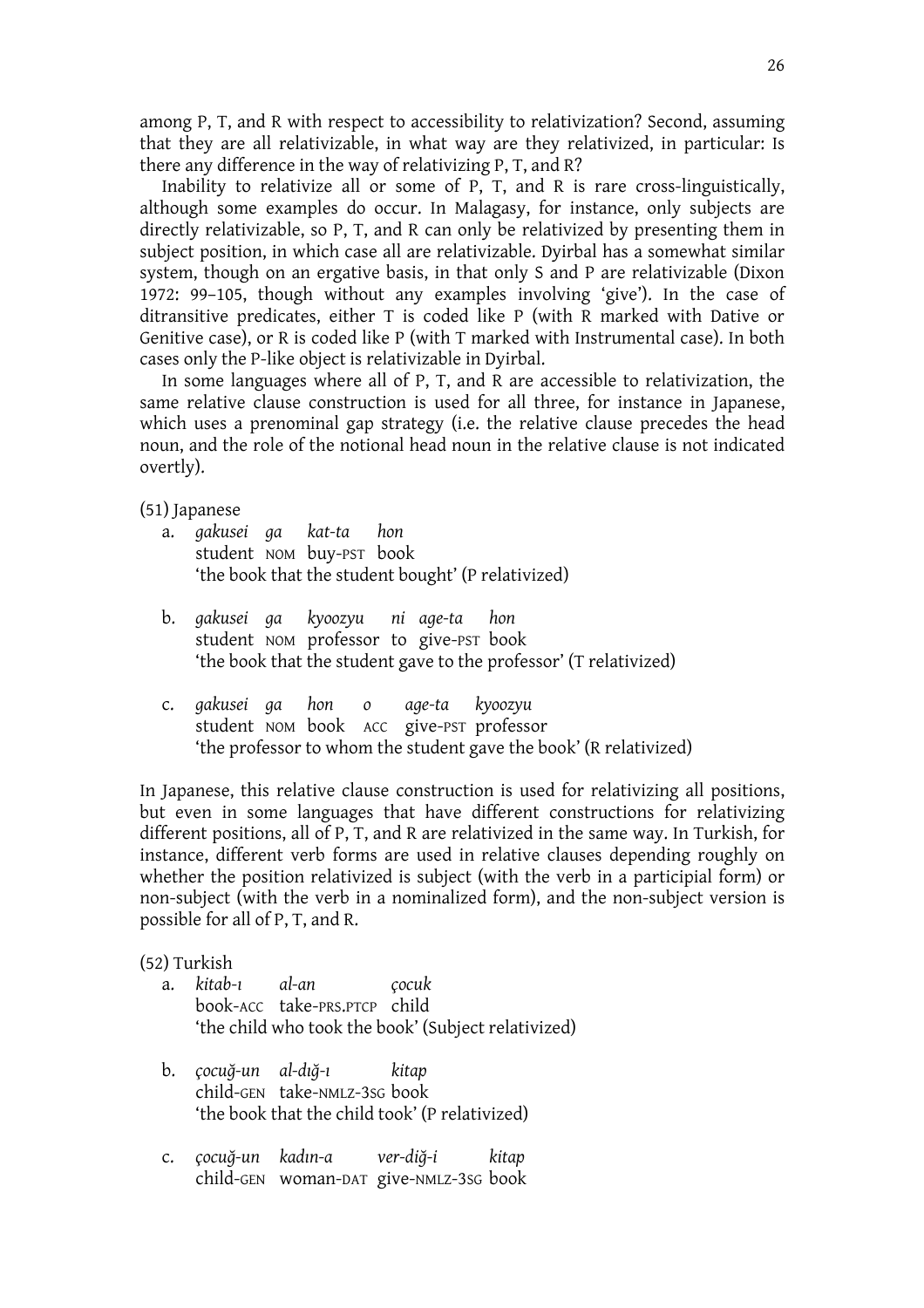among P, T, and R with respect to accessibility to relativization? Second, assuming that they are all relativizable, in what way are they relativized, in particular: Is there any difference in the way of relativizing P, T, and R?

 Inability to relativize all or some of P, T, and R is rare cross-linguistically, although some examples do occur. In Malagasy, for instance, only subjects are directly relativizable, so P, T, and R can only be relativized by presenting them in subject position, in which case all are relativizable. Dyirbal has a somewhat similar system, though on an ergative basis, in that only S and P are relativizable (Dixon 1972: 99–105, though without any examples involving 'give'). In the case of ditransitive predicates, either T is coded like P (with R marked with Dative or Genitive case), or R is coded like P (with T marked with Instrumental case). In both cases only the P-like object is relativizable in Dyirbal.

 In some languages where all of P, T, and R are accessible to relativization, the same relative clause construction is used for all three, for instance in Japanese, which uses a prenominal gap strategy (i.e. the relative clause precedes the head noun, and the role of the notional head noun in the relative clause is not indicated overtly).

(51) Japanese

- a. *gakusei ga kat-ta hon* student NOM buy-PST book 'the book that the student bought' (P relativized)
- b. *gakusei ga kyoozyu ni age-ta hon* student NOM professor to give-PST book 'the book that the student gave to the professor' (T relativized)
- c. *gakusei ga hon o age-ta kyoozyu* student NOM book ACC give-PST professor 'the professor to whom the student gave the book' (R relativized)

In Japanese, this relative clause construction is used for relativizing all positions, but even in some languages that have different constructions for relativizing different positions, all of P, T, and R are relativized in the same way. In Turkish, for instance, different verb forms are used in relative clauses depending roughly on whether the position relativized is subject (with the verb in a participial form) or non-subject (with the verb in a nominalized form), and the non-subject version is possible for all of P, T, and R.

### (52) Turkish

- a. *kitab-n al-an çocuk* book-ACC take-PRS.PTCP child 'the child who took the book' (Subject relativized)
- b. *çocuo-un al-dno-n kitap* child-GEN take-NMLZ-3SG book 'the book that the child took' (P relativized)
- c. *çocuo-un kadnn-a ver-dio-i kitap* child-GEN woman-DAT give-NMLZ-3SG book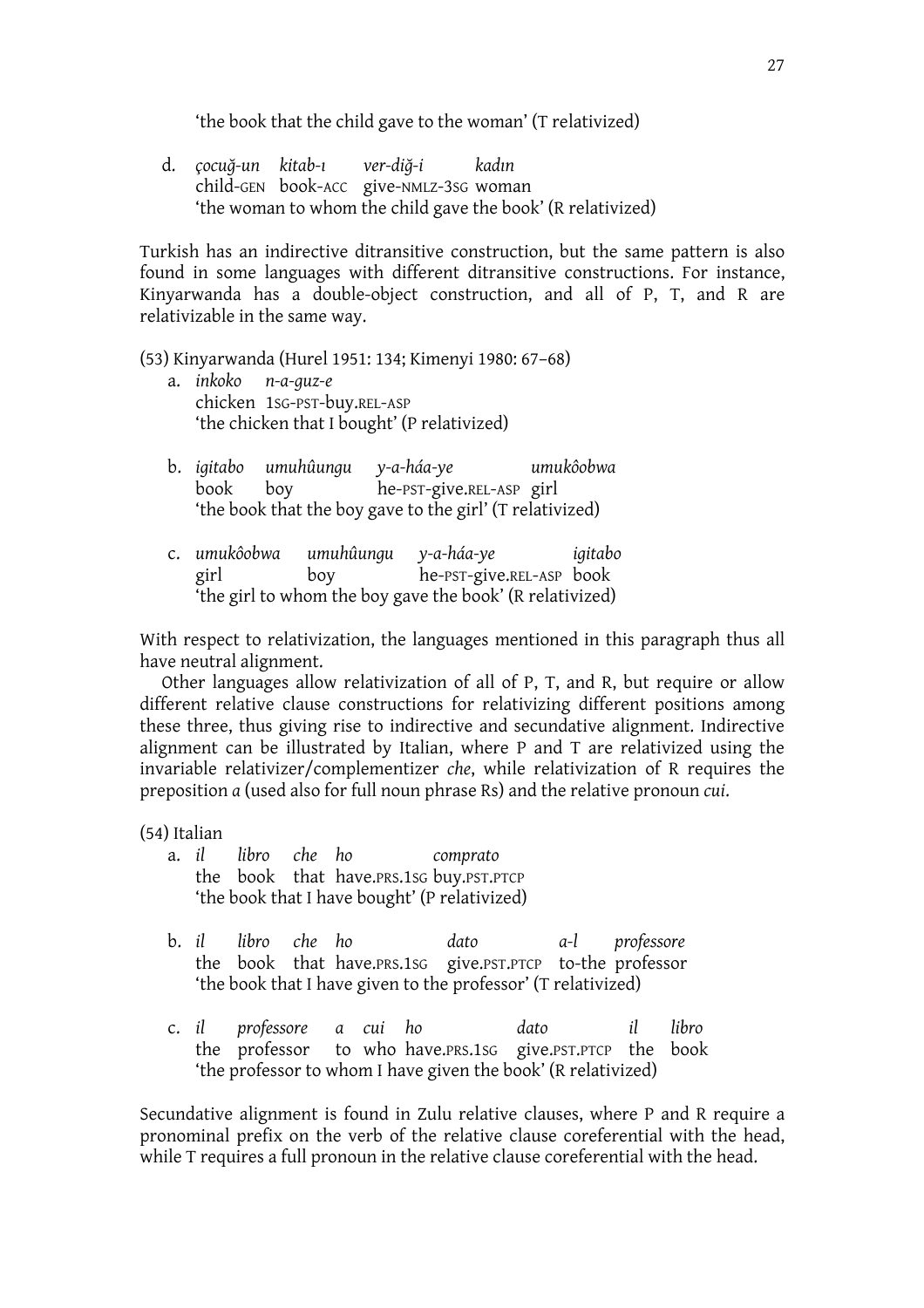'the book that the child gave to the woman' (T relativized)

d. *çocuo-un kitab-n ver-dio-i kadnn* child-GEN book-ACC give-NMLZ-3SG woman 'the woman to whom the child gave the book' (R relativized)

Turkish has an indirective ditransitive construction, but the same pattern is also found in some languages with different ditransitive constructions. For instance, Kinyarwanda has a double-object construction, and all of P, T, and R are relativizable in the same way.

(53) Kinyarwanda (Hurel 1951: 134; Kimenyi 1980: 67–68)

- a. *inkoko n-a-guz-e* chicken 1SG-PST-buy.REL-ASP 'the chicken that I bought' (P relativized)
- b. *igitabo umuhûungu y-a-háa-ye umukôobwa* book boy he-PST-give.REL-ASP girl 'the book that the boy gave to the girl' (T relativized)
- c. *umukôobwa umuhûungu y-a-háa-ye igitabo* girl boy he-PST-give.REL-ASP book 'the girl to whom the boy gave the book' (R relativized)

With respect to relativization, the languages mentioned in this paragraph thus all have neutral alignment.

 Other languages allow relativization of all of P, T, and R, but require or allow different relative clause constructions for relativizing different positions among these three, thus giving rise to indirective and secundative alignment. Indirective alignment can be illustrated by Italian, where P and T are relativized using the invariable relativizer/complementizer *che*, while relativization of R requires the preposition *a* (used also for full noun phrase Rs) and the relative pronoun *cui*.

(54) Italian

- a. *il libro che ho comprato* the book that have.PRS.1SG buy.PST.PTCP 'the book that I have bought' (P relativized)
- b. *il libro che ho dato a-l professore* the book that have.PRS.1SG give.PST.PTCP to-the professor 'the book that I have given to the professor' (T relativized)
- c. *il professore a cui ho dato il libro* the professor to who have.PRS.1SG give.PST.PTCP the book 'the professor to whom I have given the book' (R relativized)

Secundative alignment is found in Zulu relative clauses, where P and R require a pronominal prefix on the verb of the relative clause coreferential with the head, while T requires a full pronoun in the relative clause coreferential with the head.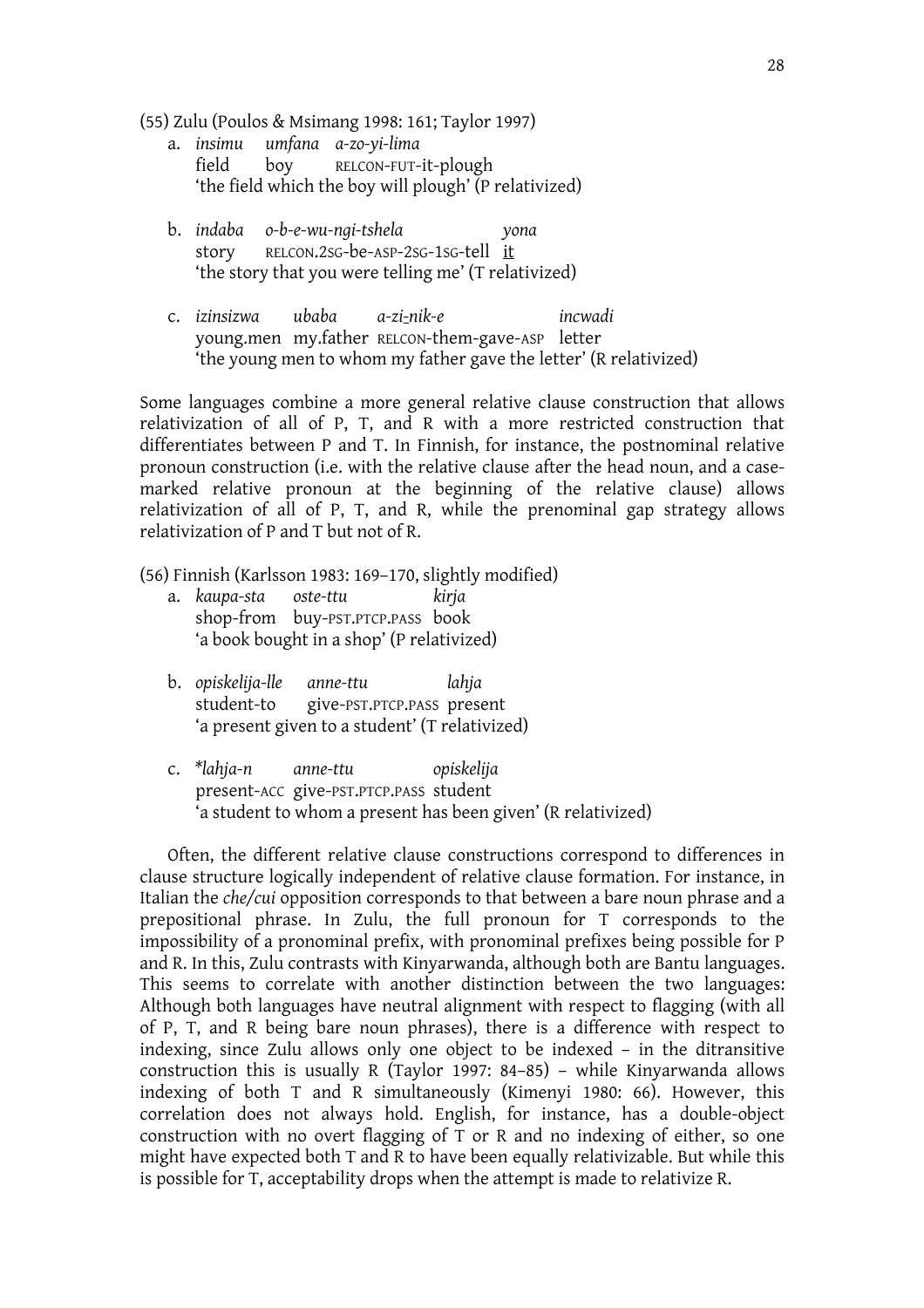(55) Zulu (Poulos & Msimang 1998: 161; Taylor 1997)

- a. *insimu umfana a-zo-yi-lima* field boy RELCON-FUT-it-plough 'the field which the boy will plough' (P relativized)
- b. *indaba o-b-e-wu-ngi-tshela yona* story RELCON.2SG-be-ASP-2SG-1SG-tell it 'the story that you were telling me' (T relativized)
- c. *izinsizwa ubaba a-zi-nik-e incwadi* young.men my.father RELCON-them-gave-ASP letter 'the young men to whom my father gave the letter' (R relativized)

Some languages combine a more general relative clause construction that allows relativization of all of P, T, and R with a more restricted construction that differentiates between P and T. In Finnish, for instance, the postnominal relative pronoun construction (i.e. with the relative clause after the head noun, and a casemarked relative pronoun at the beginning of the relative clause) allows relativization of all of P, T, and R, while the prenominal gap strategy allows relativization of P and T but not of R.

(56) Finnish (Karlsson 1983: 169–170, slightly modified)

- a. *kaupa-sta oste-ttu kirja* shop-from buy-PST.PTCP.PASS book 'a book bought in a shop' (P relativized)
- b. *opiskelija-lle anne-ttu lahja* student-to give-PST.PTCP.PASS present 'a present given to a student' (T relativized)
- c. *\*lahja-n anne-ttu opiskelija* present-ACC give-PST.PTCP.PASS student 'a student to whom a present has been given' (R relativized)

Often, the different relative clause constructions correspond to differences in clause structure logically independent of relative clause formation. For instance, in Italian the *che/cui* opposition corresponds to that between a bare noun phrase and a prepositional phrase. In Zulu, the full pronoun for T corresponds to the impossibility of a pronominal prefix, with pronominal prefixes being possible for P and R. In this, Zulu contrasts with Kinyarwanda, although both are Bantu languages. This seems to correlate with another distinction between the two languages: Although both languages have neutral alignment with respect to flagging (with all of P, T, and R being bare noun phrases), there is a difference with respect to indexing, since Zulu allows only one object to be indexed – in the ditransitive construction this is usually R (Taylor 1997: 84–85) – while Kinyarwanda allows indexing of both T and R simultaneously (Kimenyi 1980: 66). However, this correlation does not always hold. English, for instance, has a double-object construction with no overt flagging of T or R and no indexing of either, so one might have expected both T and R to have been equally relativizable. But while this is possible for T, acceptability drops when the attempt is made to relativize R.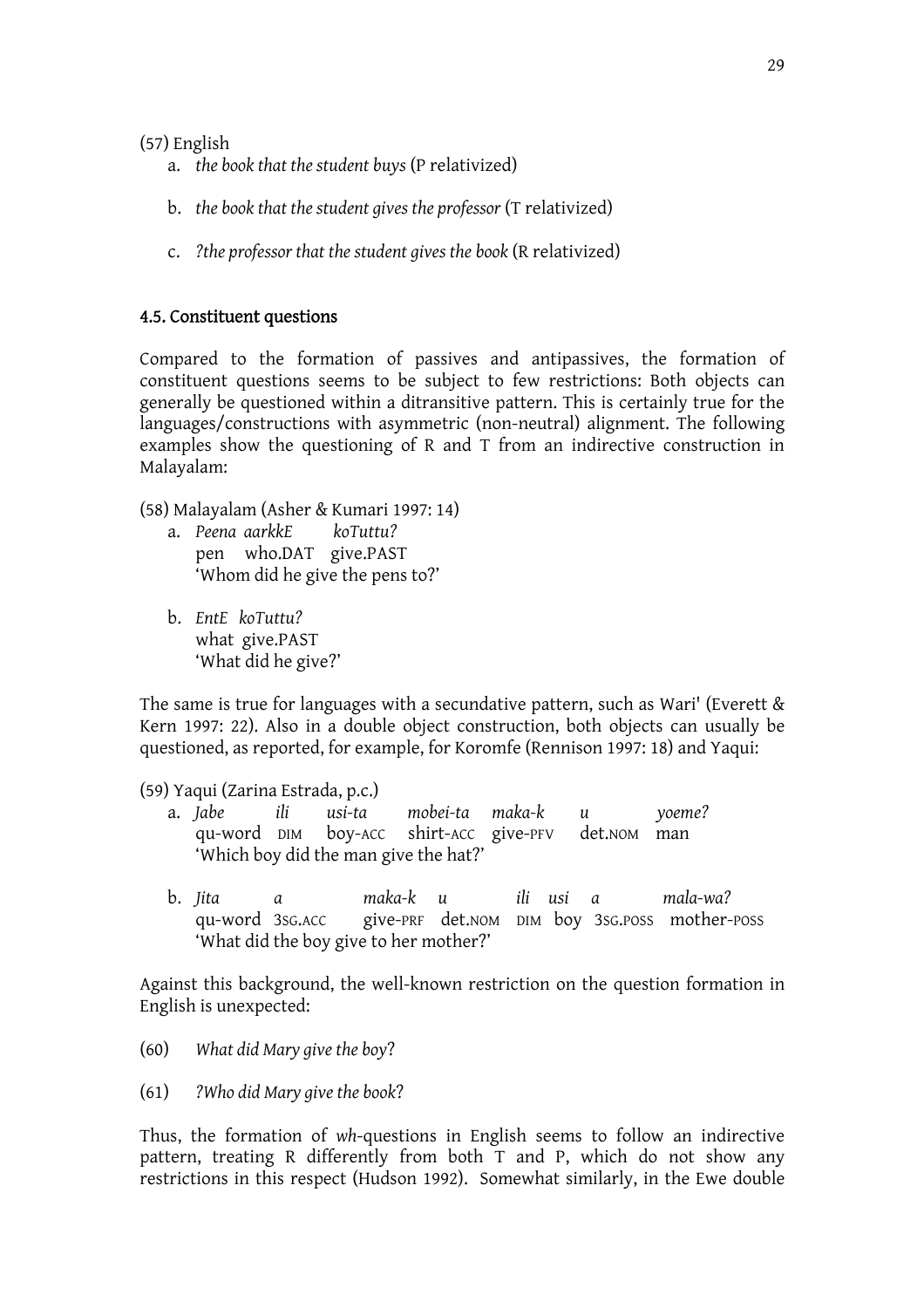(57) English

- a. *the book that the student buys* (P relativized)
- b. *the book that the student gives the professor* (T relativized)
- c. *?the professor that the student gives the book* (R relativized)

# 4.5. Constituent questions

Compared to the formation of passives and antipassives, the formation of constituent questions seems to be subject to few restrictions: Both objects can generally be questioned within a ditransitive pattern. This is certainly true for the languages/constructions with asymmetric (non-neutral) alignment. The following examples show the questioning of R and T from an indirective construction in Malayalam:

(58) Malayalam (Asher & Kumari 1997: 14)

- a. *Peena aarkkE koTuttu?* pen who.DAT give.PAST 'Whom did he give the pens to?'
- b. *EntE koTuttu?* what give.PAST 'What did he give?'

The same is true for languages with a secundative pattern, such as Wari' (Everett  $\&$ Kern 1997: 22). Also in a double object construction, both objects can usually be questioned, as reported, for example, for Koromfe (Rennison 1997: 18) and Yaqui:

(59) Yaqui (Zarina Estrada, p.c.)

- a. *Jabe ili usi-ta mobei-ta maka-k u yoeme?* qu-word DIM boy-ACC shirt-ACC give-PFV det.NOM man 'Which boy did the man give the hat?'
	- b. *Jita a maka-k u ili usi a mala-wa?* qu-word 3SG.ACC give-PRF det.NOM DIM boy 3SG.POSS mother-POSS 'What did the boy give to her mother?'

Against this background, the well-known restriction on the question formation in English is unexpected:

- (60) *What did Mary give the boy*?
- (61) *?Who did Mary give the book*?

Thus, the formation of *wh*-questions in English seems to follow an indirective pattern, treating R differently from both T and P, which do not show any restrictions in this respect (Hudson 1992). Somewhat similarly, in the Ewe double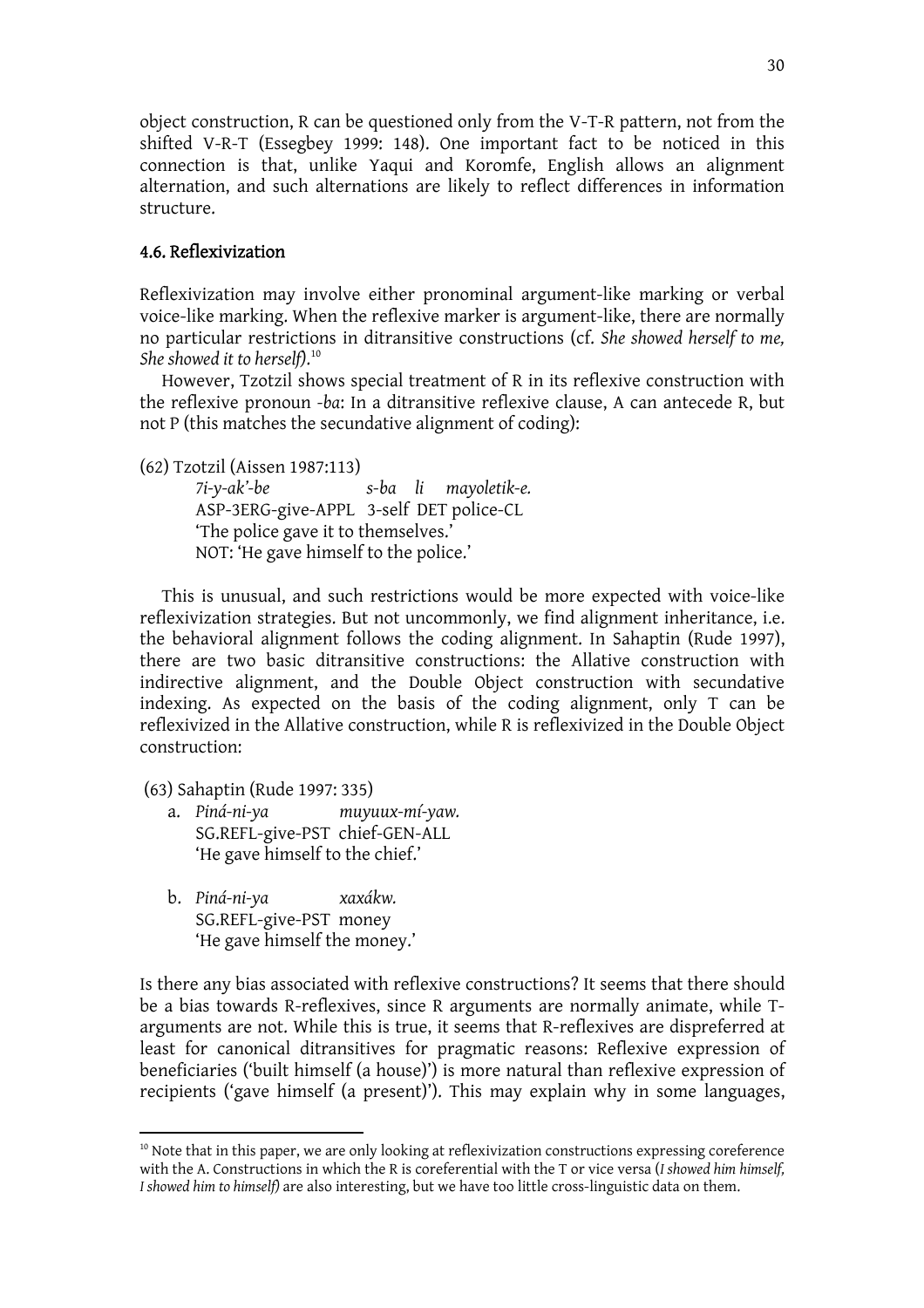object construction, R can be questioned only from the V-T-R pattern, not from the shifted V-R-T (Essegbey 1999: 148). One important fact to be noticed in this connection is that, unlike Yaqui and Koromfe, English allows an alignment alternation, and such alternations are likely to reflect differences in information structure.

# 4.6. Reflexivization

Reflexivization may involve either pronominal argument-like marking or verbal voice-like marking. When the reflexive marker is argument-like, there are normally no particular restrictions in ditransitive constructions (cf. *She showed herself to me, She showed it to herself)*. 10

However, Tzotzil shows special treatment of R in its reflexive construction with the reflexive pronoun *-ba*: In a ditransitive reflexive clause, A can antecede R, but not P (this matches the secundative alignment of coding):

(62) Tzotzil (Aissen 1987:113)

*7i-y-ak'-be s-ba li mayoletik-e.*  ASP-3ERG-give-APPL 3-self DET police-CL 'The police gave it to themselves.' NOT: 'He gave himself to the police.'

This is unusual, and such restrictions would be more expected with voice-like reflexivization strategies. But not uncommonly, we find alignment inheritance, i.e. the behavioral alignment follows the coding alignment. In Sahaptin (Rude 1997), there are two basic ditransitive constructions: the Allative construction with indirective alignment, and the Double Object construction with secundative indexing. As expected on the basis of the coding alignment, only T can be reflexivized in the Allative construction, while R is reflexivized in the Double Object construction:

(63) Sahaptin (Rude 1997: 335)

- a. *Piná-ni-ya muyuux-mí-yaw.* SG.REFL-give-PST chief-GEN-ALL 'He gave himself to the chief.'
- b. *Piná-ni-ya xaxákw.* SG.REFL-give-PST money 'He gave himself the money.'

Is there any bias associated with reflexive constructions? It seems that there should be a bias towards R-reflexives, since R arguments are normally animate, while Targuments are not. While this is true, it seems that R-reflexives are dispreferred at least for canonical ditransitives for pragmatic reasons: Reflexive expression of beneficiaries ('built himself (a house)') is more natural than reflexive expression of recipients ('gave himself (a present)'). This may explain why in some languages,

 $10$  Note that in this paper, we are only looking at reflexivization constructions expressing coreference with the A. Constructions in which the R is coreferential with the T or vice versa (*I showed him himself, I showed him to himself)* are also interesting, but we have too little cross-linguistic data on them.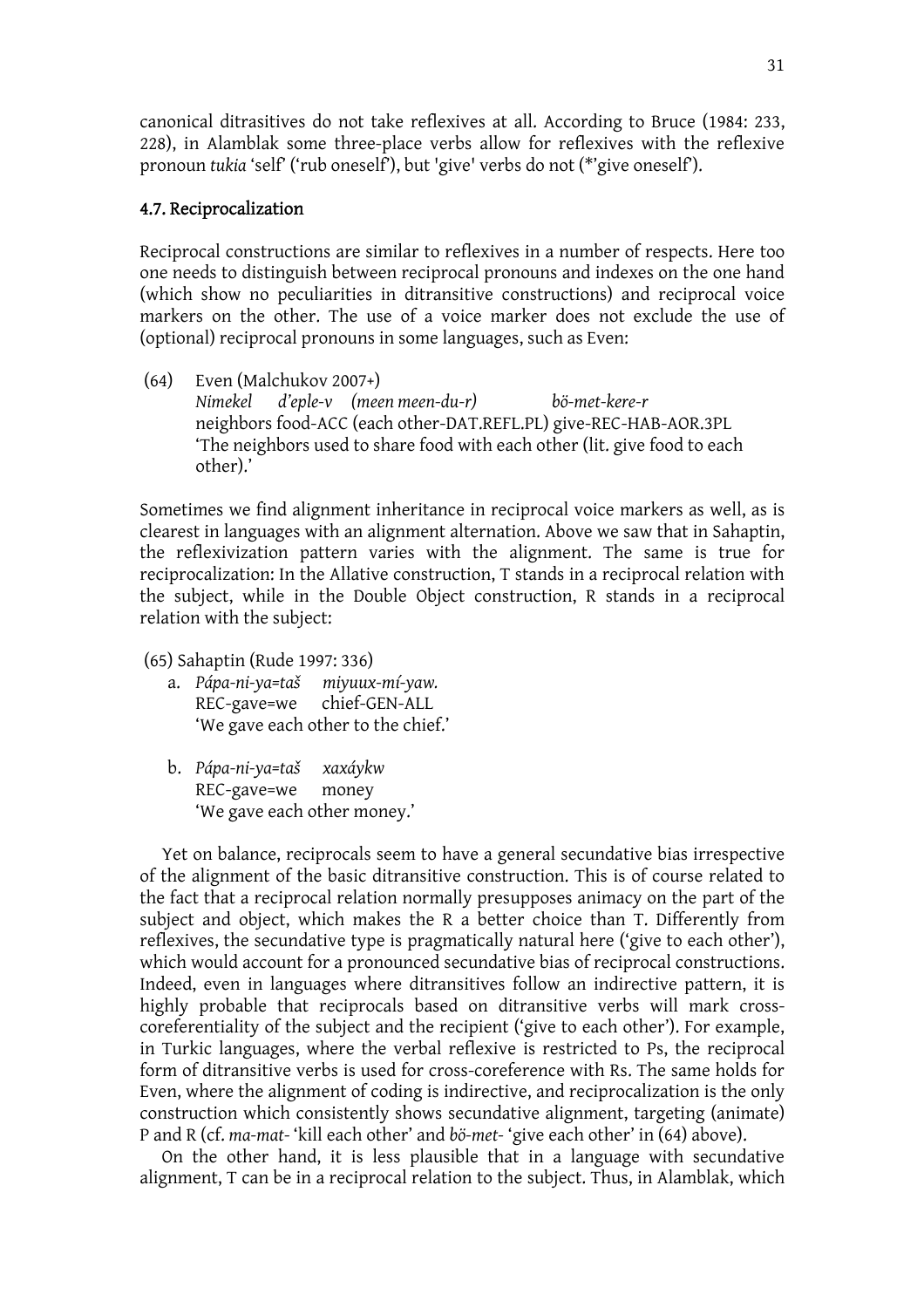canonical ditrasitives do not take reflexives at all. According to Bruce (1984: 233, 228), in Alamblak some three-place verbs allow for reflexives with the reflexive pronoun *tukia* 'self' ('rub oneself'), but 'give' verbs do not (\*'give oneself').

#### 4.7. Reciprocalization

Reciprocal constructions are similar to reflexives in a number of respects. Here too one needs to distinguish between reciprocal pronouns and indexes on the one hand (which show no peculiarities in ditransitive constructions) and reciprocal voice markers on the other. The use of a voice marker does not exclude the use of (optional) reciprocal pronouns in some languages, such as Even:

(64) Even (Malchukov 2007+) *Nimekel d'eple-v (meen meen-du-r) bö-met-kere-r*  neighbors food-ACC (each other-DAT.REFL.PL) give-REC-HAB-AOR.3PL 'The neighbors used to share food with each other (lit. give food to each other).'

Sometimes we find alignment inheritance in reciprocal voice markers as well, as is clearest in languages with an alignment alternation. Above we saw that in Sahaptin, the reflexivization pattern varies with the alignment. The same is true for reciprocalization: In the Allative construction, T stands in a reciprocal relation with the subject, while in the Double Object construction, R stands in a reciprocal relation with the subject:

- (65) Sahaptin (Rude 1997: 336)
	- a. *Pápa-ni-ya=taš miyuux-mí-yaw.* REC-gave=we chief-GEN-ALL 'We gave each other to the chief.'
	- b. *Pápa-ni-ya=taš xaxáykw* REC-gave=we money 'We gave each other money.'

Yet on balance, reciprocals seem to have a general secundative bias irrespective of the alignment of the basic ditransitive construction. This is of course related to the fact that a reciprocal relation normally presupposes animacy on the part of the subject and object, which makes the R a better choice than T. Differently from reflexives, the secundative type is pragmatically natural here ('give to each other'), which would account for a pronounced secundative bias of reciprocal constructions. Indeed, even in languages where ditransitives follow an indirective pattern, it is highly probable that reciprocals based on ditransitive verbs will mark crosscoreferentiality of the subject and the recipient ('give to each other'). For example, in Turkic languages, where the verbal reflexive is restricted to Ps, the reciprocal form of ditransitive verbs is used for cross-coreference with Rs. The same holds for Even, where the alignment of coding is indirective, and reciprocalization is the only construction which consistently shows secundative alignment, targeting (animate) P and R (cf. *ma-mat-* 'kill each other' and *bö-met-* 'give each other' in (64) above).

 On the other hand, it is less plausible that in a language with secundative alignment, T can be in a reciprocal relation to the subject. Thus, in Alamblak, which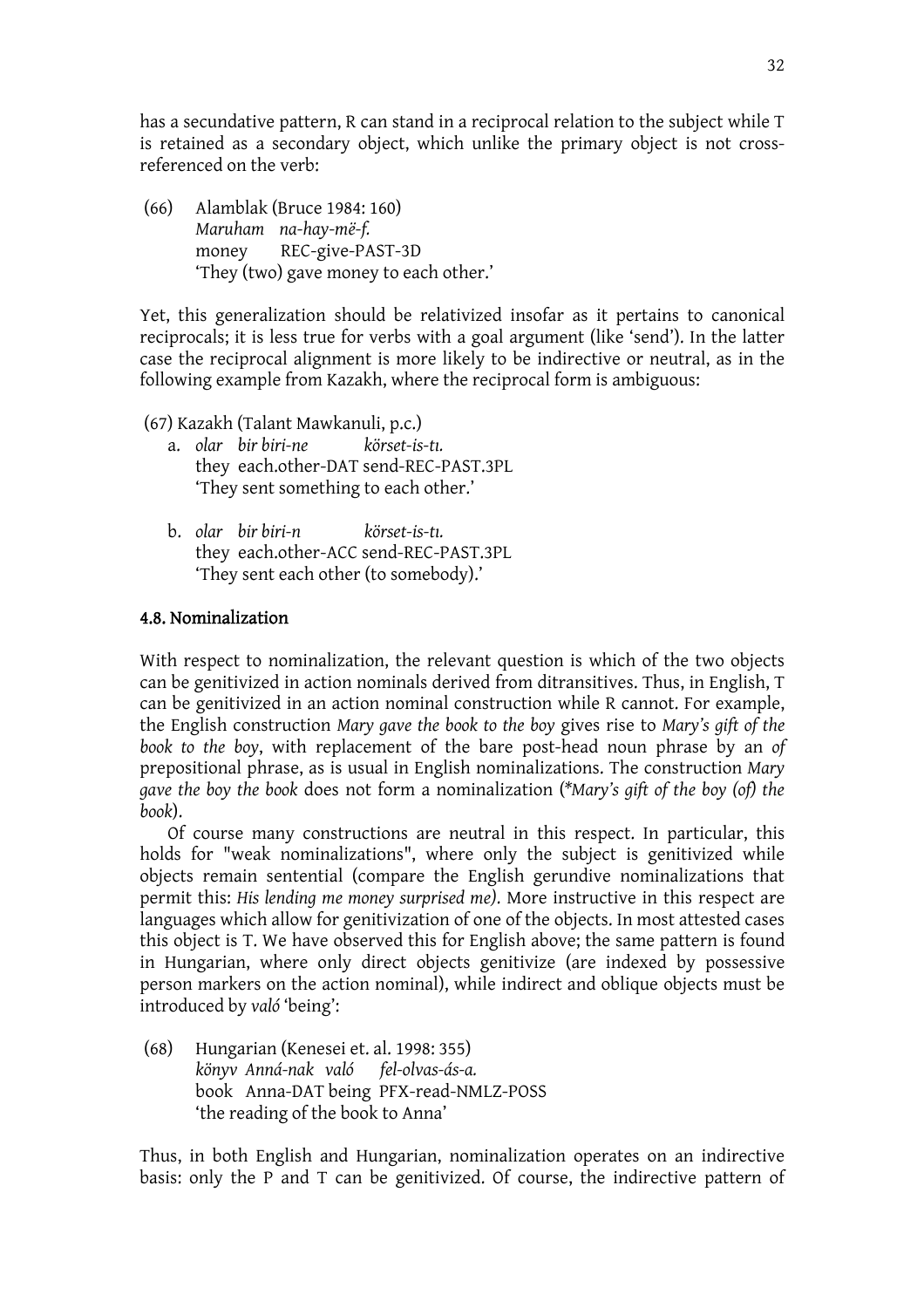has a secundative pattern, R can stand in a reciprocal relation to the subject while T is retained as a secondary object, which unlike the primary object is not crossreferenced on the verb:

(66) Alamblak (Bruce 1984: 160) *Maruham na-hay-më-f.*  money REC-give-PAST-3D 'They (two) gave money to each other.'

Yet, this generalization should be relativized insofar as it pertains to canonical reciprocals; it is less true for verbs with a goal argument (like 'send'). In the latter case the reciprocal alignment is more likely to be indirective or neutral, as in the following example from Kazakh, where the reciprocal form is ambiguous:

(67) Kazakh (Talant Mawkanuli, p.c.)

- a. *olar bir biri-ne körset-is-tn.* they each.other-DAT send-REC-PAST.3PL 'They sent something to each other.'
- b. *olar bir biri-n körset-is-tn.* they each.other-ACC send-REC-PAST.3PL 'They sent each other (to somebody).'

### 4.8. Nominalization

With respect to nominalization, the relevant question is which of the two objects can be genitivized in action nominals derived from ditransitives. Thus, in English, T can be genitivized in an action nominal construction while R cannot. For example, the English construction *Mary gave the book to the boy* gives rise to *Mary's gift of the book to the boy*, with replacement of the bare post-head noun phrase by an *of* prepositional phrase, as is usual in English nominalizations. The construction *Mary gave the boy the book* does not form a nominalization (*\*Mary's gift of the boy (of) the book*).

Of course many constructions are neutral in this respect. In particular, this holds for "weak nominalizations", where only the subject is genitivized while objects remain sentential (compare the English gerundive nominalizations that permit this: *His lending me money surprised me)*. More instructive in this respect are languages which allow for genitivization of one of the objects. In most attested cases this object is T. We have observed this for English above; the same pattern is found in Hungarian, where only direct objects genitivize (are indexed by possessive person markers on the action nominal), while indirect and oblique objects must be introduced by *való* 'being':

(68) Hungarian (Kenesei et. al. 1998: 355) *könyv Anná-nak való fel-olvas-ás-a.* book Anna-DAT being PFX-read-NMLZ-POSS 'the reading of the book to Anna'

Thus, in both English and Hungarian, nominalization operates on an indirective basis: only the P and T can be genitivized. Of course, the indirective pattern of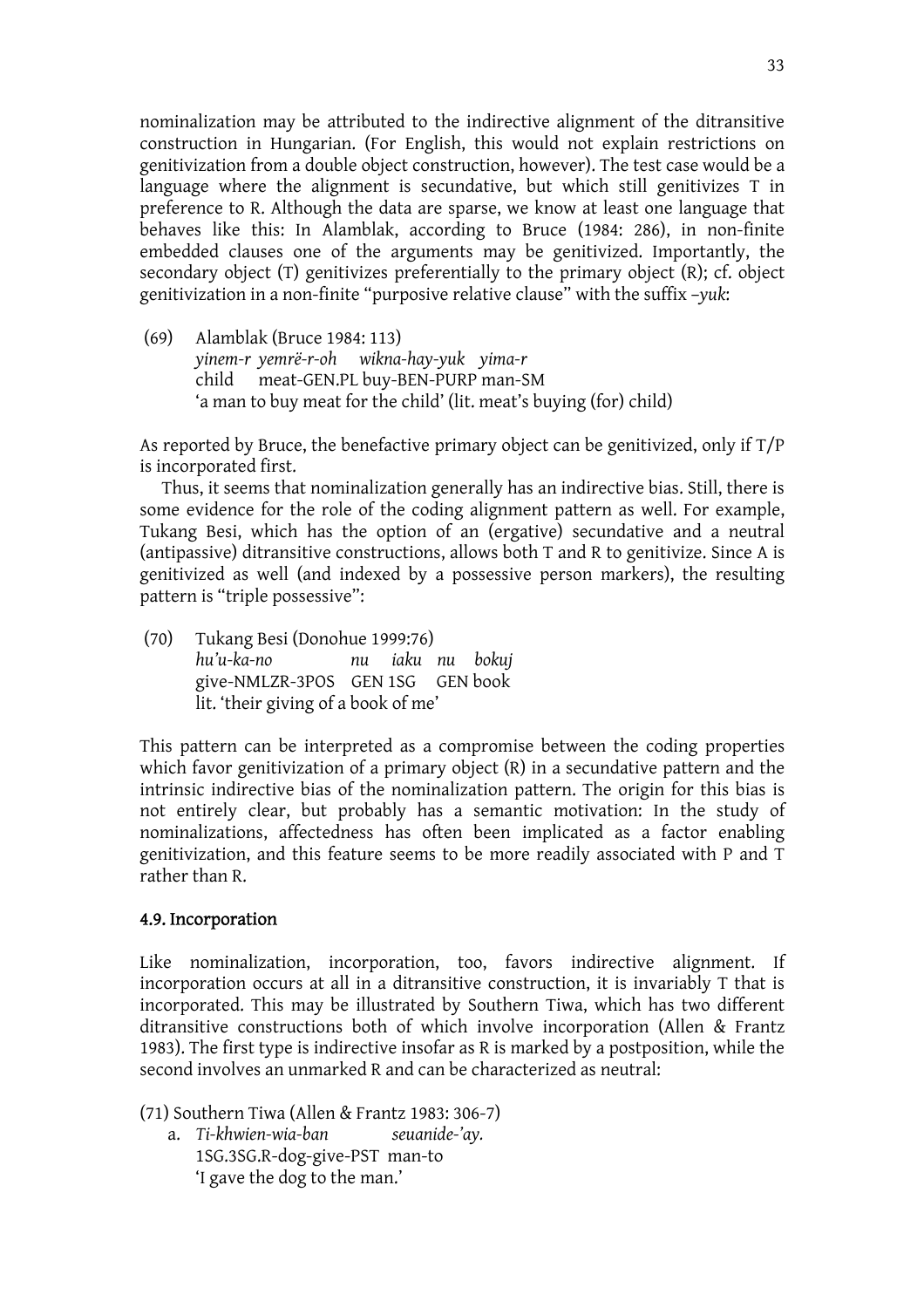nominalization may be attributed to the indirective alignment of the ditransitive construction in Hungarian. (For English, this would not explain restrictions on genitivization from a double object construction, however). The test case would be a language where the alignment is secundative, but which still genitivizes T in preference to R. Although the data are sparse, we know at least one language that behaves like this: In Alamblak, according to Bruce (1984: 286), in non-finite embedded clauses one of the arguments may be genitivized. Importantly, the secondary object (T) genitivizes preferentially to the primary object (R); cf. object genitivization in a non-finite "purposive relative clause" with the suffix –*yuk*:

(69) Alamblak (Bruce 1984: 113) *yinem-r yemrë-r-oh wikna-hay-yuk yima-r*  child meat-GEN.PL buy-BEN-PURP man-SM 'a man to buy meat for the child' (lit. meat's buying (for) child)

As reported by Bruce, the benefactive primary object can be genitivized, only if T/P is incorporated first.

 Thus, it seems that nominalization generally has an indirective bias. Still, there is some evidence for the role of the coding alignment pattern as well. For example, Tukang Besi, which has the option of an (ergative) secundative and a neutral (antipassive) ditransitive constructions, allows both T and R to genitivize. Since A is genitivized as well (and indexed by a possessive person markers), the resulting pattern is "triple possessive":

(70) Tukang Besi (Donohue 1999:76) *hu'u-ka-no nu iaku nu bokuj*  give-NMLZR-3POS GEN 1SG GEN book lit. 'their giving of a book of me'

This pattern can be interpreted as a compromise between the coding properties which favor genitivization of a primary object (R) in a secundative pattern and the intrinsic indirective bias of the nominalization pattern. The origin for this bias is not entirely clear, but probably has a semantic motivation: In the study of nominalizations, affectedness has often been implicated as a factor enabling genitivization, and this feature seems to be more readily associated with P and T rather than R.

### 4.9. Incorporation

Like nominalization, incorporation, too, favors indirective alignment. If incorporation occurs at all in a ditransitive construction, it is invariably T that is incorporated. This may be illustrated by Southern Tiwa, which has two different ditransitive constructions both of which involve incorporation (Allen & Frantz 1983). The first type is indirective insofar as R is marked by a postposition, while the second involves an unmarked R and can be characterized as neutral:

(71) Southern Tiwa (Allen & Frantz 1983: 306-7)

 a. *Ti-khwien-wia-ban seuanide-'ay.* 1SG.3SG.R-dog-give-PST man-to 'I gave the dog to the man.'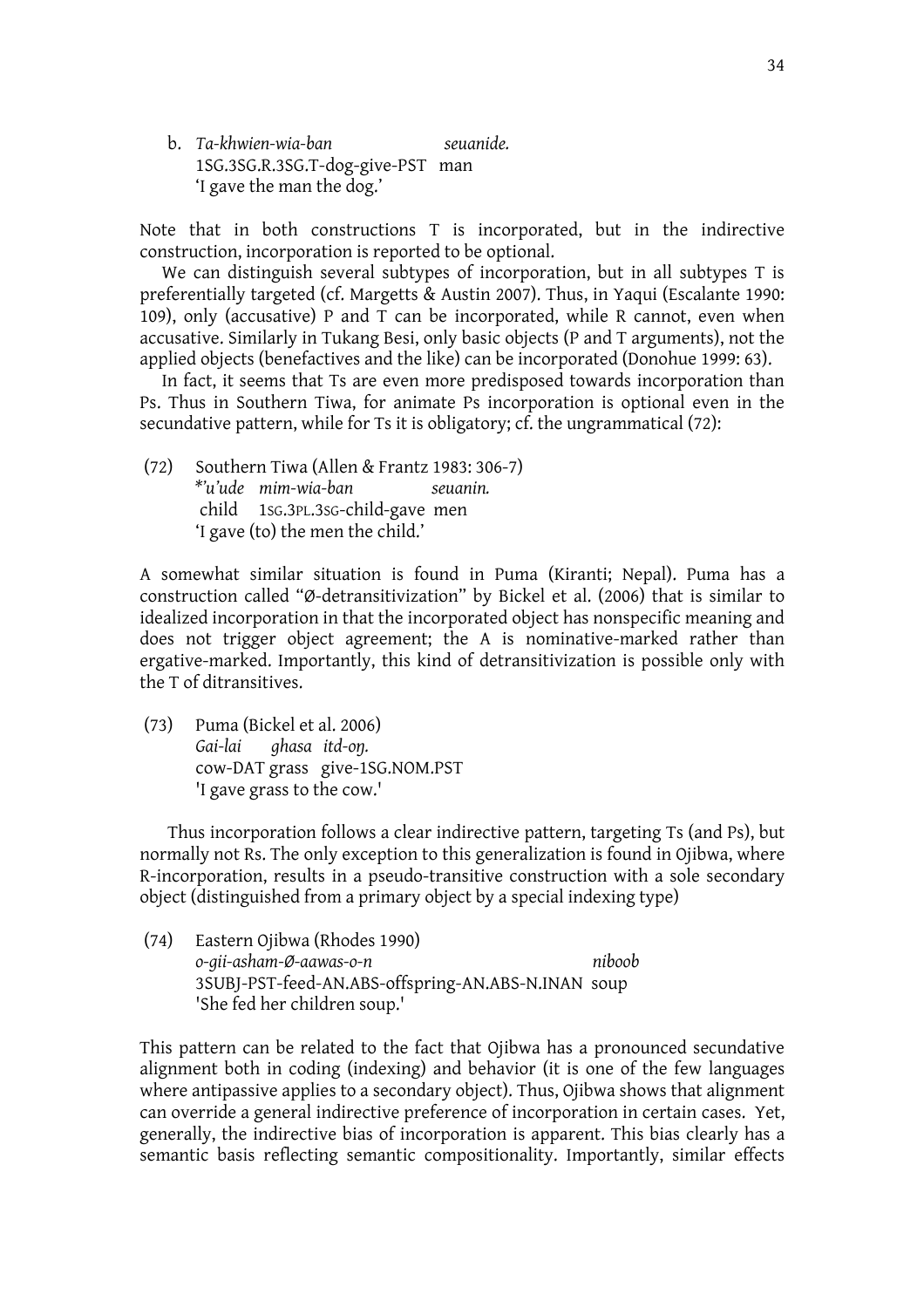b. *Ta-khwien-wia-ban seuanide.*  1SG.3SG.R.3SG.T-dog-give-PST man 'I gave the man the dog.'

Note that in both constructions T is incorporated, but in the indirective construction, incorporation is reported to be optional.

 We can distinguish several subtypes of incorporation, but in all subtypes T is preferentially targeted (cf. Margetts & Austin 2007). Thus, in Yaqui (Escalante 1990: 109), only (accusative) P and T can be incorporated, while R cannot, even when accusative. Similarly in Tukang Besi, only basic objects (P and T arguments), not the applied objects (benefactives and the like) can be incorporated (Donohue 1999: 63).

 In fact, it seems that Ts are even more predisposed towards incorporation than Ps. Thus in Southern Tiwa, for animate Ps incorporation is optional even in the secundative pattern, while for Ts it is obligatory; cf. the ungrammatical (72):

(72) Southern Tiwa (Allen & Frantz 1983: 306-7) *\*'u'ude mim-wia-ban seuanin.*  child 1SG.3PL.3SG-child-gave men 'I gave (to) the men the child.'

A somewhat similar situation is found in Puma (Kiranti; Nepal). Puma has a construction called "Ø-detransitivization" by Bickel et al. (2006) that is similar to idealized incorporation in that the incorporated object has nonspecific meaning and does not trigger object agreement; the A is nominative-marked rather than ergative-marked. Importantly, this kind of detransitivization is possible only with the T of ditransitives.

(73) Puma (Bickel et al. 2006) *Gai-lai ghasa itd-oT.* cow-DAT grass give-1SG.NOM.PST 'I gave grass to the cow.'

Thus incorporation follows a clear indirective pattern, targeting Ts (and Ps), but normally not Rs. The only exception to this generalization is found in Ojibwa, where R-incorporation, results in a pseudo-transitive construction with a sole secondary object (distinguished from a primary object by a special indexing type)

(74) Eastern Ojibwa (Rhodes 1990) *o-gii-asham-Ø-aawas-o-n niboob*  3SUBJ-PST-feed-AN.ABS-offspring-AN.ABS-N.INAN soup 'She fed her children soup.'

This pattern can be related to the fact that Ojibwa has a pronounced secundative alignment both in coding (indexing) and behavior (it is one of the few languages where antipassive applies to a secondary object). Thus, Ojibwa shows that alignment can override a general indirective preference of incorporation in certain cases. Yet, generally, the indirective bias of incorporation is apparent. This bias clearly has a semantic basis reflecting semantic compositionality. Importantly, similar effects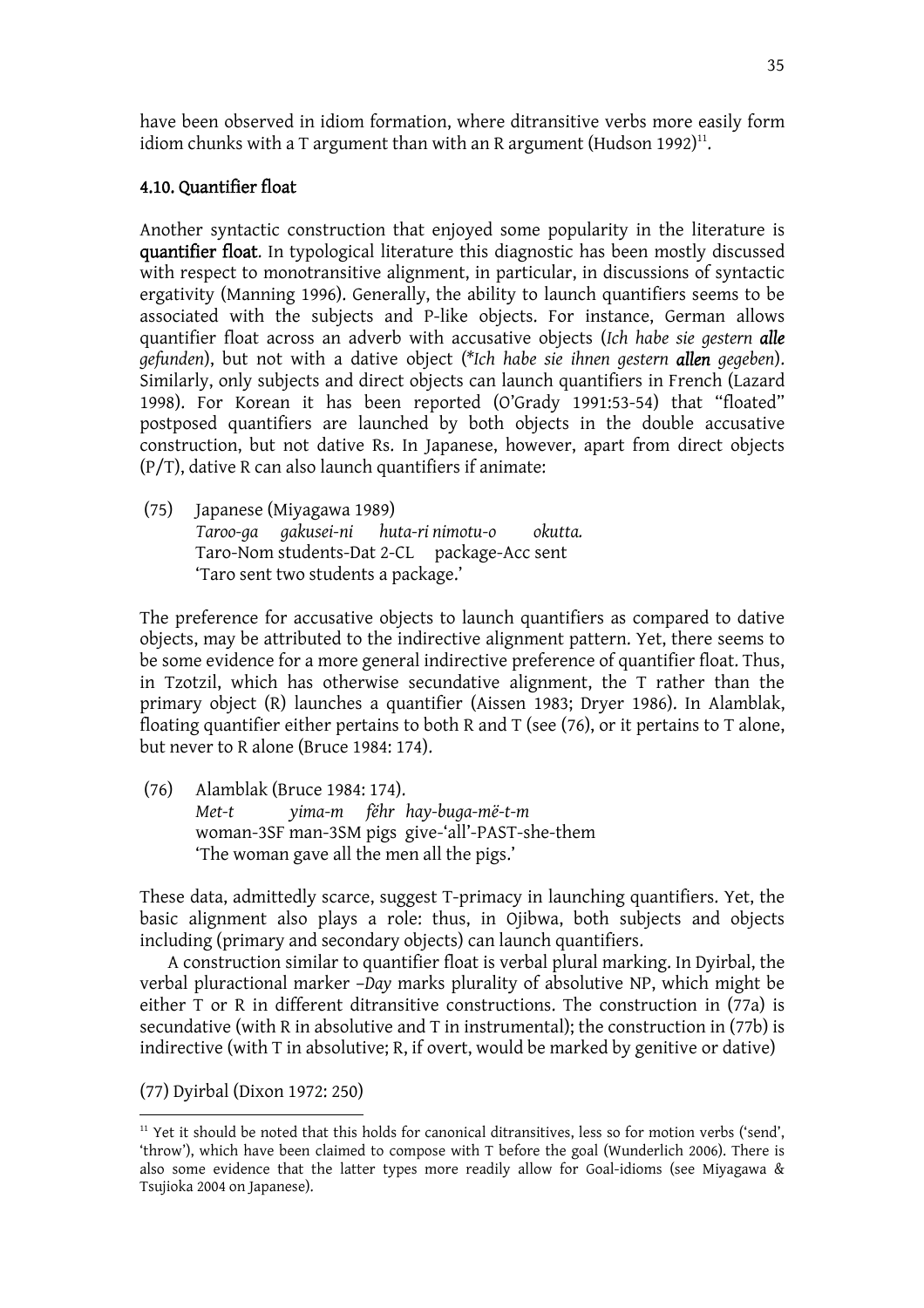have been observed in idiom formation, where ditransitive verbs more easily form idiom chunks with a T argument than with an R argument (Hudson 1992)<sup>11</sup>.

# 4.10. Quantifier float

Another syntactic construction that enjoyed some popularity in the literature is quantifier float. In typological literature this diagnostic has been mostly discussed with respect to monotransitive alignment, in particular, in discussions of syntactic ergativity (Manning 1996). Generally, the ability to launch quantifiers seems to be associated with the subjects and P-like objects. For instance, German allows quantifier float across an adverb with accusative objects (*Ich habe sie gestern alle gefunden*), but not with a dative object (*\*Ich habe sie ihnen gestern allen gegeben*). Similarly, only subjects and direct objects can launch quantifiers in French (Lazard 1998). For Korean it has been reported (O'Grady 1991:53-54) that "floated" postposed quantifiers are launched by both objects in the double accusative construction, but not dative Rs. In Japanese, however, apart from direct objects (P/T), dative R can also launch quantifiers if animate:

(75) Japanese (Miyagawa 1989) *Taroo-ga gakusei-ni huta-ri nimotu-o okutta.*  Taro-Nom students-Dat 2-CL package-Acc sent 'Taro sent two students a package.'

The preference for accusative objects to launch quantifiers as compared to dative objects, may be attributed to the indirective alignment pattern. Yet, there seems to be some evidence for a more general indirective preference of quantifier float. Thus, in Tzotzil, which has otherwise secundative alignment, the T rather than the primary object (R) launches a quantifier (Aissen 1983; Dryer 1986). In Alamblak, floating quantifier either pertains to both R and T (see (76), or it pertains to T alone, but never to R alone (Bruce 1984: 174).

(76) Alamblak (Bruce 1984: 174). *Met-t yima-m fëhr hay-buga-më-t-m*  woman-3SF man-3SM pigs give-'all'-PAST-she-them 'The woman gave all the men all the pigs.'

These data, admittedly scarce, suggest T-primacy in launching quantifiers. Yet, the basic alignment also plays a role: thus, in Ojibwa, both subjects and objects including (primary and secondary objects) can launch quantifiers.

 A construction similar to quantifier float is verbal plural marking. In Dyirbal, the verbal pluractional marker –*Day* marks plurality of absolutive NP, which might be either T or R in different ditransitive constructions. The construction in (77a) is secundative (with R in absolutive and T in instrumental); the construction in (77b) is indirective (with T in absolutive; R, if overt, would be marked by genitive or dative)

(77) Dyirbal (Dixon 1972: 250)

 $11$  Yet it should be noted that this holds for canonical ditransitives, less so for motion verbs ('send', 'throw'), which have been claimed to compose with T before the goal (Wunderlich 2006). There is also some evidence that the latter types more readily allow for Goal-idioms (see Miyagawa & Tsujioka 2004 on Japanese).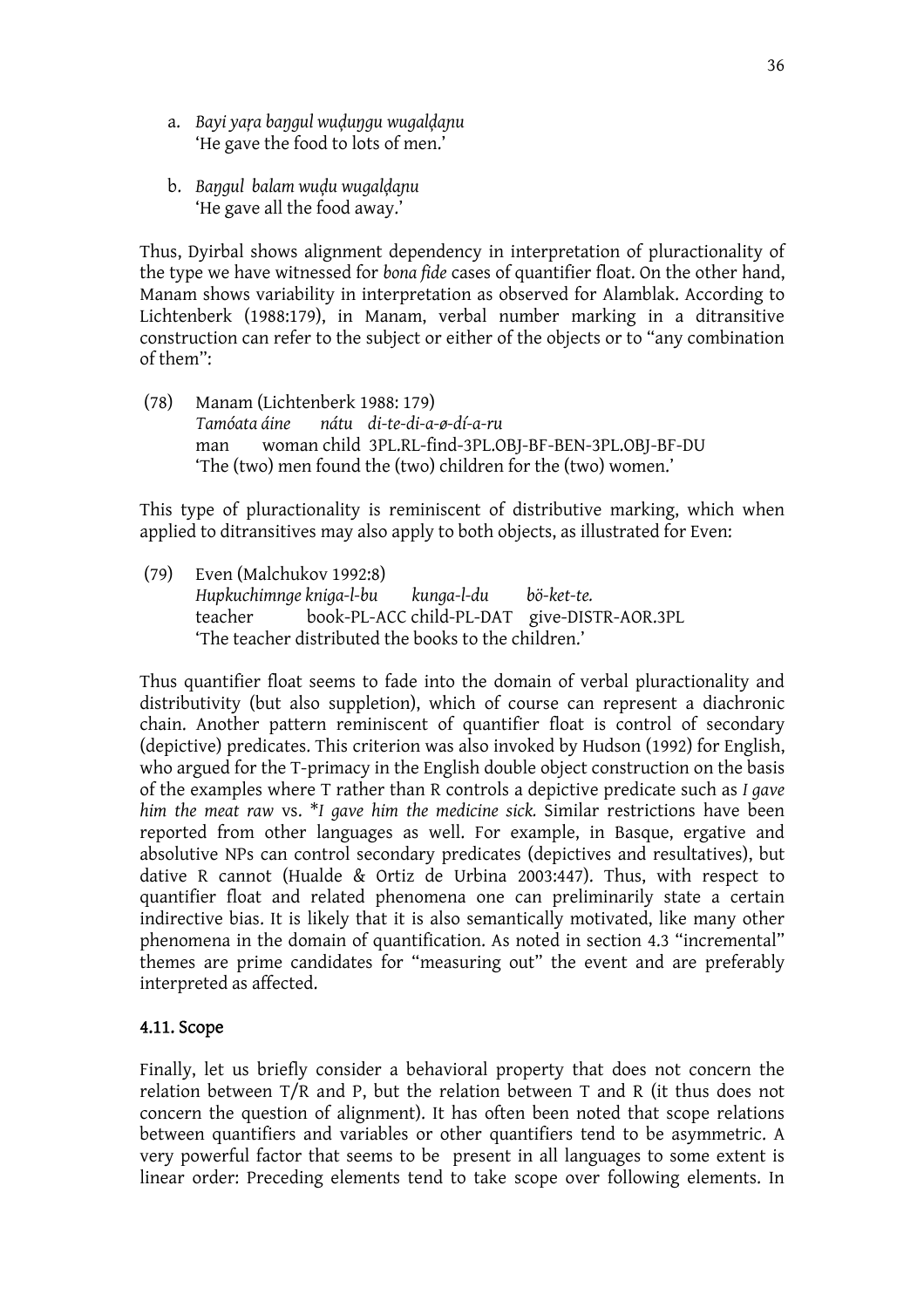- a. *Bayi yata baTgul wumuTgu wugalmalu* 'He gave the food to lots of men.'
- b. *BaTgul balam wumu wugalmalu* 'He gave all the food away.'

Thus, Dyirbal shows alignment dependency in interpretation of pluractionality of the type we have witnessed for *bona fide* cases of quantifier float. On the other hand, Manam shows variability in interpretation as observed for Alamblak. According to Lichtenberk (1988:179), in Manam, verbal number marking in a ditransitive construction can refer to the subject or either of the objects or to "any combination of them":

(78) Manam (Lichtenberk 1988: 179) *Tamóata áine nátu di-te-di-a-ø-dí-a-ru*  man woman child 3PL.RL-find-3PL.OBJ-BF-BEN-3PL.OBJ-BF-DU 'The (two) men found the (two) children for the (two) women.'

This type of pluractionality is reminiscent of distributive marking, which when applied to ditransitives may also apply to both objects, as illustrated for Even:

(79) Even (Malchukov 1992:8) *Hupkuchimnge kniga-l-bu kunga-l-du bö-ket-te.*  teacher book-PL-ACC child-PL-DAT give-DISTR-AOR.3PL 'The teacher distributed the books to the children.'

Thus quantifier float seems to fade into the domain of verbal pluractionality and distributivity (but also suppletion), which of course can represent a diachronic chain. Another pattern reminiscent of quantifier float is control of secondary (depictive) predicates. This criterion was also invoked by Hudson (1992) for English, who argued for the T-primacy in the English double object construction on the basis of the examples where T rather than R controls a depictive predicate such as *I gave him the meat raw* vs. \**I gave him the medicine sick.* Similar restrictions have been reported from other languages as well. For example, in Basque, ergative and absolutive NPs can control secondary predicates (depictives and resultatives), but dative R cannot (Hualde & Ortiz de Urbina 2003:447). Thus, with respect to quantifier float and related phenomena one can preliminarily state a certain indirective bias. It is likely that it is also semantically motivated, like many other phenomena in the domain of quantification. As noted in section 4.3 "incremental" themes are prime candidates for "measuring out" the event and are preferably interpreted as affected.

# 4.11. Scope

Finally, let us briefly consider a behavioral property that does not concern the relation between T/R and P, but the relation between T and R (it thus does not concern the question of alignment). It has often been noted that scope relations between quantifiers and variables or other quantifiers tend to be asymmetric. A very powerful factor that seems to be present in all languages to some extent is linear order: Preceding elements tend to take scope over following elements. In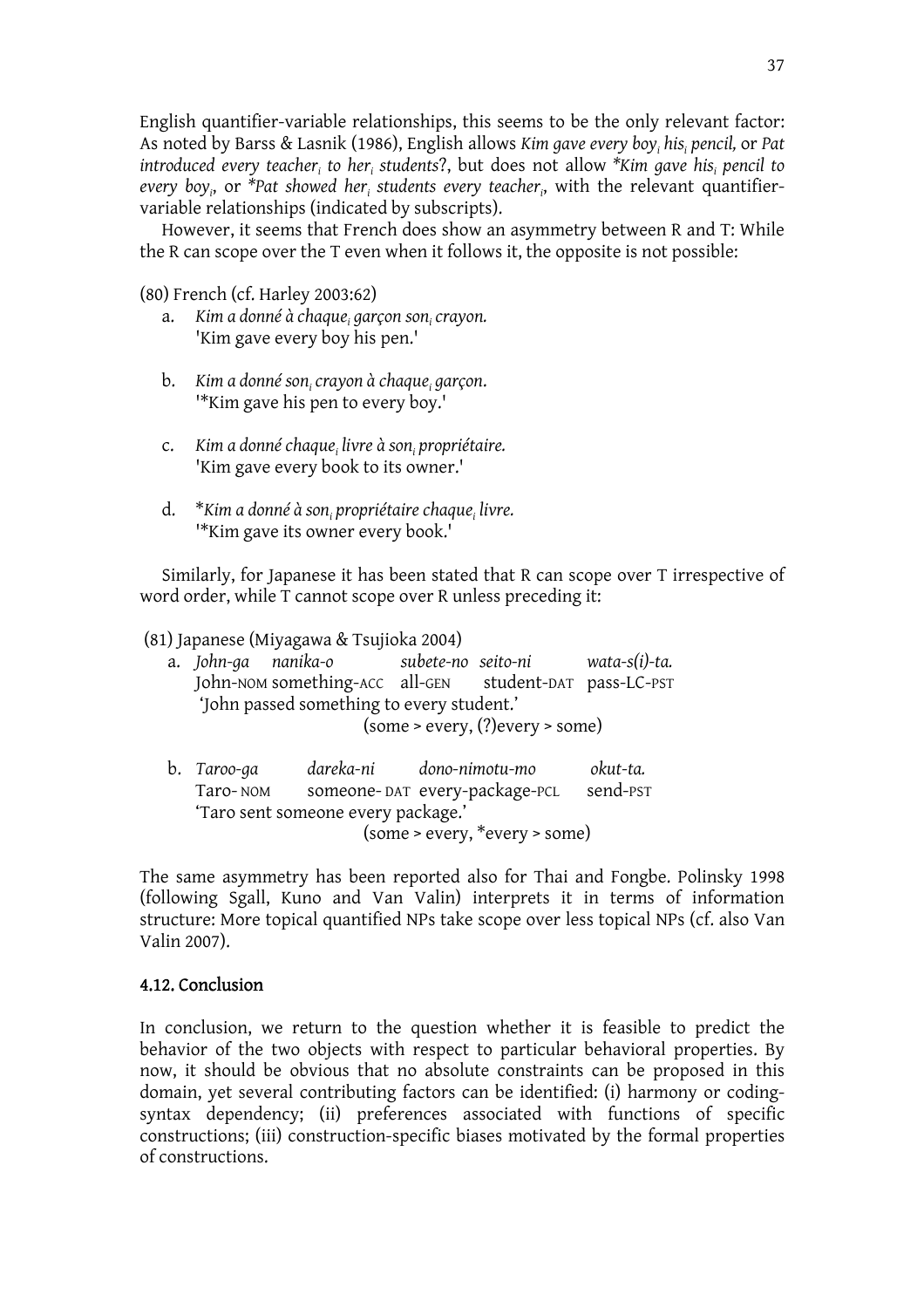English quantifier-variable relationships, this seems to be the only relevant factor: As noted by Barss & Lasnik (1986), English allows *Kim gave every boyi hisi pencil,* or *Pat introduced every teacher<sub>i</sub> to her<sub>i</sub> students?*, but does not allow \**Kim gave his<sub>i</sub> pencil to* every boy<sub>i</sub>, or \*Pat showed her<sub>i</sub> students every teacher<sub>i</sub>, with the relevant quantifiervariable relationships (indicated by subscripts).

 However, it seems that French does show an asymmetry between R and T: While the R can scope over the T even when it follows it, the opposite is not possible:

(80) French (cf. Harley 2003:62)

- a. *Kim a donné à chaquei garçon soni crayon.*  'Kim gave every boy his pen.'
- b. *Kim a donné soni crayon à chaquei garçon*. '\*Kim gave his pen to every boy.'
- c. *Kim a donné chaquei livre à soni propriétaire.* 'Kim gave every book to its owner.'
- d. \**Kim a donné à son<sub>i</sub> propriétaire chaque<sub>i</sub> livre.* '\*Kim gave its owner every book.'

Similarly, for Japanese it has been stated that R can scope over T irrespective of word order, while T cannot scope over R unless preceding it:

(81) Japanese (Miyagawa & Tsujioka 2004)

|  | a. John-ga nanika-o                                    | subete-no seito-ni |                                      | wata-s(i)-ta. |
|--|--------------------------------------------------------|--------------------|--------------------------------------|---------------|
|  | John-NOM something-ACC all-GEN student-DAT pass-LC-PST |                    |                                      |               |
|  | 'John passed something to every student.'              |                    |                                      |               |
|  |                                                        |                    | $(some > every, (?)$ every $> some)$ |               |
|  |                                                        |                    |                                      |               |

b. *Taroo-ga dareka-ni dono-nimotu-mo okut-ta.* Taro- NOM someone- DAT every-package-PCL send-PST 'Taro sent someone every package.' (some > every, \*every > some)

The same asymmetry has been reported also for Thai and Fongbe. Polinsky 1998 (following Sgall, Kuno and Van Valin) interprets it in terms of information structure: More topical quantified NPs take scope over less topical NPs (cf. also Van Valin 2007).

# 4.12. Conclusion

In conclusion, we return to the question whether it is feasible to predict the behavior of the two objects with respect to particular behavioral properties. By now, it should be obvious that no absolute constraints can be proposed in this domain, yet several contributing factors can be identified: (i) harmony or codingsyntax dependency; (ii) preferences associated with functions of specific constructions; (iii) construction-specific biases motivated by the formal properties of constructions.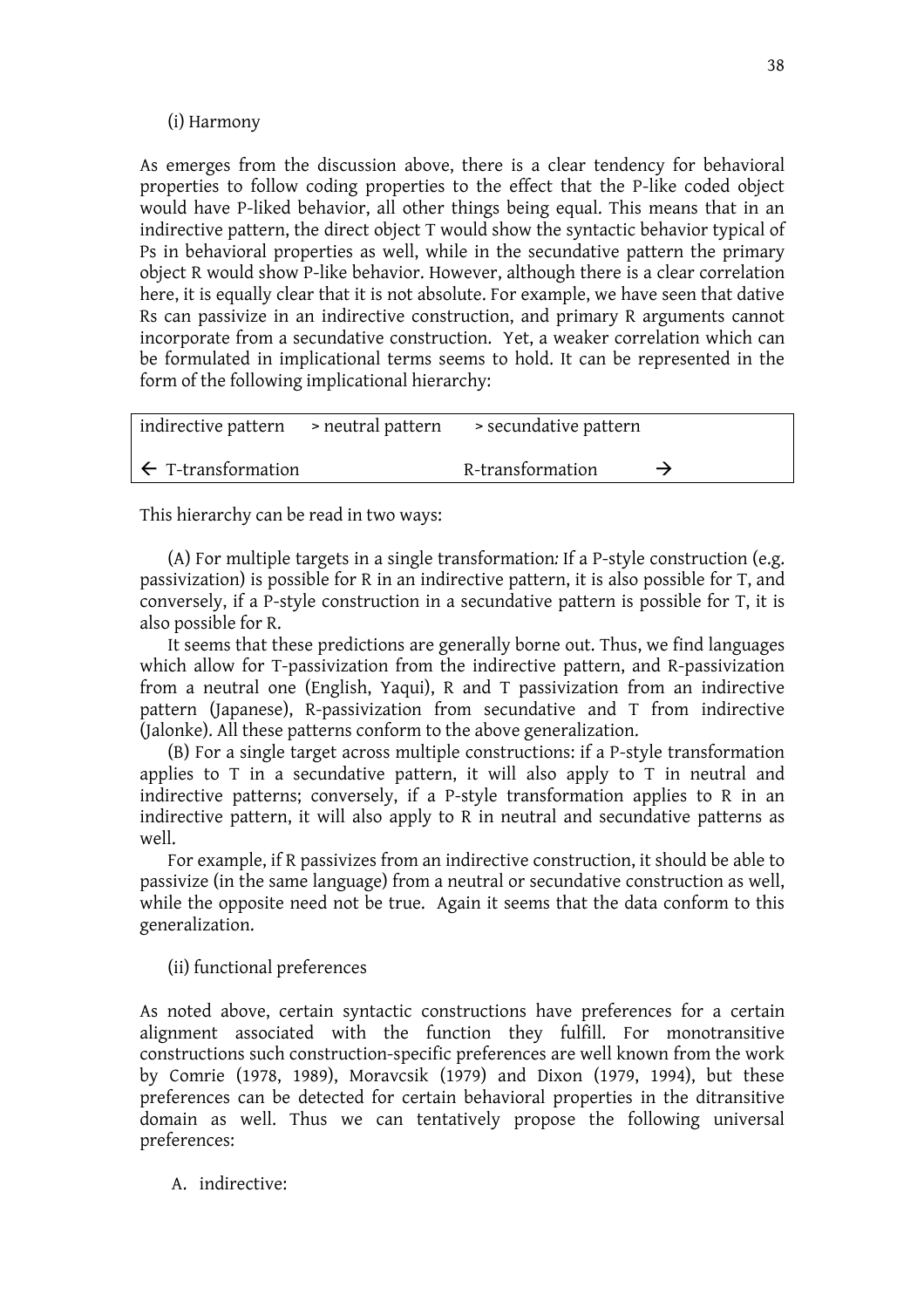#### (i) Harmony

As emerges from the discussion above, there is a clear tendency for behavioral properties to follow coding properties to the effect that the P-like coded object would have P-liked behavior, all other things being equal. This means that in an indirective pattern, the direct object T would show the syntactic behavior typical of Ps in behavioral properties as well, while in the secundative pattern the primary object R would show P-like behavior. However, although there is a clear correlation here, it is equally clear that it is not absolute. For example, we have seen that dative Rs can passivize in an indirective construction, and primary R arguments cannot incorporate from a secundative construction. Yet, a weaker correlation which can be formulated in implicational terms seems to hold. It can be represented in the form of the following implicational hierarchy:

|                               | indirective pattern > neutral pattern > secundative pattern |               |
|-------------------------------|-------------------------------------------------------------|---------------|
| $\leftarrow$ T-transformation | R-transformation                                            | $\rightarrow$ |

This hierarchy can be read in two ways:

(A) For multiple targets in a single transformation*:* If a P-style construction (e.g. passivization) is possible for R in an indirective pattern, it is also possible for T, and conversely, if a P-style construction in a secundative pattern is possible for T, it is also possible for R.

 It seems that these predictions are generally borne out. Thus, we find languages which allow for T-passivization from the indirective pattern, and R-passivization from a neutral one (English, Yaqui), R and T passivization from an indirective pattern (Japanese), R-passivization from secundative and T from indirective (Jalonke). All these patterns conform to the above generalization.

 (B) For a single target across multiple constructions: if a P-style transformation applies to T in a secundative pattern, it will also apply to T in neutral and indirective patterns; conversely, if a P-style transformation applies to R in an indirective pattern, it will also apply to R in neutral and secundative patterns as well.

 For example, if R passivizes from an indirective construction, it should be able to passivize (in the same language) from a neutral or secundative construction as well, while the opposite need not be true. Again it seems that the data conform to this generalization.

(ii) functional preferences

As noted above, certain syntactic constructions have preferences for a certain alignment associated with the function they fulfill. For monotransitive constructions such construction-specific preferences are well known from the work by Comrie (1978, 1989), Moravcsik (1979) and Dixon (1979, 1994), but these preferences can be detected for certain behavioral properties in the ditransitive domain as well. Thus we can tentatively propose the following universal preferences:

A. indirective: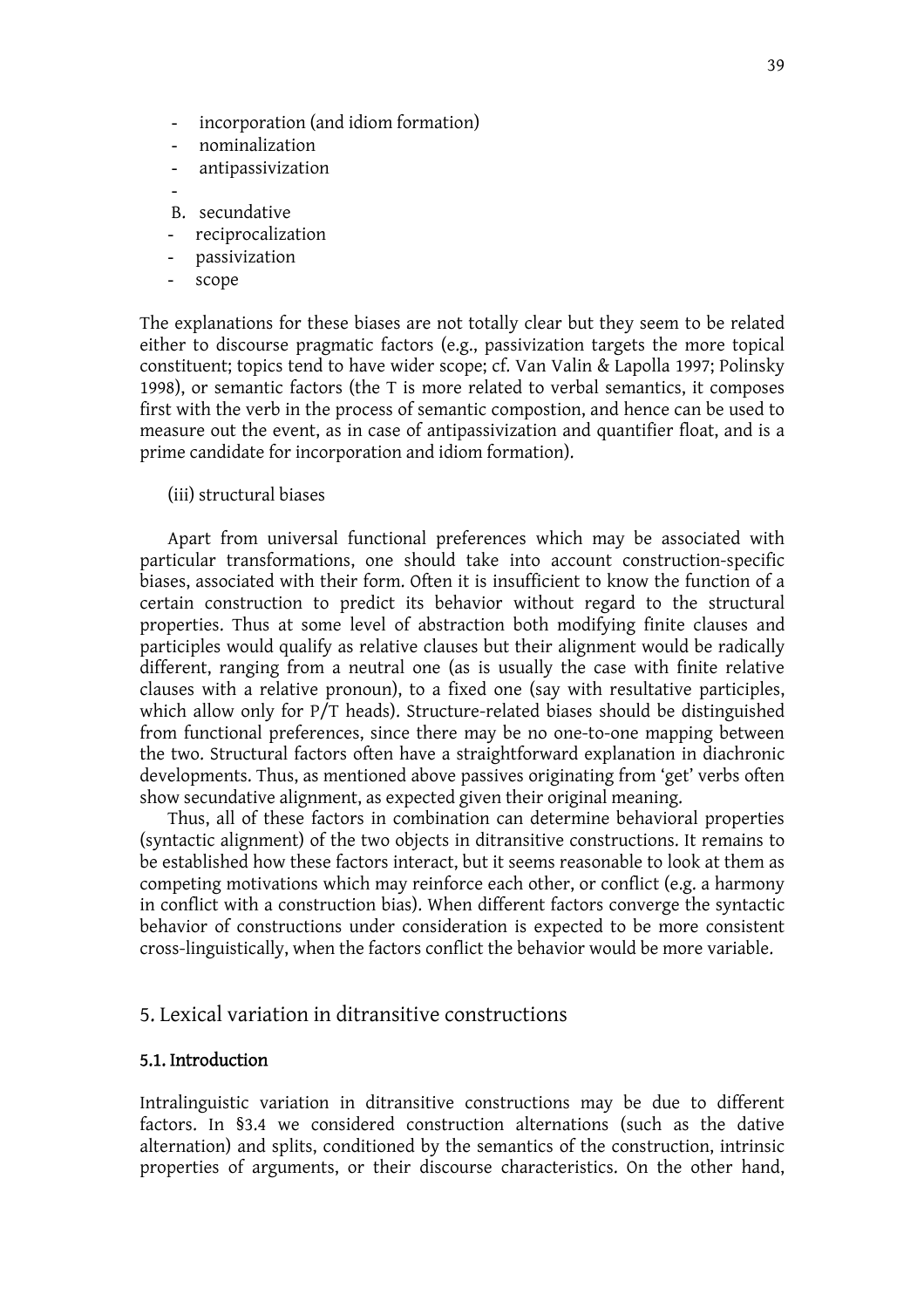- incorporation (and idiom formation)
- nominalization
- antipassivization
- B. secundative
- reciprocalization
- passivization
- scope

The explanations for these biases are not totally clear but they seem to be related either to discourse pragmatic factors (e.g., passivization targets the more topical constituent; topics tend to have wider scope; cf. Van Valin & Lapolla 1997; Polinsky 1998), or semantic factors (the T is more related to verbal semantics, it composes first with the verb in the process of semantic compostion, and hence can be used to measure out the event, as in case of antipassivization and quantifier float, and is a prime candidate for incorporation and idiom formation).

(iii) structural biases

Apart from universal functional preferences which may be associated with particular transformations, one should take into account construction-specific biases, associated with their form. Often it is insufficient to know the function of a certain construction to predict its behavior without regard to the structural properties. Thus at some level of abstraction both modifying finite clauses and participles would qualify as relative clauses but their alignment would be radically different, ranging from a neutral one (as is usually the case with finite relative clauses with a relative pronoun), to a fixed one (say with resultative participles, which allow only for  $P/T$  heads). Structure-related biases should be distinguished from functional preferences, since there may be no one-to-one mapping between the two. Structural factors often have a straightforward explanation in diachronic developments. Thus, as mentioned above passives originating from 'get' verbs often show secundative alignment, as expected given their original meaning.

 Thus, all of these factors in combination can determine behavioral properties (syntactic alignment) of the two objects in ditransitive constructions. It remains to be established how these factors interact, but it seems reasonable to look at them as competing motivations which may reinforce each other, or conflict (e.g. a harmony in conflict with a construction bias). When different factors converge the syntactic behavior of constructions under consideration is expected to be more consistent cross-linguistically, when the factors conflict the behavior would be more variable.

### 5. Lexical variation in ditransitive constructions

#### 5.1. Introduction

Intralinguistic variation in ditransitive constructions may be due to different factors. In §3.4 we considered construction alternations (such as the dative alternation) and splits, conditioned by the semantics of the construction, intrinsic properties of arguments, or their discourse characteristics. On the other hand,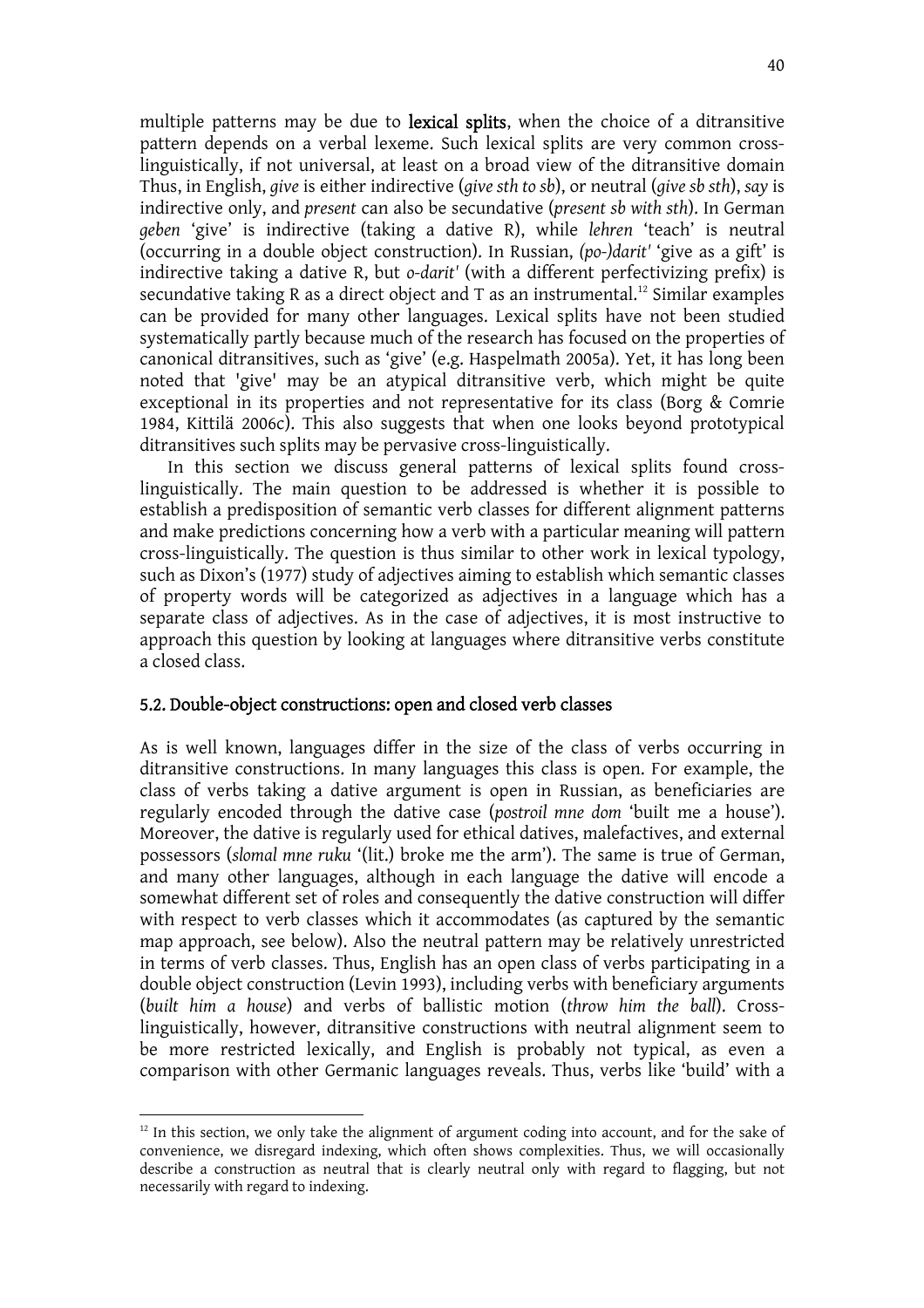multiple patterns may be due to **lexical splits**, when the choice of a ditransitive pattern depends on a verbal lexeme. Such lexical splits are very common crosslinguistically, if not universal, at least on a broad view of the ditransitive domain Thus, in English, *give* is either indirective (*give sth to sb*), or neutral (*give sb sth*), *say* is indirective only, and *present* can also be secundative (*present sb with sth*). In German *geben* 'give' is indirective (taking a dative R), while *lehren* 'teach' is neutral (occurring in a double object construction). In Russian, *(po-)darit'* 'give as a gift' is indirective taking a dative R, but *o-darit'* (with a different perfectivizing prefix) is secundative taking R as a direct object and T as an instrumental.<sup>12</sup> Similar examples can be provided for many other languages. Lexical splits have not been studied systematically partly because much of the research has focused on the properties of canonical ditransitives, such as 'give' (e.g. Haspelmath 2005a). Yet, it has long been noted that 'give' may be an atypical ditransitive verb, which might be quite exceptional in its properties and not representative for its class (Borg & Comrie 1984, Kittilä 2006c). This also suggests that when one looks beyond prototypical ditransitives such splits may be pervasive cross-linguistically.

 In this section we discuss general patterns of lexical splits found crosslinguistically. The main question to be addressed is whether it is possible to establish a predisposition of semantic verb classes for different alignment patterns and make predictions concerning how a verb with a particular meaning will pattern cross-linguistically. The question is thus similar to other work in lexical typology, such as Dixon's (1977) study of adjectives aiming to establish which semantic classes of property words will be categorized as adjectives in a language which has a separate class of adjectives. As in the case of adjectives, it is most instructive to approach this question by looking at languages where ditransitive verbs constitute a closed class.

### 5.2. Double-object constructions: open and closed verb classes

As is well known, languages differ in the size of the class of verbs occurring in ditransitive constructions. In many languages this class is open. For example, the class of verbs taking a dative argument is open in Russian, as beneficiaries are regularly encoded through the dative case (*postroil mne dom* 'built me a house'). Moreover, the dative is regularly used for ethical datives, malefactives, and external possessors (*slomal mne ruku* '(lit.) broke me the arm'). The same is true of German, and many other languages, although in each language the dative will encode a somewhat different set of roles and consequently the dative construction will differ with respect to verb classes which it accommodates (as captured by the semantic map approach, see below). Also the neutral pattern may be relatively unrestricted in terms of verb classes. Thus, English has an open class of verbs participating in a double object construction (Levin 1993), including verbs with beneficiary arguments (*built him a house*) and verbs of ballistic motion (*throw him the ball*). Crosslinguistically, however, ditransitive constructions with neutral alignment seem to be more restricted lexically, and English is probably not typical, as even a comparison with other Germanic languages reveals. Thus, verbs like 'build' with a

 $12$  In this section, we only take the alignment of argument coding into account, and for the sake of convenience, we disregard indexing, which often shows complexities. Thus, we will occasionally describe a construction as neutral that is clearly neutral only with regard to flagging, but not necessarily with regard to indexing.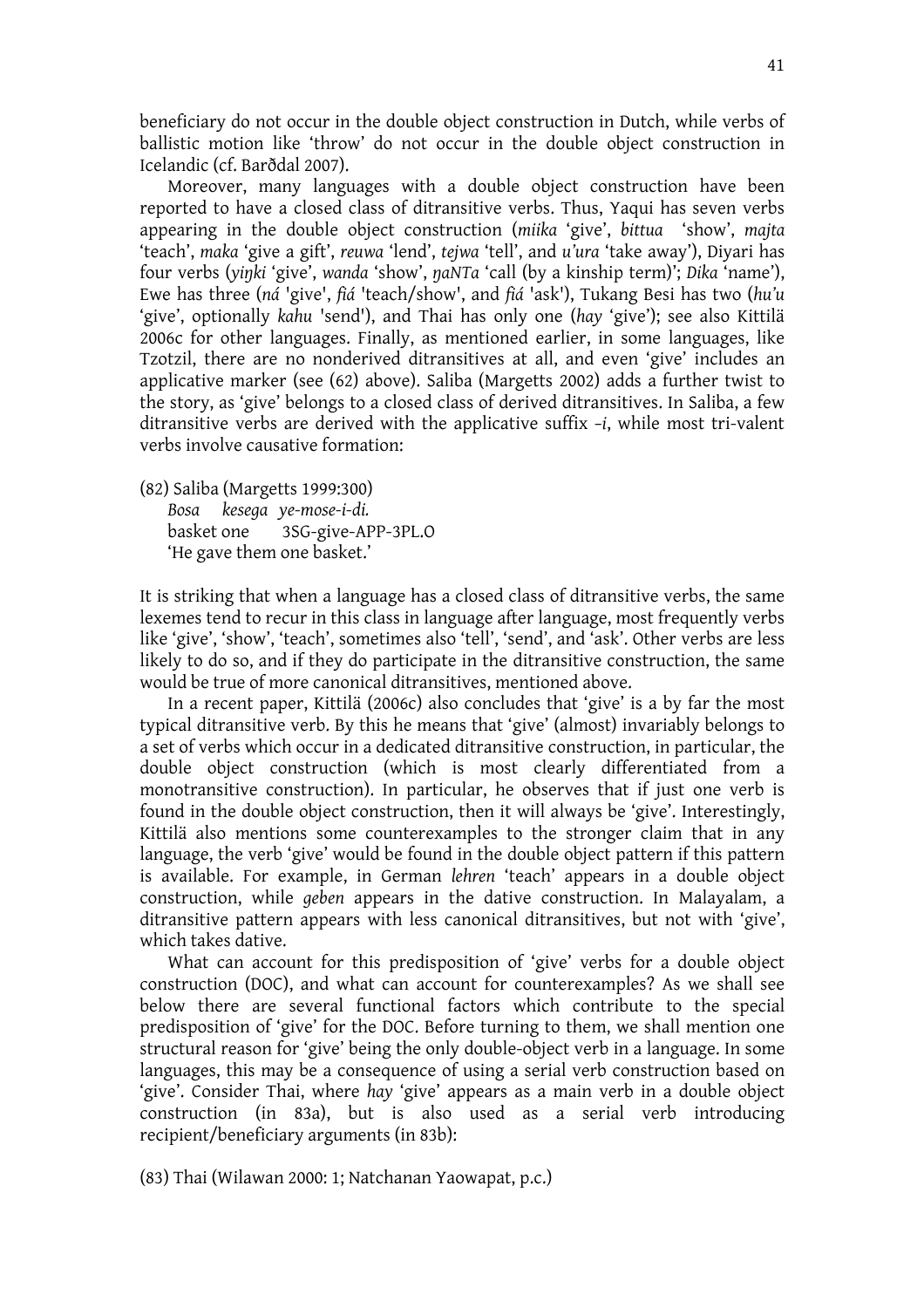beneficiary do not occur in the double object construction in Dutch, while verbs of ballistic motion like 'throw' do not occur in the double object construction in Icelandic (cf. Barðdal 2007).

 Moreover, many languages with a double object construction have been reported to have a closed class of ditransitive verbs. Thus, Yaqui has seven verbs appearing in the double object construction (*miika* 'give', *bittua* 'show', *majta* 'teach', *maka* 'give a gift', *reuwa* 'lend', *tejwa* 'tell', and *u'ura* 'take away'), Diyari has four verbs (*yiTki* 'give', *wanda* 'show', *TaNTa* 'call (by a kinship term)'; *Dika* 'name'), Ewe has three (*ná* 'give', *fiá* 'teach/show', and *fiá* 'ask'), Tukang Besi has two (*hu'u* 'give', optionally *kahu* 'send'), and Thai has only one (*hay* 'give'); see also Kittilä 2006c for other languages. Finally, as mentioned earlier, in some languages, like Tzotzil, there are no nonderived ditransitives at all, and even 'give' includes an applicative marker (see (62) above). Saliba (Margetts 2002) adds a further twist to the story, as 'give' belongs to a closed class of derived ditransitives. In Saliba, a few ditransitive verbs are derived with the applicative suffix *–i*, while most tri-valent verbs involve causative formation:

(82) Saliba (Margetts 1999:300)  *Bosa kesega ye-mose-i-di.* basket one 3SG-give-APP-3PL.O 'He gave them one basket.'

It is striking that when a language has a closed class of ditransitive verbs, the same lexemes tend to recur in this class in language after language, most frequently verbs like 'give', 'show', 'teach', sometimes also 'tell', 'send', and 'ask'. Other verbs are less likely to do so, and if they do participate in the ditransitive construction, the same would be true of more canonical ditransitives, mentioned above.

 In a recent paper, Kittilä (2006c) also concludes that 'give' is a by far the most typical ditransitive verb. By this he means that 'give' (almost) invariably belongs to a set of verbs which occur in a dedicated ditransitive construction, in particular, the double object construction (which is most clearly differentiated from a monotransitive construction). In particular, he observes that if just one verb is found in the double object construction, then it will always be 'give'. Interestingly, Kittilä also mentions some counterexamples to the stronger claim that in any language, the verb 'give' would be found in the double object pattern if this pattern is available. For example, in German *lehren* 'teach' appears in a double object construction, while *geben* appears in the dative construction. In Malayalam, a ditransitive pattern appears with less canonical ditransitives, but not with 'give', which takes dative.

 What can account for this predisposition of 'give' verbs for a double object construction (DOC), and what can account for counterexamples? As we shall see below there are several functional factors which contribute to the special predisposition of 'give' for the DOC. Before turning to them, we shall mention one structural reason for 'give' being the only double-object verb in a language. In some languages, this may be a consequence of using a serial verb construction based on 'give'. Consider Thai, where *hay* 'give' appears as a main verb in a double object construction (in 83a), but is also used as a serial verb introducing recipient/beneficiary arguments (in 83b):

(83) Thai (Wilawan 2000: 1; Natchanan Yaowapat, p.c.)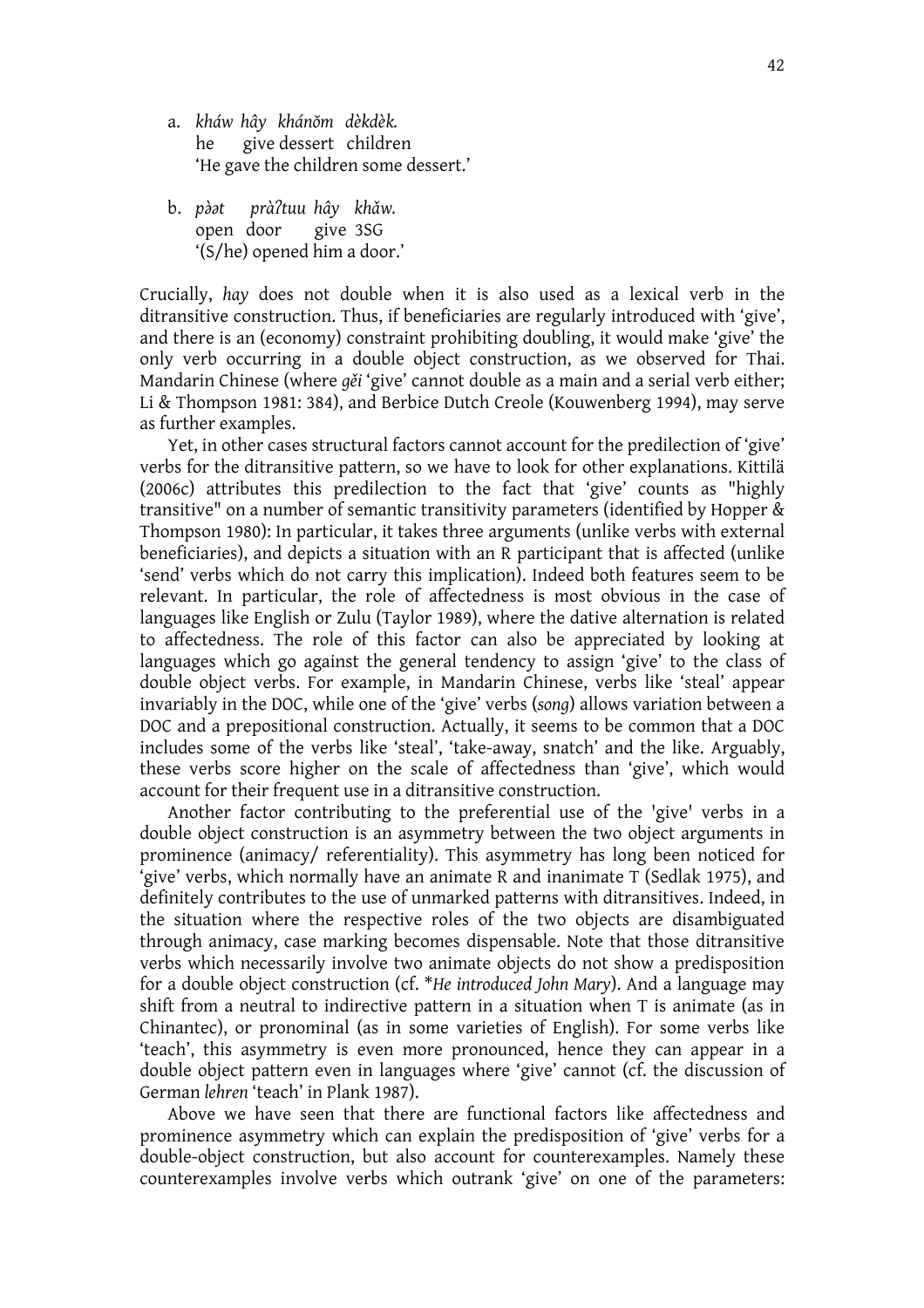- a. *kháw hây khánwm dèkdèk.* he give dessert children 'He gave the children some dessert.'
- b. *p[y[t pràCtuu hây khzw.* open door give 3SG '(S/he) opened him a door.'

Crucially, *hay* does not double when it is also used as a lexical verb in the ditransitive construction. Thus, if beneficiaries are regularly introduced with 'give', and there is an (economy) constraint prohibiting doubling, it would make 'give' the only verb occurring in a double object construction, as we observed for Thai. Mandarin Chinese (where *q*<sup> $\delta$ </sup> i<sup>*'*</sup> give' cannot double as a main and a serial verb either; Li & Thompson 1981: 384), and Berbice Dutch Creole (Kouwenberg 1994), may serve as further examples.

 Yet, in other cases structural factors cannot account for the predilection of 'give' verbs for the ditransitive pattern, so we have to look for other explanations. Kittilä (2006c) attributes this predilection to the fact that 'give' counts as "highly transitive" on a number of semantic transitivity parameters (identified by Hopper & Thompson 1980): In particular, it takes three arguments (unlike verbs with external beneficiaries), and depicts a situation with an R participant that is affected (unlike 'send' verbs which do not carry this implication). Indeed both features seem to be relevant. In particular, the role of affectedness is most obvious in the case of languages like English or Zulu (Taylor 1989), where the dative alternation is related to affectedness. The role of this factor can also be appreciated by looking at languages which go against the general tendency to assign 'give' to the class of double object verbs. For example, in Mandarin Chinese, verbs like 'steal' appear invariably in the DOC, while one of the 'give' verbs (*song*) allows variation between a DOC and a prepositional construction. Actually, it seems to be common that a DOC includes some of the verbs like 'steal', 'take-away, snatch' and the like. Arguably, these verbs score higher on the scale of affectedness than 'give', which would account for their frequent use in a ditransitive construction.

 Another factor contributing to the preferential use of the 'give' verbs in a double object construction is an asymmetry between the two object arguments in prominence (animacy/ referentiality). This asymmetry has long been noticed for 'give' verbs, which normally have an animate R and inanimate T (Sedlak 1975), and definitely contributes to the use of unmarked patterns with ditransitives. Indeed, in the situation where the respective roles of the two objects are disambiguated through animacy, case marking becomes dispensable. Note that those ditransitive verbs which necessarily involve two animate objects do not show a predisposition for a double object construction (cf. \**He introduced John Mary*). And a language may shift from a neutral to indirective pattern in a situation when T is animate (as in Chinantec), or pronominal (as in some varieties of English). For some verbs like 'teach', this asymmetry is even more pronounced, hence they can appear in a double object pattern even in languages where 'give' cannot (cf. the discussion of German *lehren* 'teach' in Plank 1987).

 Above we have seen that there are functional factors like affectedness and prominence asymmetry which can explain the predisposition of 'give' verbs for a double-object construction, but also account for counterexamples. Namely these counterexamples involve verbs which outrank 'give' on one of the parameters: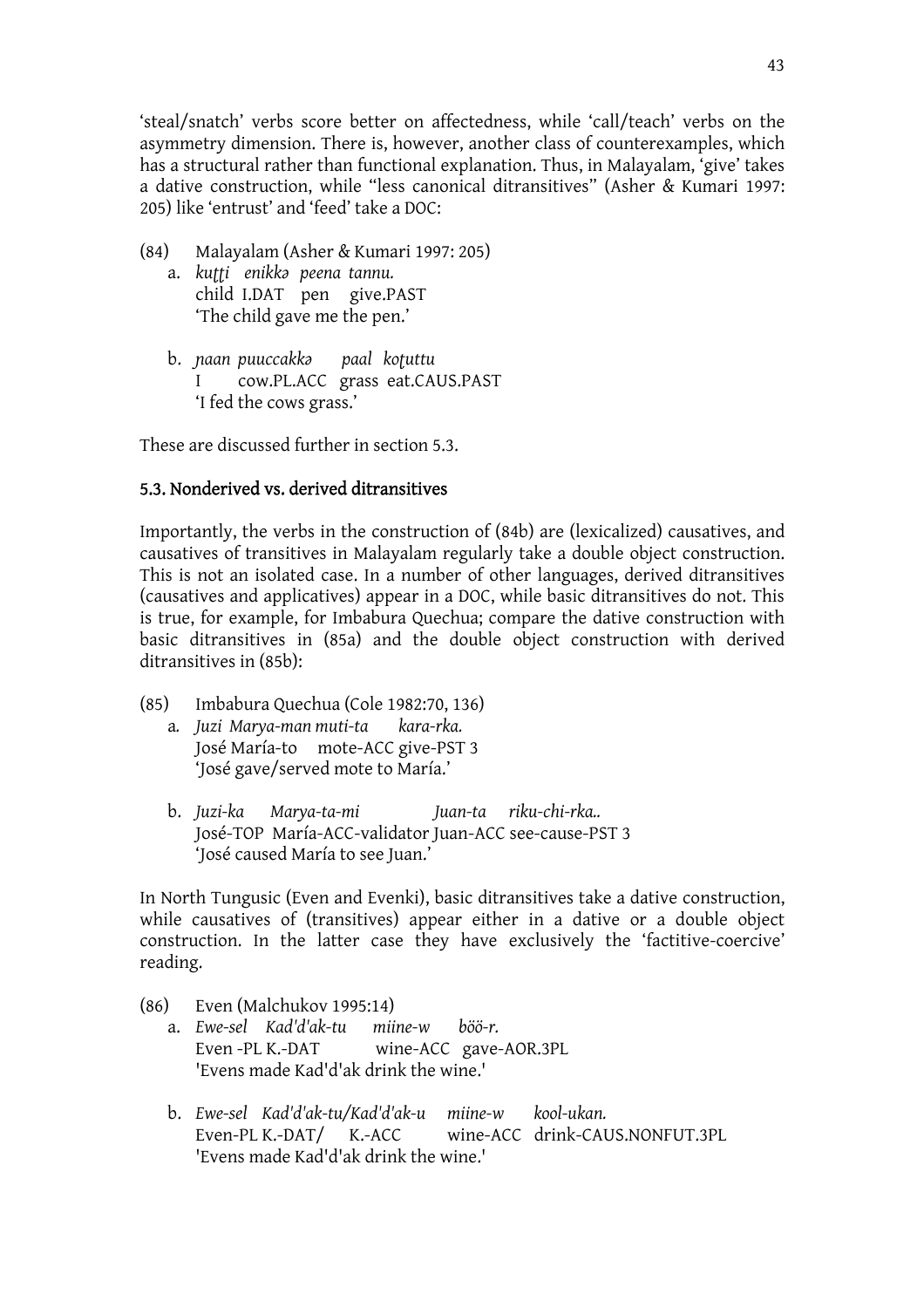'steal/snatch' verbs score better on affectedness, while 'call/teach' verbs on the asymmetry dimension. There is, however, another class of counterexamples, which has a structural rather than functional explanation. Thus, in Malayalam, 'give' takes a dative construction, while "less canonical ditransitives" (Asher & Kumari 1997: 205) like 'entrust' and 'feed' take a DOC:

- (84) Malayalam (Asher & Kumari 1997: 205)
	- a. *ku||i enikkM peena tannu.* child I.DAT pen give.PAST 'The child gave me the pen.'
	- b. *laan puuccakkM paal ko|uttu*  I cow.PL.ACC grass eat.CAUS.PAST 'I fed the cows grass.'

These are discussed further in section 5.3.

# 5.3. Nonderived vs. derived ditransitives

Importantly, the verbs in the construction of (84b) are (lexicalized) causatives, and causatives of transitives in Malayalam regularly take a double object construction. This is not an isolated case. In a number of other languages, derived ditransitives (causatives and applicatives) appear in a DOC, while basic ditransitives do not. This is true, for example, for Imbabura Quechua; compare the dative construction with basic ditransitives in (85a) and the double object construction with derived ditransitives in (85b):

- (85) Imbabura Quechua (Cole 1982:70, 136) a*. Juzi Marya-man muti-ta kara-rka.*  José María-to mote-ACC give-PST 3 'José gave/served mote to María.'
	- b. *Juzi-ka Marya-ta-mi Juan-ta riku-chi-rka..*  José-TOP María-ACC-validator Juan-ACC see-cause-PST 3 'José caused María to see Juan.'

In North Tungusic (Even and Evenki), basic ditransitives take a dative construction, while causatives of (transitives) appear either in a dative or a double object construction. In the latter case they have exclusively the 'factitive-coercive' reading.

- (86) Even (Malchukov 1995:14)
	- a. *Ewe-sel Kad'd'ak-tu miine-w böö-r.* Even -PL K.-DAT wine-ACC gave-AOR.3PL 'Evens made Kad'd'ak drink the wine.'
	- b. *Ewe-sel Kad'd'ak-tu/Kad'd'ak-u miine-w kool-ukan.* Even-PL K.-DAT/ K.-ACC wine-ACC drink-CAUS.NONFUT.3PL 'Evens made Kad'd'ak drink the wine.'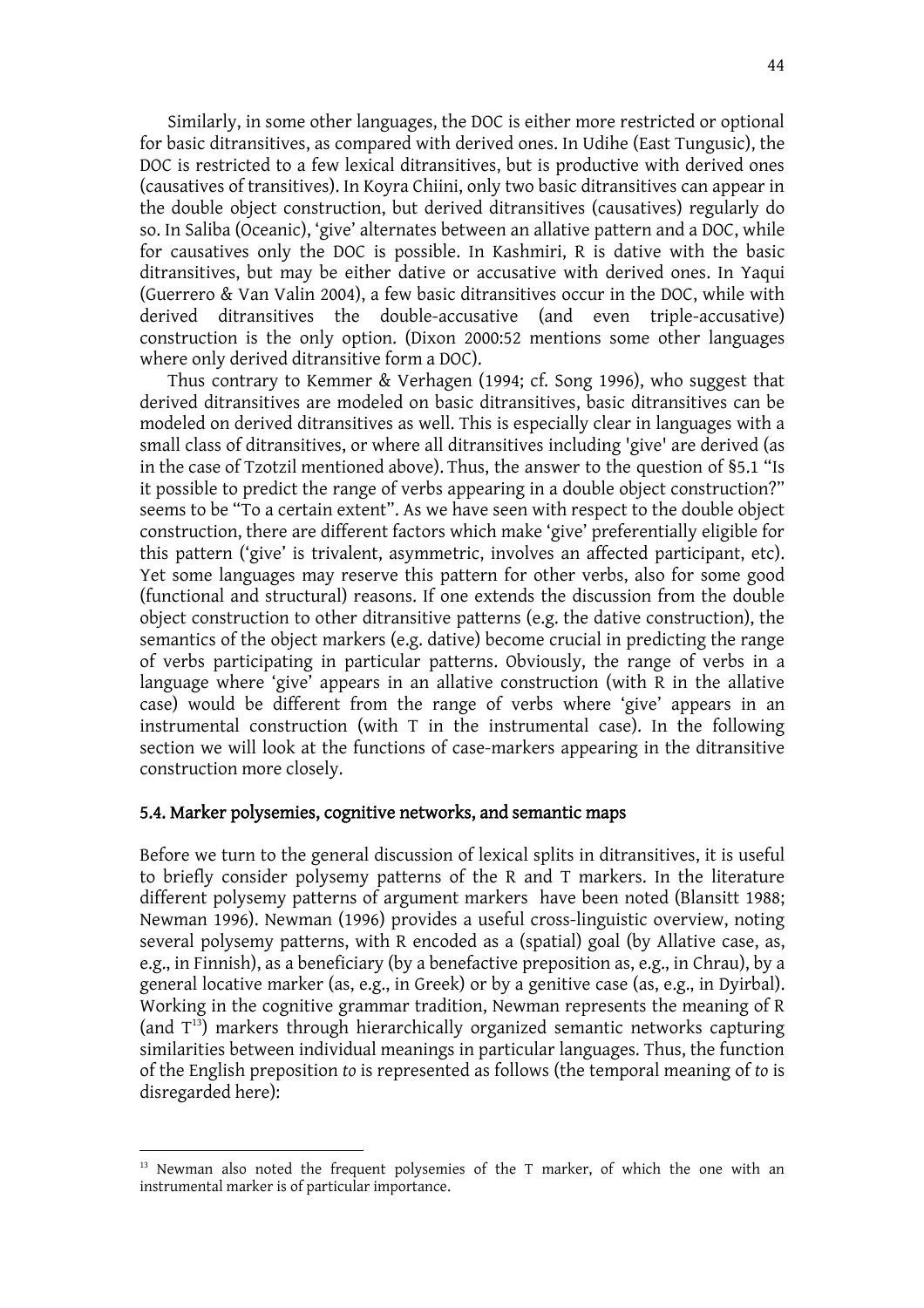Similarly, in some other languages, the DOC is either more restricted or optional for basic ditransitives, as compared with derived ones. In Udihe (East Tungusic), the DOC is restricted to a few lexical ditransitives, but is productive with derived ones (causatives of transitives). In Koyra Chiini, only two basic ditransitives can appear in the double object construction, but derived ditransitives (causatives) regularly do so. In Saliba (Oceanic), 'give' alternates between an allative pattern and a DOC, while for causatives only the DOC is possible. In Kashmiri, R is dative with the basic ditransitives, but may be either dative or accusative with derived ones. In Yaqui (Guerrero & Van Valin 2004), a few basic ditransitives occur in the DOC, while with derived ditransitives the double-accusative (and even triple-accusative) construction is the only option. (Dixon 2000:52 mentions some other languages where only derived ditransitive form a DOC).

 Thus contrary to Kemmer & Verhagen (1994; cf. Song 1996), who suggest that derived ditransitives are modeled on basic ditransitives, basic ditransitives can be modeled on derived ditransitives as well. This is especially clear in languages with a small class of ditransitives, or where all ditransitives including 'give' are derived (as in the case of Tzotzil mentioned above). Thus, the answer to the question of §5.1 "Is it possible to predict the range of verbs appearing in a double object construction?" seems to be "To a certain extent". As we have seen with respect to the double object construction, there are different factors which make 'give' preferentially eligible for this pattern ('give' is trivalent, asymmetric, involves an affected participant, etc). Yet some languages may reserve this pattern for other verbs, also for some good (functional and structural) reasons. If one extends the discussion from the double object construction to other ditransitive patterns (e.g. the dative construction), the semantics of the object markers (e.g. dative) become crucial in predicting the range of verbs participating in particular patterns. Obviously, the range of verbs in a language where 'give' appears in an allative construction (with R in the allative case) would be different from the range of verbs where 'give' appears in an instrumental construction (with T in the instrumental case). In the following section we will look at the functions of case-markers appearing in the ditransitive construction more closely.

#### 5.4. Marker polysemies, cognitive networks, and semantic maps

Before we turn to the general discussion of lexical splits in ditransitives, it is useful to briefly consider polysemy patterns of the R and T markers. In the literature different polysemy patterns of argument markers have been noted (Blansitt 1988; Newman 1996). Newman (1996) provides a useful cross-linguistic overview, noting several polysemy patterns, with R encoded as a (spatial) goal (by Allative case, as, e.g., in Finnish), as a beneficiary (by a benefactive preposition as, e.g., in Chrau), by a general locative marker (as, e.g., in Greek) or by a genitive case (as, e.g., in Dyirbal). Working in the cognitive grammar tradition, Newman represents the meaning of R (and  $T^{13}$ ) markers through hierarchically organized semantic networks capturing similarities between individual meanings in particular languages. Thus, the function of the English preposition *to* is represented as follows (the temporal meaning of *to* is disregarded here):

<sup>&</sup>lt;sup>13</sup> Newman also noted the frequent polysemies of the T marker, of which the one with an instrumental marker is of particular importance.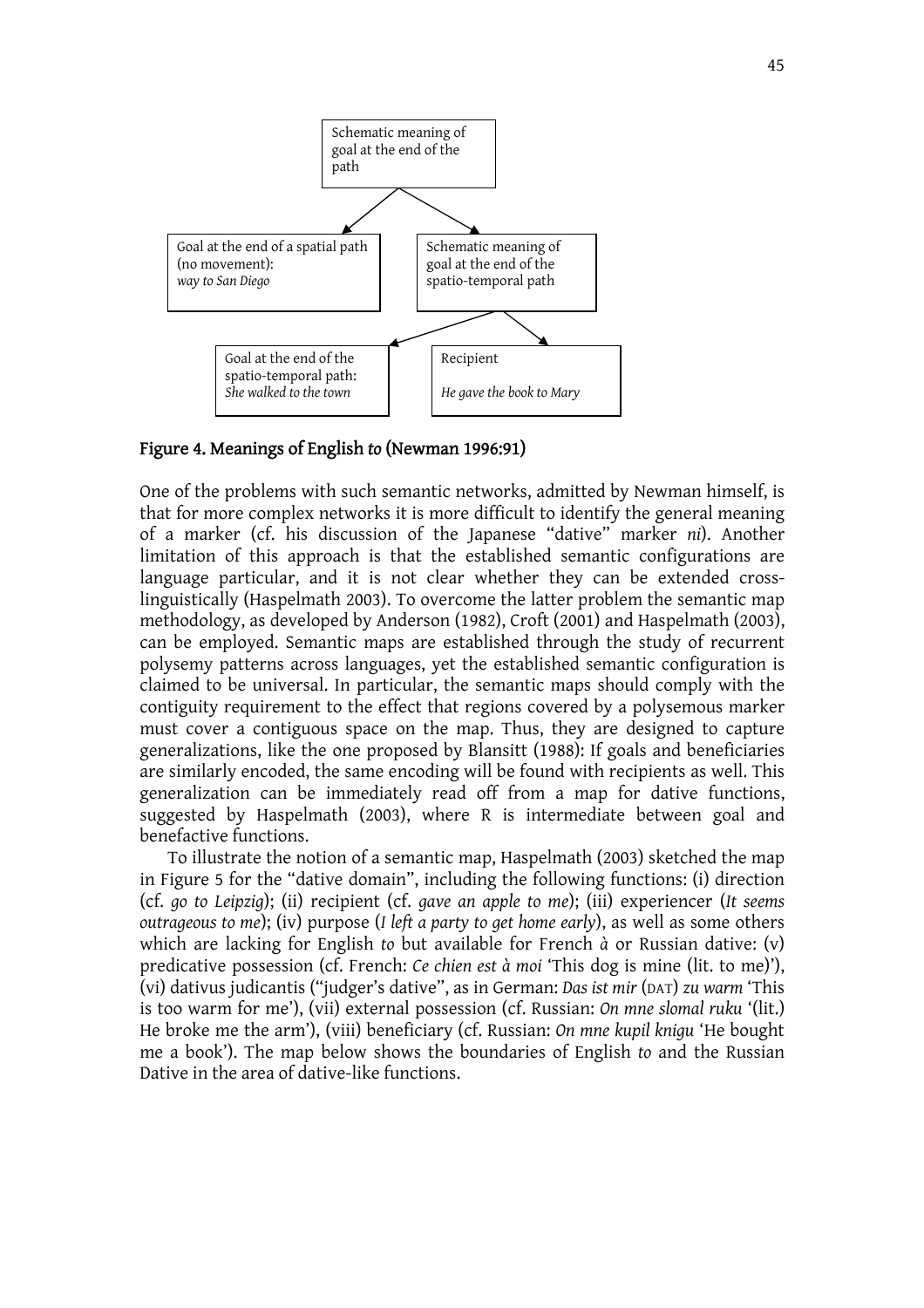

Figure 4. Meanings of English *to* (Newman 1996:91)

One of the problems with such semantic networks, admitted by Newman himself, is that for more complex networks it is more difficult to identify the general meaning of a marker (cf. his discussion of the Japanese "dative" marker *ni*). Another limitation of this approach is that the established semantic configurations are language particular, and it is not clear whether they can be extended crosslinguistically (Haspelmath 2003). To overcome the latter problem the semantic map methodology, as developed by Anderson (1982), Croft (2001) and Haspelmath (2003), can be employed. Semantic maps are established through the study of recurrent polysemy patterns across languages, yet the established semantic configuration is claimed to be universal. In particular, the semantic maps should comply with the contiguity requirement to the effect that regions covered by a polysemous marker must cover a contiguous space on the map. Thus, they are designed to capture generalizations, like the one proposed by Blansitt (1988): If goals and beneficiaries are similarly encoded, the same encoding will be found with recipients as well. This generalization can be immediately read off from a map for dative functions, suggested by Haspelmath (2003), where R is intermediate between goal and benefactive functions.

 To illustrate the notion of a semantic map, Haspelmath (2003) sketched the map in Figure 5 for the "dative domain", including the following functions: (i) direction (cf. *go to Leipzig*); (ii) recipient (cf. *gave an apple to me*); (iii) experiencer (*It seems outrageous to me*); (iv) purpose (*I left a party to get home early*), as well as some others which are lacking for English *to* but available for French *à* or Russian dative: (v) predicative possession (cf. French: *Ce chien est à moi* 'This dog is mine (lit. to me)'), (vi) dativus judicantis ("judger's dative", as in German: *Das ist mir* (DAT) *zu warm* 'This is too warm for me'), (vii) external possession (cf. Russian: *On mne slomal ruku* '(lit.) He broke me the arm'), (viii) beneficiary (cf. Russian: *On mne kupil knigu* 'He bought me a book'). The map below shows the boundaries of English *to* and the Russian Dative in the area of dative-like functions.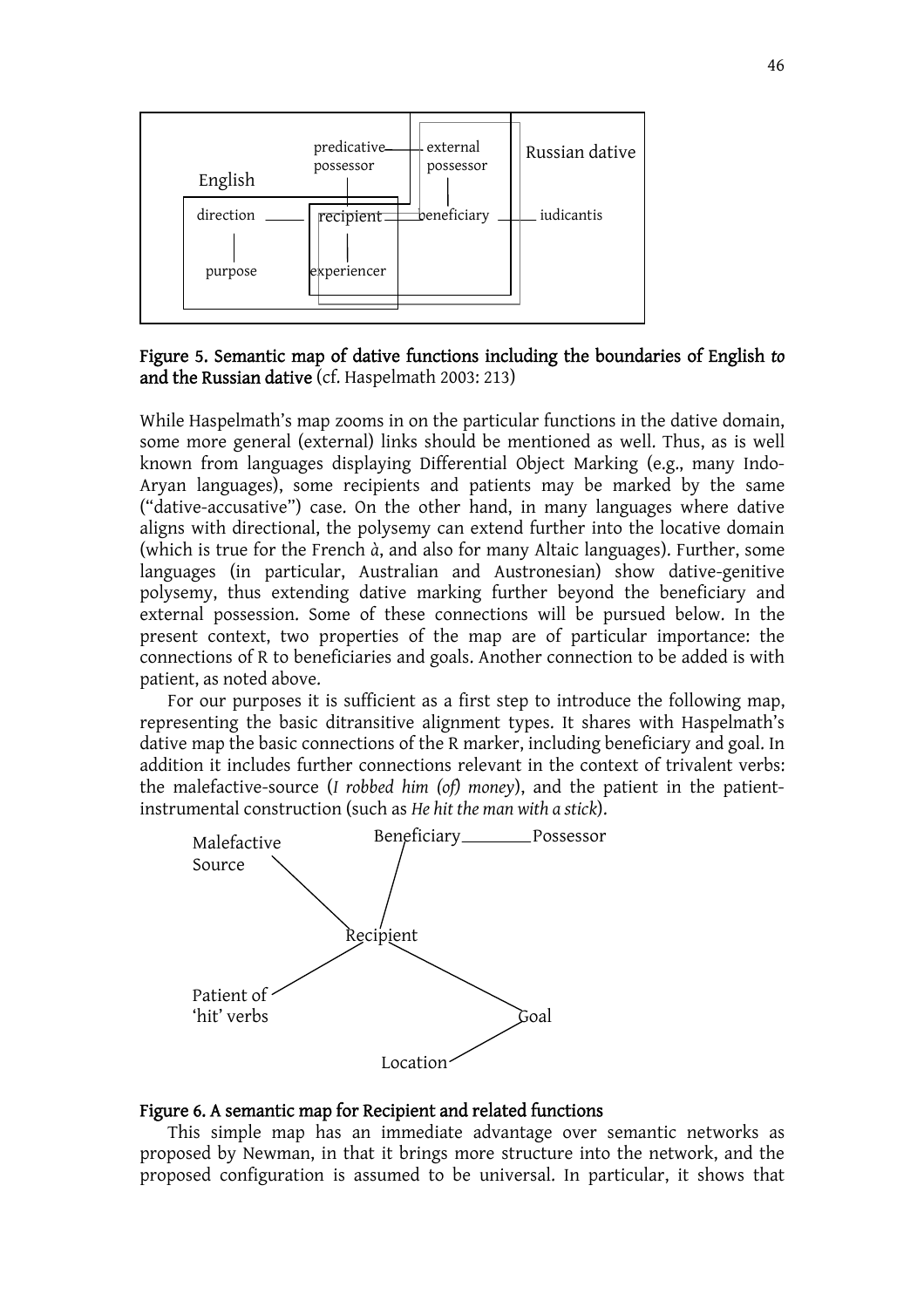

Figure 5. Semantic map of dative functions including the boundaries of English *to* and the Russian dative (cf. Haspelmath 2003: 213)

While Haspelmath's map zooms in on the particular functions in the dative domain, some more general (external) links should be mentioned as well. Thus, as is well known from languages displaying Differential Object Marking (e.g., many Indo-Aryan languages), some recipients and patients may be marked by the same ("dative-accusative") case. On the other hand, in many languages where dative aligns with directional, the polysemy can extend further into the locative domain (which is true for the French *à*, and also for many Altaic languages). Further, some languages (in particular, Australian and Austronesian) show dative-genitive polysemy, thus extending dative marking further beyond the beneficiary and external possession. Some of these connections will be pursued below. In the present context, two properties of the map are of particular importance: the connections of R to beneficiaries and goals. Another connection to be added is with patient, as noted above.

 For our purposes it is sufficient as a first step to introduce the following map, representing the basic ditransitive alignment types. It shares with Haspelmath's dative map the basic connections of the R marker, including beneficiary and goal. In addition it includes further connections relevant in the context of trivalent verbs: the malefactive-source (*I robbed him (of) money*), and the patient in the patientinstrumental construction (such as *He hit the man with a stick*).



#### Figure 6. A semantic map for Recipient and related functions

 This simple map has an immediate advantage over semantic networks as proposed by Newman, in that it brings more structure into the network, and the proposed configuration is assumed to be universal. In particular, it shows that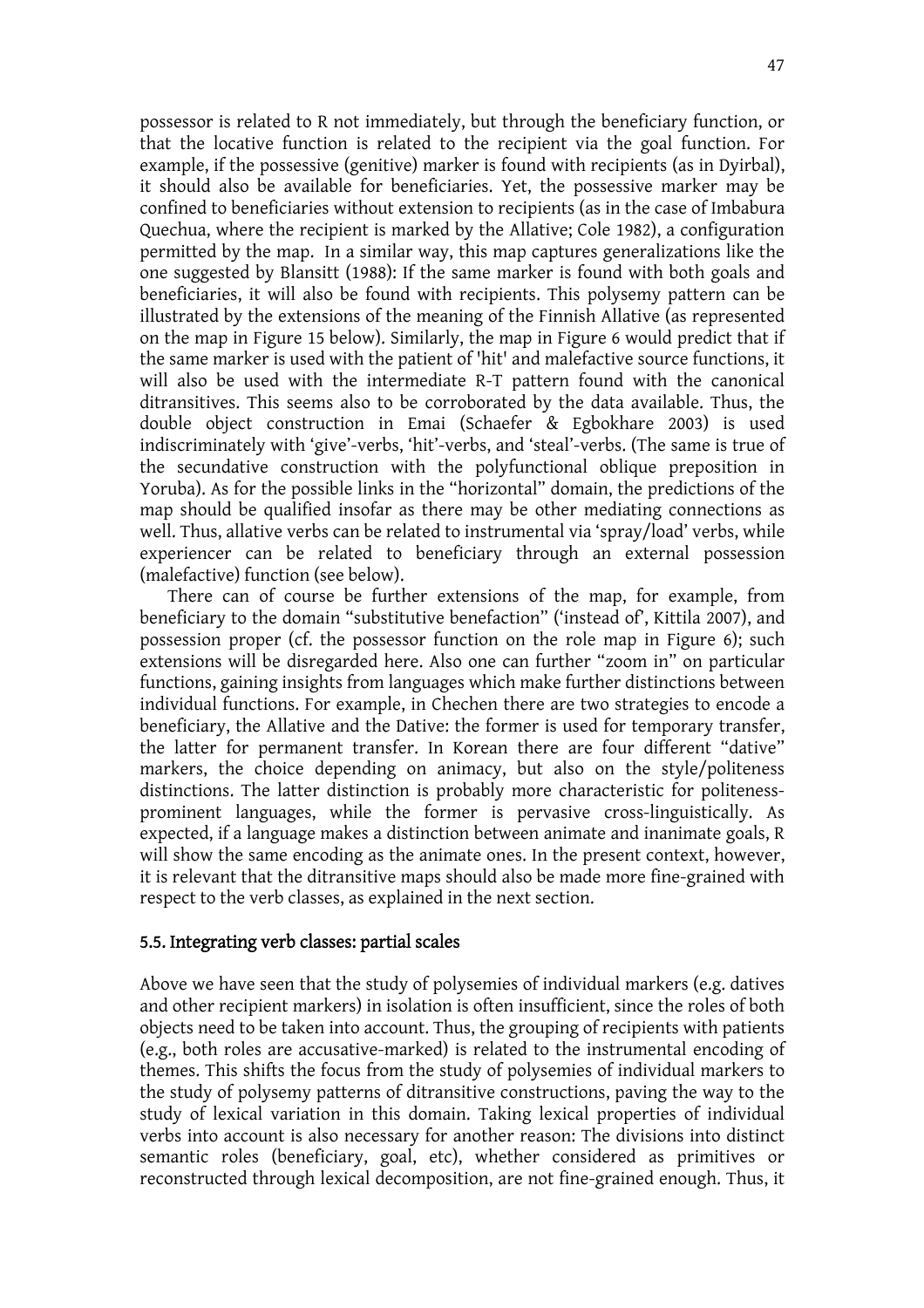possessor is related to R not immediately, but through the beneficiary function, or that the locative function is related to the recipient via the goal function. For example, if the possessive (genitive) marker is found with recipients (as in Dyirbal), it should also be available for beneficiaries. Yet, the possessive marker may be confined to beneficiaries without extension to recipients (as in the case of Imbabura Quechua, where the recipient is marked by the Allative; Cole 1982), a configuration permitted by the map. In a similar way, this map captures generalizations like the one suggested by Blansitt (1988): If the same marker is found with both goals and beneficiaries, it will also be found with recipients. This polysemy pattern can be illustrated by the extensions of the meaning of the Finnish Allative (as represented on the map in Figure 15 below). Similarly, the map in Figure 6 would predict that if the same marker is used with the patient of 'hit' and malefactive source functions, it will also be used with the intermediate R-T pattern found with the canonical ditransitives. This seems also to be corroborated by the data available. Thus, the double object construction in Emai (Schaefer & Egbokhare 2003) is used indiscriminately with 'give'-verbs, 'hit'-verbs, and 'steal'-verbs. (The same is true of the secundative construction with the polyfunctional oblique preposition in Yoruba). As for the possible links in the "horizontal" domain, the predictions of the map should be qualified insofar as there may be other mediating connections as well. Thus, allative verbs can be related to instrumental via 'spray/load' verbs, while experiencer can be related to beneficiary through an external possession (malefactive) function (see below).

 There can of course be further extensions of the map, for example, from beneficiary to the domain "substitutive benefaction" ('instead of', Kittila 2007), and possession proper (cf. the possessor function on the role map in Figure 6); such extensions will be disregarded here. Also one can further "zoom in" on particular functions, gaining insights from languages which make further distinctions between individual functions. For example, in Chechen there are two strategies to encode a beneficiary, the Allative and the Dative: the former is used for temporary transfer, the latter for permanent transfer. In Korean there are four different "dative" markers, the choice depending on animacy, but also on the style/politeness distinctions. The latter distinction is probably more characteristic for politenessprominent languages, while the former is pervasive cross-linguistically. As expected, if a language makes a distinction between animate and inanimate goals, R will show the same encoding as the animate ones. In the present context, however, it is relevant that the ditransitive maps should also be made more fine-grained with respect to the verb classes, as explained in the next section.

### 5.5. Integrating verb classes: partial scales

Above we have seen that the study of polysemies of individual markers (e.g. datives and other recipient markers) in isolation is often insufficient, since the roles of both objects need to be taken into account. Thus, the grouping of recipients with patients (e.g., both roles are accusative-marked) is related to the instrumental encoding of themes. This shifts the focus from the study of polysemies of individual markers to the study of polysemy patterns of ditransitive constructions, paving the way to the study of lexical variation in this domain. Taking lexical properties of individual verbs into account is also necessary for another reason: The divisions into distinct semantic roles (beneficiary, goal, etc), whether considered as primitives or reconstructed through lexical decomposition, are not fine-grained enough. Thus, it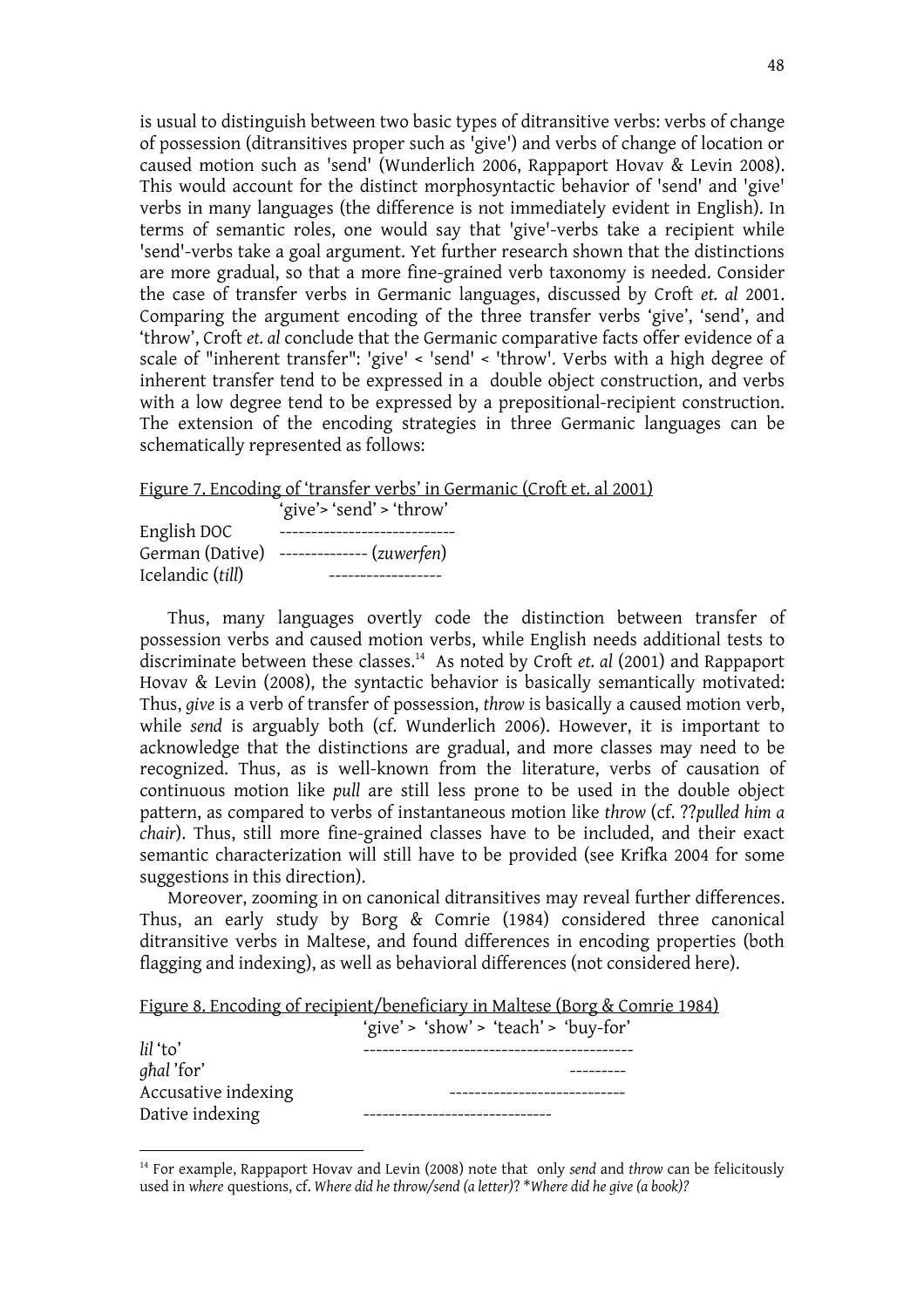is usual to distinguish between two basic types of ditransitive verbs: verbs of change of possession (ditransitives proper such as 'give') and verbs of change of location or caused motion such as 'send' (Wunderlich 2006, Rappaport Hovav & Levin 2008). This would account for the distinct morphosyntactic behavior of 'send' and 'give' verbs in many languages (the difference is not immediately evident in English). In terms of semantic roles, one would say that 'give'-verbs take a recipient while 'send'-verbs take a goal argument. Yet further research shown that the distinctions are more gradual, so that a more fine-grained verb taxonomy is needed. Consider the case of transfer verbs in Germanic languages, discussed by Croft *et. al* 2001. Comparing the argument encoding of the three transfer verbs 'give', 'send', and 'throw', Croft *et. al* conclude that the Germanic comparative facts offer evidence of a scale of "inherent transfer": 'give' < 'send' < 'throw'. Verbs with a high degree of inherent transfer tend to be expressed in a double object construction, and verbs with a low degree tend to be expressed by a prepositional-recipient construction. The extension of the encoding strategies in three Germanic languages can be schematically represented as follows:

Figure 7. Encoding of 'transfer verbs' in Germanic (Croft et. al 2001)

|                  | 'give'> 'send' > 'throw' |
|------------------|--------------------------|
| English DOC      |                          |
| German (Dative)  | ------------- (zuwerfen) |
| Icelandic (till) |                          |

Thus, many languages overtly code the distinction between transfer of possession verbs and caused motion verbs, while English needs additional tests to discriminate between these classes.14 As noted by Croft *et. al* (2001) and Rappaport Hovav & Levin (2008), the syntactic behavior is basically semantically motivated: Thus, *give* is a verb of transfer of possession, *throw* is basically a caused motion verb, while *send* is arguably both (cf. Wunderlich 2006). However, it is important to acknowledge that the distinctions are gradual, and more classes may need to be recognized. Thus, as is well-known from the literature, verbs of causation of continuous motion like *pull* are still less prone to be used in the double object pattern, as compared to verbs of instantaneous motion like *throw* (cf. ??*pulled him a chair*). Thus, still more fine-grained classes have to be included, and their exact semantic characterization will still have to be provided (see Krifka 2004 for some suggestions in this direction).

 Moreover, zooming in on canonical ditransitives may reveal further differences. Thus, an early study by Borg & Comrie (1984) considered three canonical ditransitive verbs in Maltese, and found differences in encoding properties (both flagging and indexing), as well as behavioral differences (not considered here).

|  | Figure 8. Encoding of recipient/beneficiary in Maltese (Borg & Comrie 1984) |  |
|--|-----------------------------------------------------------------------------|--|
|  |                                                                             |  |

| lil 'to'            | 'give' > 'show' > 'teach' > 'buy-for' |
|---------------------|---------------------------------------|
| <i>ghal</i> 'for'   |                                       |
| Accusative indexing |                                       |
| Dative indexing     |                                       |

<sup>14</sup> For example, Rappaport Hovav and Levin (2008) note that only *send* and *throw* can be felicitously used in *where* questions, cf. *Where did he throw/send (a letter)*? \**Where did he give (a book)?*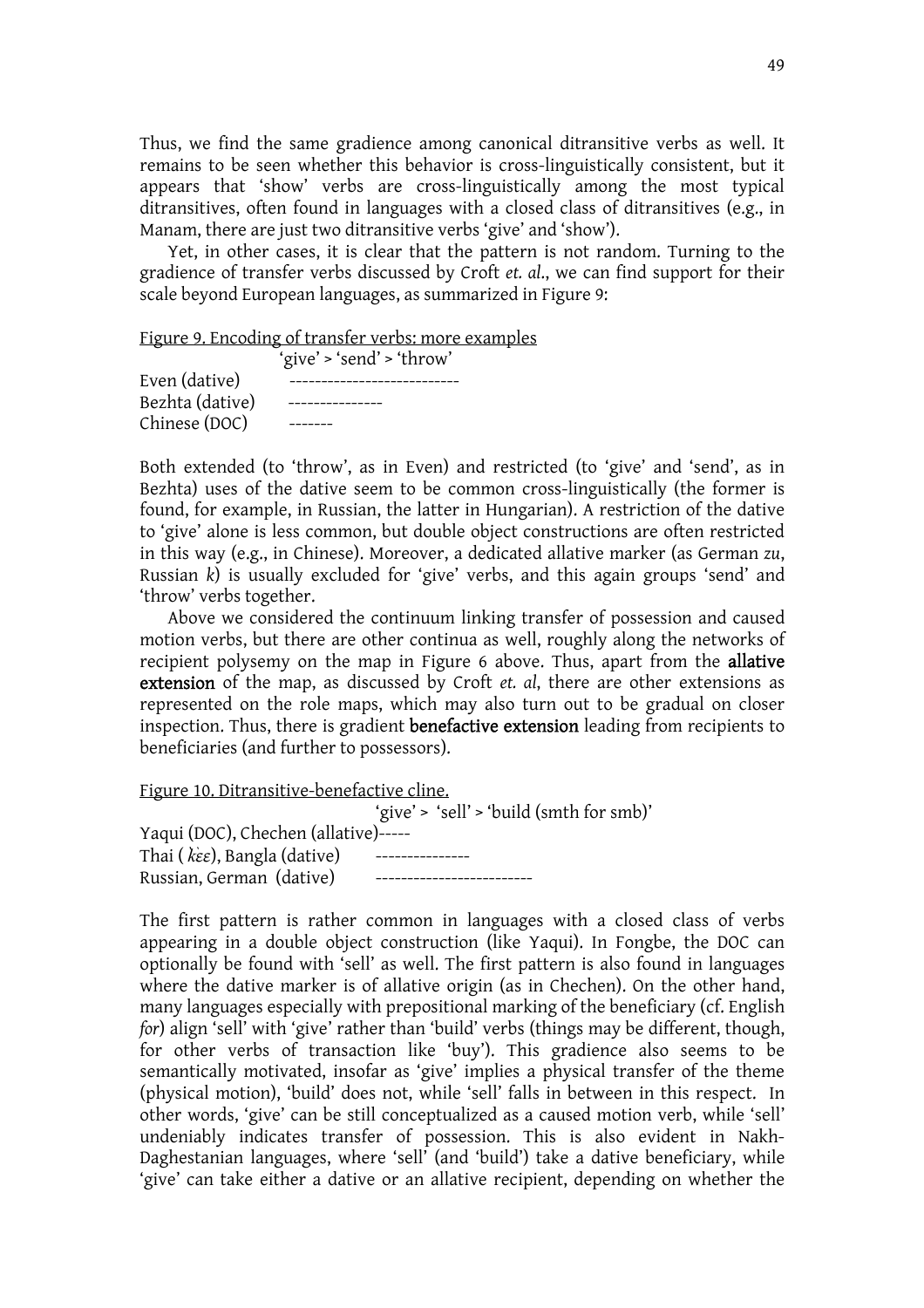Thus, we find the same gradience among canonical ditransitive verbs as well. It remains to be seen whether this behavior is cross-linguistically consistent, but it appears that 'show' verbs are cross-linguistically among the most typical ditransitives, often found in languages with a closed class of ditransitives (e.g., in Manam, there are just two ditransitive verbs 'give' and 'show').

 Yet, in other cases, it is clear that the pattern is not random. Turning to the gradience of transfer verbs discussed by Croft *et. al*., we can find support for their scale beyond European languages, as summarized in Figure 9:

Figure 9. Encoding of transfer verbs: more examples

|                 | 'give' > 'send' > 'throw' |
|-----------------|---------------------------|
| Even (dative)   |                           |
| Bezhta (dative) |                           |
| Chinese (DOC)   |                           |

Both extended (to 'throw', as in Even) and restricted (to 'give' and 'send', as in Bezhta) uses of the dative seem to be common cross-linguistically (the former is found, for example, in Russian, the latter in Hungarian). A restriction of the dative to 'give' alone is less common, but double object constructions are often restricted in this way (e.g., in Chinese). Moreover, a dedicated allative marker (as German *zu*, Russian *k*) is usually excluded for 'give' verbs, and this again groups 'send' and 'throw' verbs together.

 Above we considered the continuum linking transfer of possession and caused motion verbs, but there are other continua as well, roughly along the networks of recipient polysemy on the map in Figure 6 above. Thus, apart from the **allative** extension of the map, as discussed by Croft *et. al*, there are other extensions as represented on the role maps, which may also turn out to be gradual on closer inspection. Thus, there is gradient benefactive extension leading from recipients to beneficiaries (and further to possessors).

Figure 10. Ditransitive-benefactive cline.

'give' > 'sell' > 'build (smth for smb)' Yaqui (DOC), Chechen (allative)----- Thai (*kεε*), Bangla (dative) ----------------Russian, German (dative) -------------------------

The first pattern is rather common in languages with a closed class of verbs appearing in a double object construction (like Yaqui). In Fongbe, the DOC can optionally be found with 'sell' as well. The first pattern is also found in languages where the dative marker is of allative origin (as in Chechen). On the other hand, many languages especially with prepositional marking of the beneficiary (cf. English *for*) align 'sell' with 'give' rather than 'build' verbs (things may be different, though, for other verbs of transaction like 'buy'). This gradience also seems to be semantically motivated, insofar as 'give' implies a physical transfer of the theme (physical motion), 'build' does not, while 'sell' falls in between in this respect. In other words, 'give' can be still conceptualized as a caused motion verb, while 'sell' undeniably indicates transfer of possession. This is also evident in Nakh-Daghestanian languages, where 'sell' (and 'build') take a dative beneficiary, while 'give' can take either a dative or an allative recipient, depending on whether the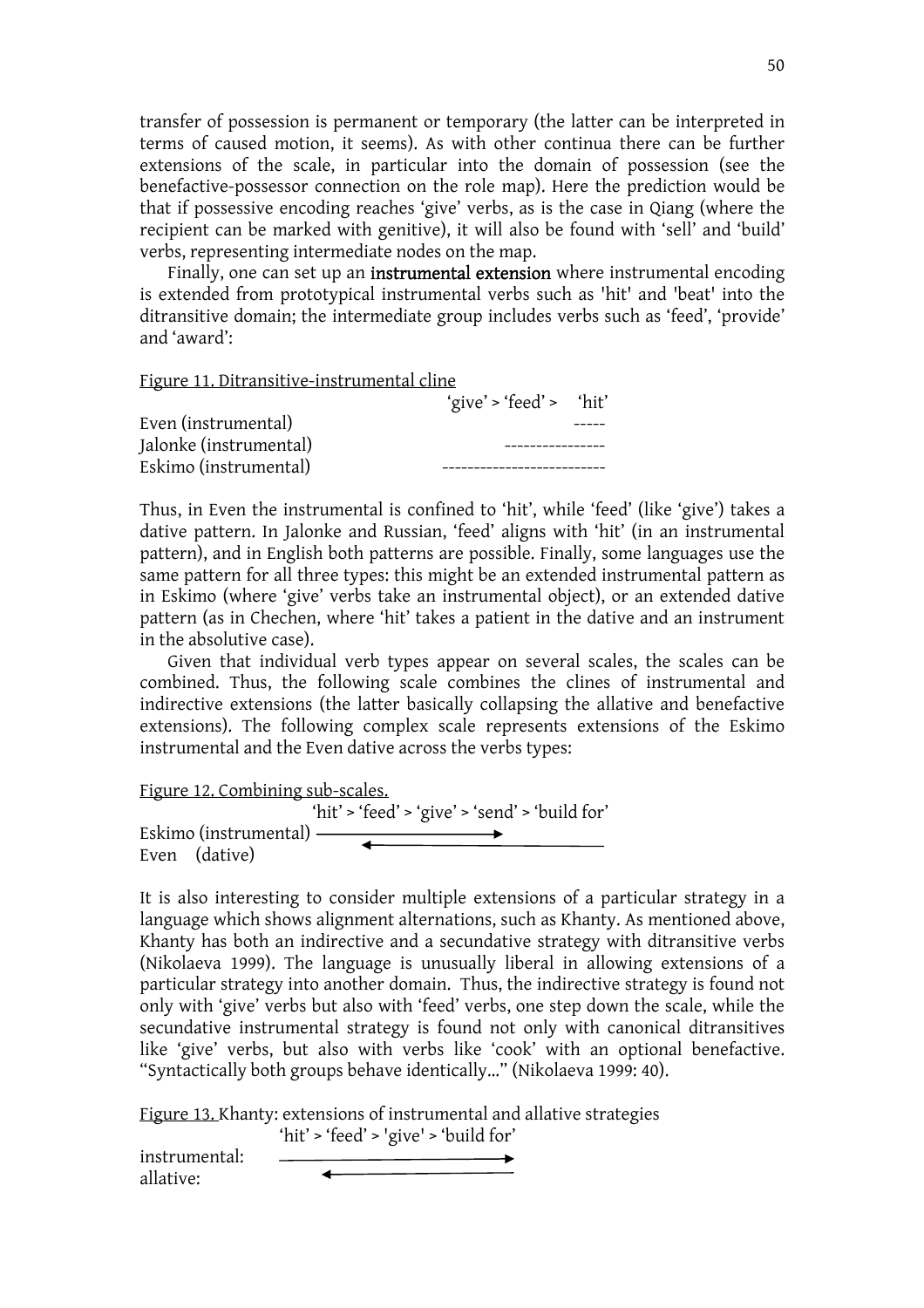transfer of possession is permanent or temporary (the latter can be interpreted in terms of caused motion, it seems). As with other continua there can be further extensions of the scale, in particular into the domain of possession (see the benefactive-possessor connection on the role map). Here the prediction would be that if possessive encoding reaches 'give' verbs, as is the case in Qiang (where the recipient can be marked with genitive), it will also be found with 'sell' and 'build' verbs, representing intermediate nodes on the map.

Finally, one can set up an **instrumental extension** where instrumental encoding is extended from prototypical instrumental verbs such as 'hit' and 'beat' into the ditransitive domain; the intermediate group includes verbs such as 'feed', 'provide' and 'award':

Figure 11. Ditransitive-instrumental cline

|                        | 'give' > 'feed' > 'hit' |  |
|------------------------|-------------------------|--|
| Even (instrumental)    |                         |  |
| Jalonke (instrumental) |                         |  |
| Eskimo (instrumental)  |                         |  |

Thus, in Even the instrumental is confined to 'hit', while 'feed' (like 'give') takes a dative pattern. In Jalonke and Russian, 'feed' aligns with 'hit' (in an instrumental pattern), and in English both patterns are possible. Finally, some languages use the same pattern for all three types: this might be an extended instrumental pattern as in Eskimo (where 'give' verbs take an instrumental object), or an extended dative pattern (as in Chechen, where 'hit' takes a patient in the dative and an instrument in the absolutive case).

 Given that individual verb types appear on several scales, the scales can be combined. Thus, the following scale combines the clines of instrumental and indirective extensions (the latter basically collapsing the allative and benefactive extensions). The following complex scale represents extensions of the Eskimo instrumental and the Even dative across the verbs types:

Figure 12. Combining sub-scales.

'hit' > 'feed' > 'give' > 'send' > 'build for' Eskimo (instrumental) Even (dative)

It is also interesting to consider multiple extensions of a particular strategy in a language which shows alignment alternations, such as Khanty. As mentioned above, Khanty has both an indirective and a secundative strategy with ditransitive verbs (Nikolaeva 1999). The language is unusually liberal in allowing extensions of a particular strategy into another domain. Thus, the indirective strategy is found not only with 'give' verbs but also with 'feed' verbs, one step down the scale, while the secundative instrumental strategy is found not only with canonical ditransitives like 'give' verbs, but also with verbs like 'cook' with an optional benefactive. "Syntactically both groups behave identically…" (Nikolaeva 1999: 40).

Figure 13. Khanty: extensions of instrumental and allative strategies

'hit' > 'feed' > 'give' > 'build for'

instrumental: allative: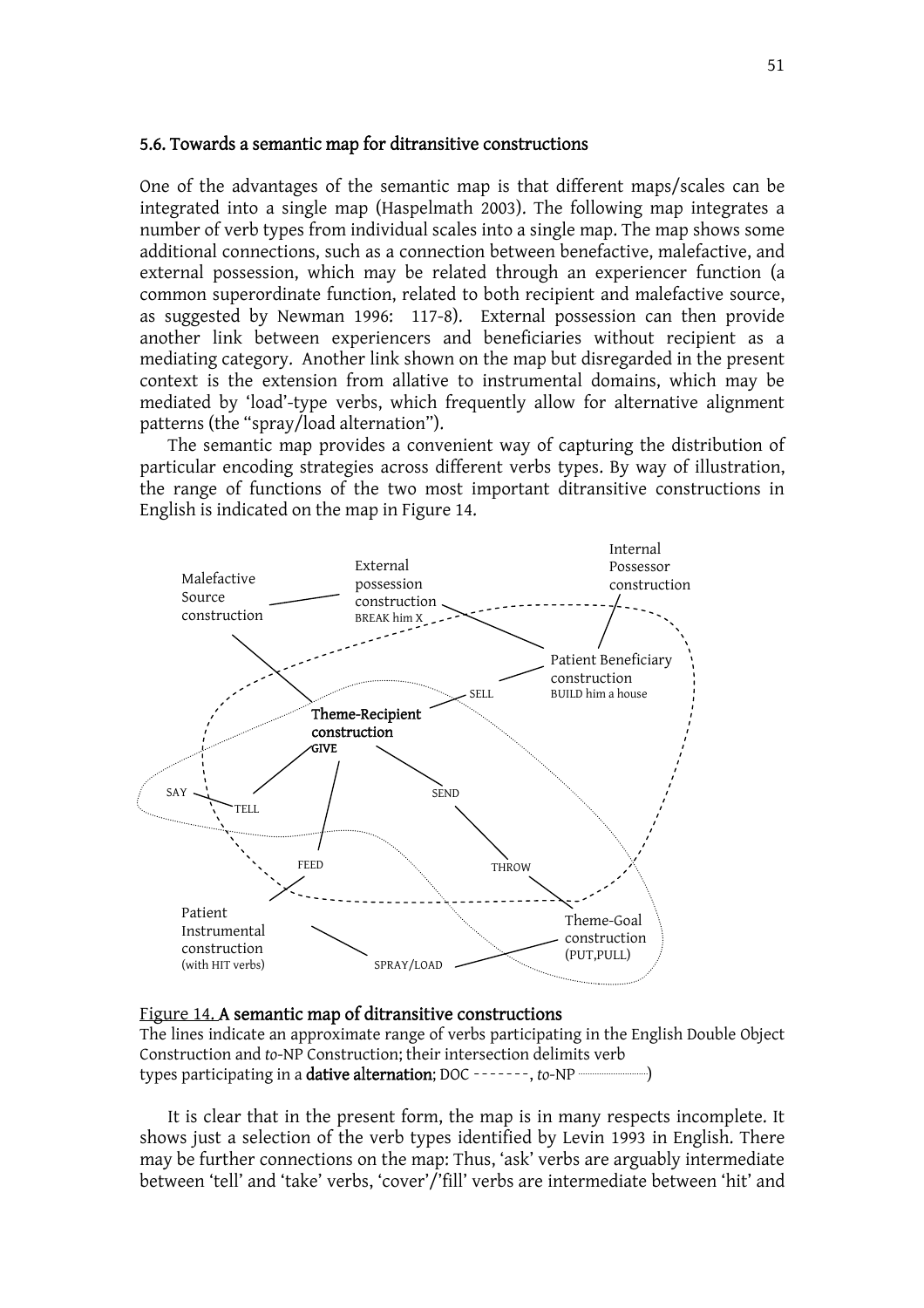#### 5.6. Towards a semantic map for ditransitive constructions

One of the advantages of the semantic map is that different maps/scales can be integrated into a single map (Haspelmath 2003). The following map integrates a number of verb types from individual scales into a single map. The map shows some additional connections, such as a connection between benefactive, malefactive, and external possession, which may be related through an experiencer function (a common superordinate function, related to both recipient and malefactive source, as suggested by Newman 1996: 117-8). External possession can then provide another link between experiencers and beneficiaries without recipient as a mediating category. Another link shown on the map but disregarded in the present context is the extension from allative to instrumental domains, which may be mediated by 'load'-type verbs, which frequently allow for alternative alignment patterns (the "spray/load alternation").

 The semantic map provides a convenient way of capturing the distribution of particular encoding strategies across different verbs types. By way of illustration, the range of functions of the two most important ditransitive constructions in English is indicated on the map in Figure 14.



#### Figure 14. A semantic map of ditransitive constructions

The lines indicate an approximate range of verbs participating in the English Double Object Construction and *to*-NP Construction; their intersection delimits verb types participating in a dative alternation; DOC -------, to-NP

It is clear that in the present form, the map is in many respects incomplete. It shows just a selection of the verb types identified by Levin 1993 in English. There may be further connections on the map: Thus, 'ask' verbs are arguably intermediate between 'tell' and 'take' verbs, 'cover'/'fill' verbs are intermediate between 'hit' and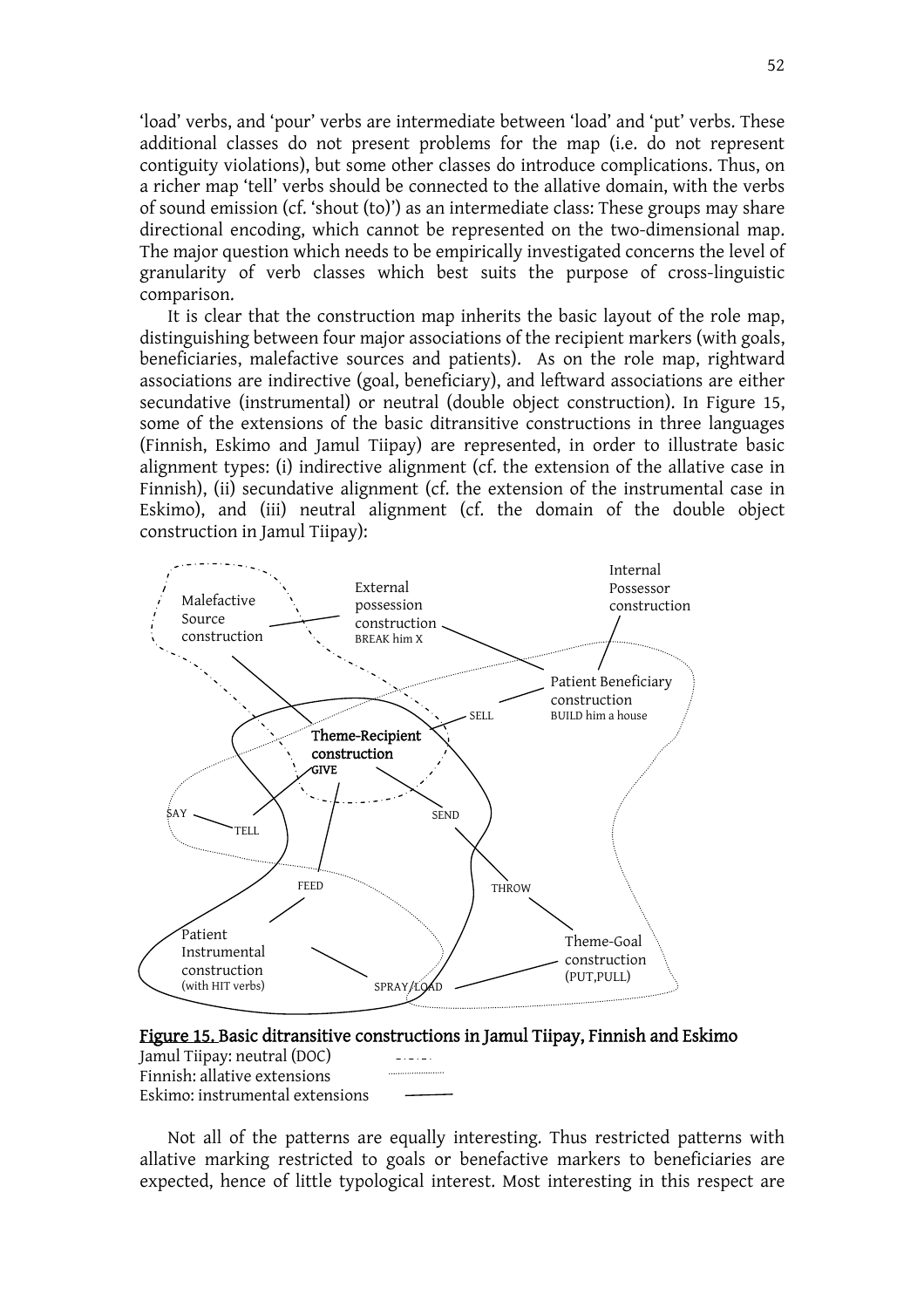'load' verbs, and 'pour' verbs are intermediate between 'load' and 'put' verbs. These additional classes do not present problems for the map (i.e. do not represent contiguity violations), but some other classes do introduce complications. Thus, on a richer map 'tell' verbs should be connected to the allative domain, with the verbs of sound emission (cf. 'shout (to)') as an intermediate class: These groups may share directional encoding, which cannot be represented on the two-dimensional map. The major question which needs to be empirically investigated concerns the level of granularity of verb classes which best suits the purpose of cross-linguistic comparison.

 It is clear that the construction map inherits the basic layout of the role map, distinguishing between four major associations of the recipient markers (with goals, beneficiaries, malefactive sources and patients). As on the role map, rightward associations are indirective (goal, beneficiary), and leftward associations are either secundative (instrumental) or neutral (double object construction). In Figure 15, some of the extensions of the basic ditransitive constructions in three languages (Finnish, Eskimo and Jamul Tiipay) are represented, in order to illustrate basic alignment types: (i) indirective alignment (cf. the extension of the allative case in Finnish), (ii) secundative alignment (cf. the extension of the instrumental case in Eskimo), and (iii) neutral alignment (cf. the domain of the double object construction in Jamul Tiipay):







Not all of the patterns are equally interesting. Thus restricted patterns with allative marking restricted to goals or benefactive markers to beneficiaries are expected, hence of little typological interest. Most interesting in this respect are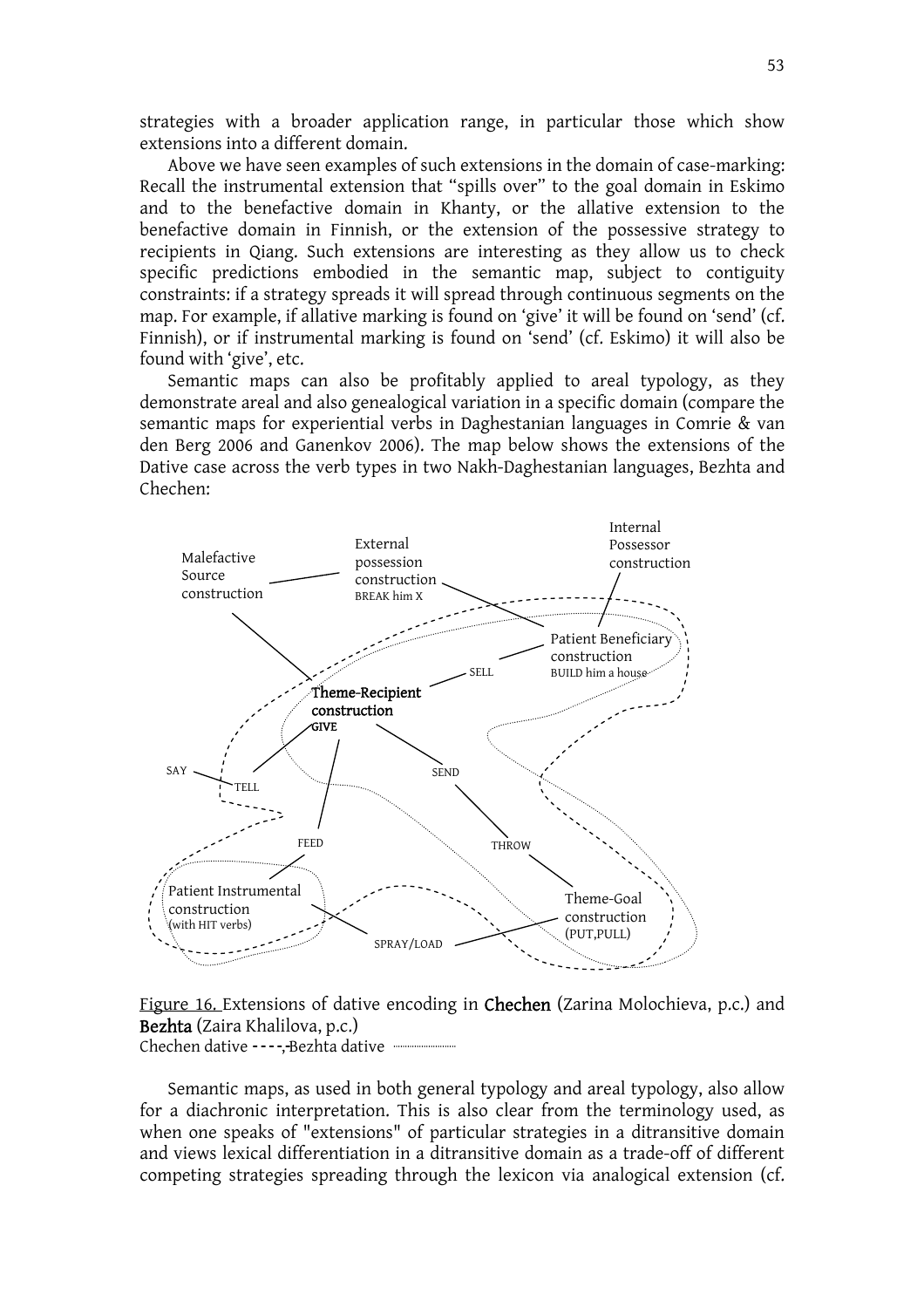strategies with a broader application range, in particular those which show extensions into a different domain.

 Above we have seen examples of such extensions in the domain of case-marking: Recall the instrumental extension that "spills over" to the goal domain in Eskimo and to the benefactive domain in Khanty, or the allative extension to the benefactive domain in Finnish, or the extension of the possessive strategy to recipients in Qiang. Such extensions are interesting as they allow us to check specific predictions embodied in the semantic map, subject to contiguity constraints: if a strategy spreads it will spread through continuous segments on the map. For example, if allative marking is found on 'give' it will be found on 'send' (cf. Finnish), or if instrumental marking is found on 'send' (cf. Eskimo) it will also be found with 'give', etc.

 Semantic maps can also be profitably applied to areal typology, as they demonstrate areal and also genealogical variation in a specific domain (compare the semantic maps for experiential verbs in Daghestanian languages in Comrie & van den Berg 2006 and Ganenkov 2006). The map below shows the extensions of the Dative case across the verb types in two Nakh-Daghestanian languages, Bezhta and Chechen:



Figure 16. Extensions of dative encoding in Chechen (Zarina Molochieva, p.c.) and Bezhta (Zaira Khalilova, p.c.) Chechen dative -----Bezhta dative

Semantic maps, as used in both general typology and areal typology, also allow for a diachronic interpretation. This is also clear from the terminology used, as when one speaks of "extensions" of particular strategies in a ditransitive domain and views lexical differentiation in a ditransitive domain as a trade-off of different competing strategies spreading through the lexicon via analogical extension (cf.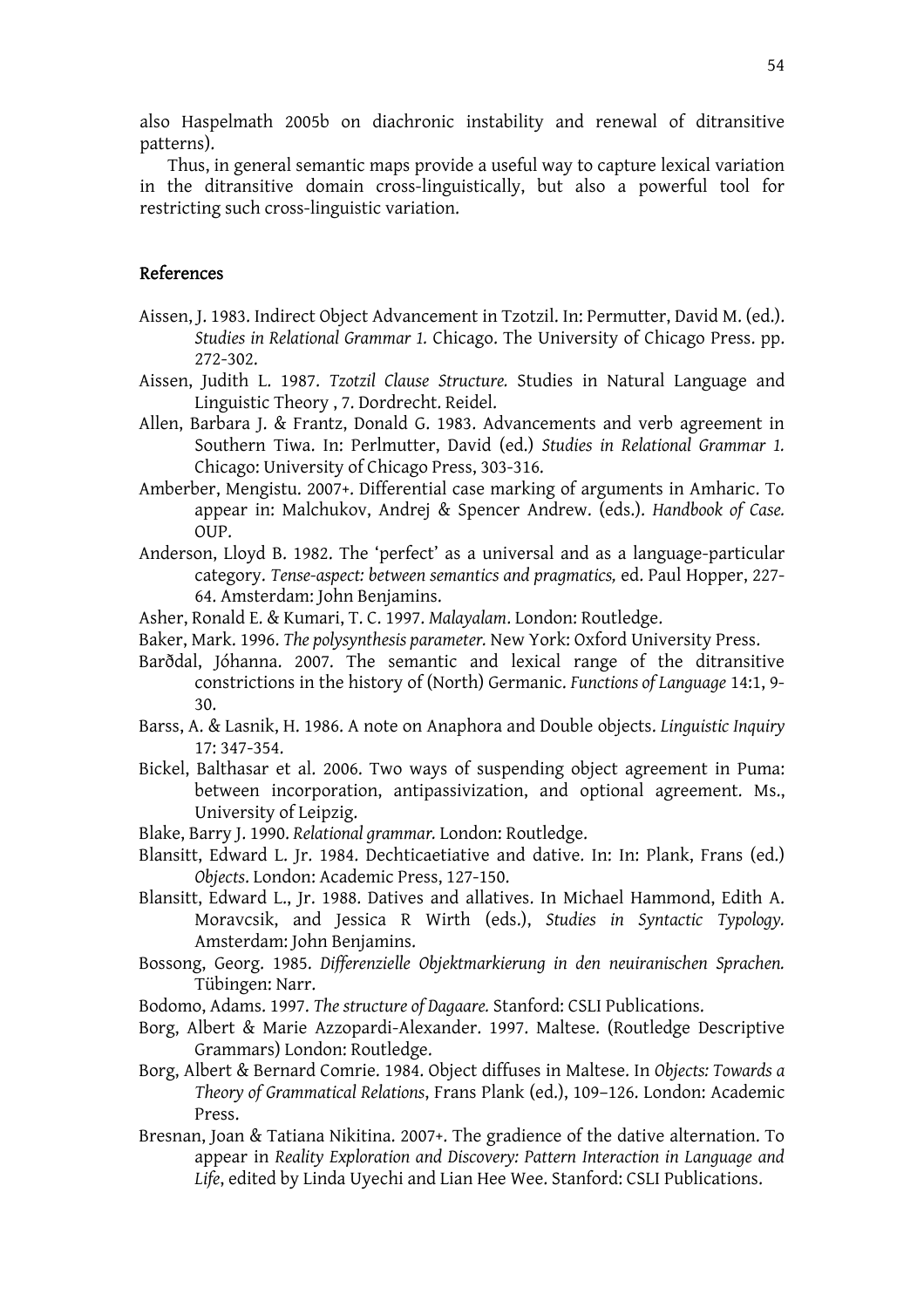also Haspelmath 2005b on diachronic instability and renewal of ditransitive patterns).

 Thus, in general semantic maps provide a useful way to capture lexical variation in the ditransitive domain cross-linguistically, but also a powerful tool for restricting such cross-linguistic variation.

### References

- Aissen, J. 1983. Indirect Object Advancement in Tzotzil. In: Permutter, David M. (ed.). *Studies in Relational Grammar 1.* Chicago. The University of Chicago Press. pp. 272-302.
- Aissen, Judith L. 1987. *Tzotzil Clause Structure.* Studies in Natural Language and Linguistic Theory , 7. Dordrecht. Reidel.
- Allen, Barbara J. & Frantz, Donald G. 1983. Advancements and verb agreement in Southern Tiwa. In: Perlmutter, David (ed.) *Studies in Relational Grammar 1.* Chicago: University of Chicago Press, 303-316.
- Amberber, Mengistu. 2007+. Differential case marking of arguments in Amharic. To appear in: Malchukov, Andrej & Spencer Andrew. (eds.). *Handbook of Case.*  OUP.
- Anderson, Lloyd B. 1982. The 'perfect' as a universal and as a language-particular category. *Tense-aspect: between semantics and pragmatics,* ed. Paul Hopper, 227- 64. Amsterdam: John Benjamins.
- Asher, Ronald E. & Kumari, T. C. 1997. *Malayalam*. London: Routledge.
- Baker, Mark. 1996. *The polysynthesis parameter.* New York: Oxford University Press.
- Barðdal, Jóhanna. 2007. The semantic and lexical range of the ditransitive constrictions in the history of (North) Germanic. *Functions of Language* 14:1, 9- 30.
- Barss, A. & Lasnik, H. 1986. A note on Anaphora and Double objects. *Linguistic Inquiry*  17: 347-354.
- Bickel, Balthasar et al. 2006. Two ways of suspending object agreement in Puma: between incorporation, antipassivization, and optional agreement. Ms., University of Leipzig.
- Blake, Barry J. 1990. *Relational grammar.* London: Routledge.
- Blansitt, Edward L. Jr. 1984. Dechticaetiative and dative. In: In: Plank, Frans (ed.) *Objects*. London: Academic Press, 127-150.
- Blansitt, Edward L., Jr. 1988. Datives and allatives. In Michael Hammond, Edith A. Moravcsik, and Jessica R Wirth (eds.), *Studies in Syntactic Typology.* Amsterdam: John Benjamins.
- Bossong, Georg. 1985. *Differenzielle Objektmarkierung in den neuiranischen Sprachen.* Tübingen: Narr.
- Bodomo, Adams. 1997. *The structure of Dagaare.* Stanford: CSLI Publications.
- Borg, Albert & Marie Azzopardi-Alexander. 1997. Maltese. (Routledge Descriptive Grammars) London: Routledge.
- Borg, Albert & Bernard Comrie. 1984. Object diffuses in Maltese. In *Objects: Towards a Theory of Grammatical Relations*, Frans Plank (ed.), 109–126. London: Academic Press.
- Bresnan, Joan & Tatiana Nikitina. 2007+. The gradience of the dative alternation. To appear in *Reality Exploration and Discovery: Pattern Interaction in Language and Life*, edited by Linda Uyechi and Lian Hee Wee. Stanford: CSLI Publications.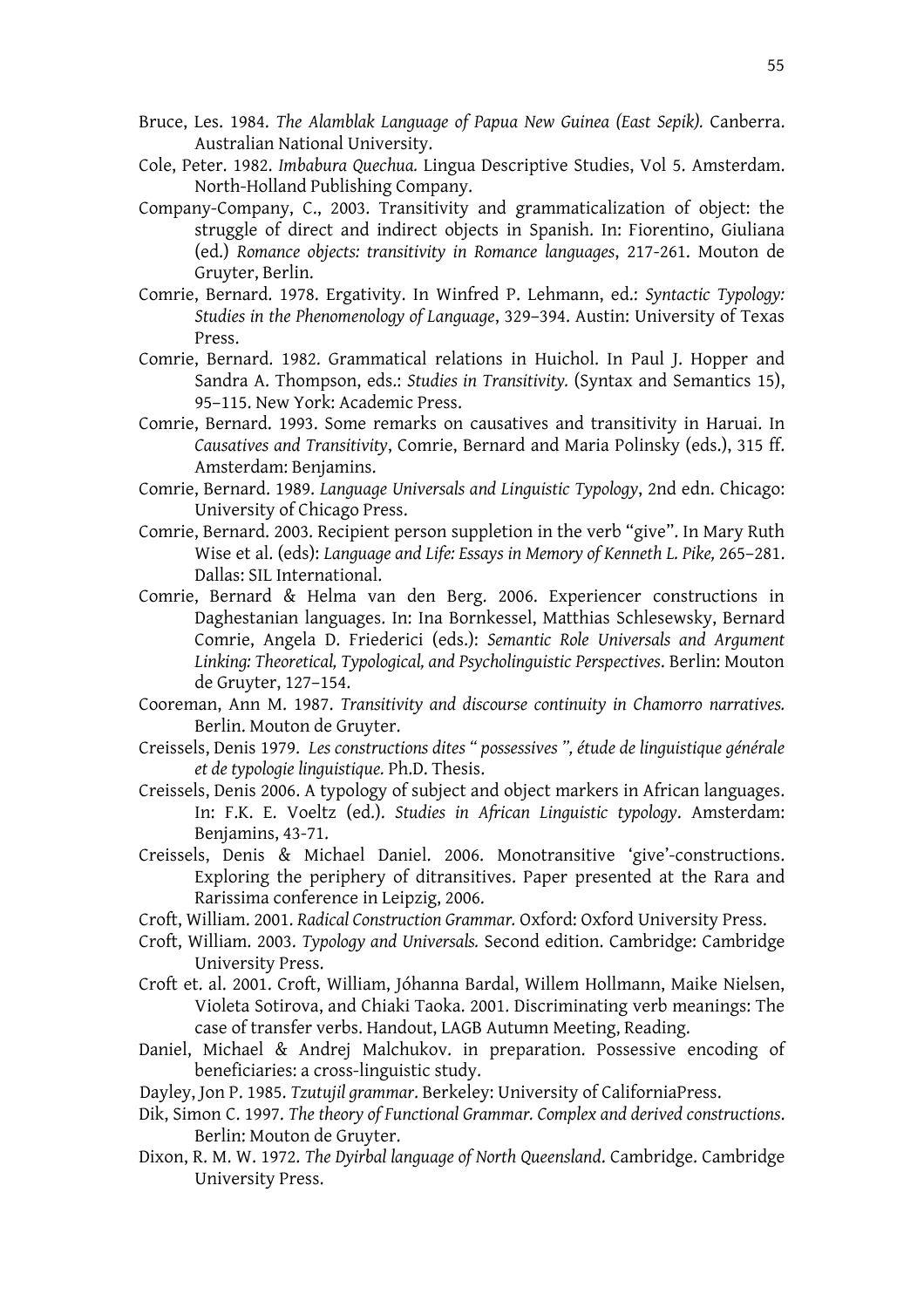- Bruce, Les. 1984. *The Alamblak Language of Papua New Guinea (East Sepik).* Canberra. Australian National University.
- Cole, Peter. 1982. *Imbabura Quechua.* Lingua Descriptive Studies, Vol 5. Amsterdam. North-Holland Publishing Company.
- Company-Company, C., 2003. Transitivity and grammaticalization of object: the struggle of direct and indirect objects in Spanish. In: Fiorentino, Giuliana (ed.) *Romance objects: transitivity in Romance languages*, 217-261. Mouton de Gruyter, Berlin.
- Comrie, Bernard. 1978. Ergativity. In Winfred P. Lehmann, ed.: *Syntactic Typology: Studies in the Phenomenology of Language*, 329–394. Austin: University of Texas Press.
- Comrie, Bernard. 1982. Grammatical relations in Huichol. In Paul J. Hopper and Sandra A. Thompson, eds.: *Studies in Transitivity.* (Syntax and Semantics 15), 95–115. New York: Academic Press.
- Comrie, Bernard. 1993. Some remarks on causatives and transitivity in Haruai. In *Causatives and Transitivity*, Comrie, Bernard and Maria Polinsky (eds.), 315 ff. Amsterdam: Benjamins.
- Comrie, Bernard. 1989. *Language Universals and Linguistic Typology*, 2nd edn. Chicago: University of Chicago Press.
- Comrie, Bernard. 2003. Recipient person suppletion in the verb "give". In Mary Ruth Wise et al. (eds): *Language and Life: Essays in Memory of Kenneth L. Pike,* 265–281. Dallas: SIL International.
- Comrie, Bernard & Helma van den Berg. 2006. Experiencer constructions in Daghestanian languages. In: Ina Bornkessel, Matthias Schlesewsky, Bernard Comrie, Angela D. Friederici (eds.): *Semantic Role Universals and Argument Linking: Theoretical, Typological, and Psycholinguistic Perspectives*. Berlin: Mouton de Gruyter, 127–154.
- Cooreman, Ann M. 1987. *Transitivity and discourse continuity in Chamorro narratives.* Berlin. Mouton de Gruyter.
- Creissels, Denis 1979. *Les constructions dites " possessives ", étude de linguistique générale et de typologie linguistique.* Ph.D. Thesis.
- Creissels, Denis 2006. A typology of subject and object markers in African languages. In: F.K. E. Voeltz (ed.). *Studies in African Linguistic typology*. Amsterdam: Benjamins, 43-71.
- Creissels, Denis & Michael Daniel. 2006. Monotransitive 'give'-constructions. Exploring the periphery of ditransitives. Paper presented at the Rara and Rarissima conference in Leipzig, 2006.
- Croft, William. 2001. *Radical Construction Grammar.* Oxford: Oxford University Press.
- Croft, William. 2003. *Typology and Universals.* Second edition. Cambridge: Cambridge University Press.
- Croft et. al. 2001. Croft, William, Jóhanna Bardal, Willem Hollmann, Maike Nielsen, Violeta Sotirova, and Chiaki Taoka. 2001. Discriminating verb meanings: The case of transfer verbs. Handout, LAGB Autumn Meeting, Reading.
- Daniel, Michael & Andrej Malchukov. in preparation. Possessive encoding of beneficiaries: a cross-linguistic study.
- Dayley, Jon P. 1985. *Tzutujil grammar*. Berkeley: University of CaliforniaPress.
- Dik, Simon C. 1997. *The theory of Functional Grammar. Complex and derived constructions*. Berlin: Mouton de Gruyter.
- Dixon, R. M. W. 1972. *The Dyirbal language of North Queensland*. Cambridge. Cambridge University Press.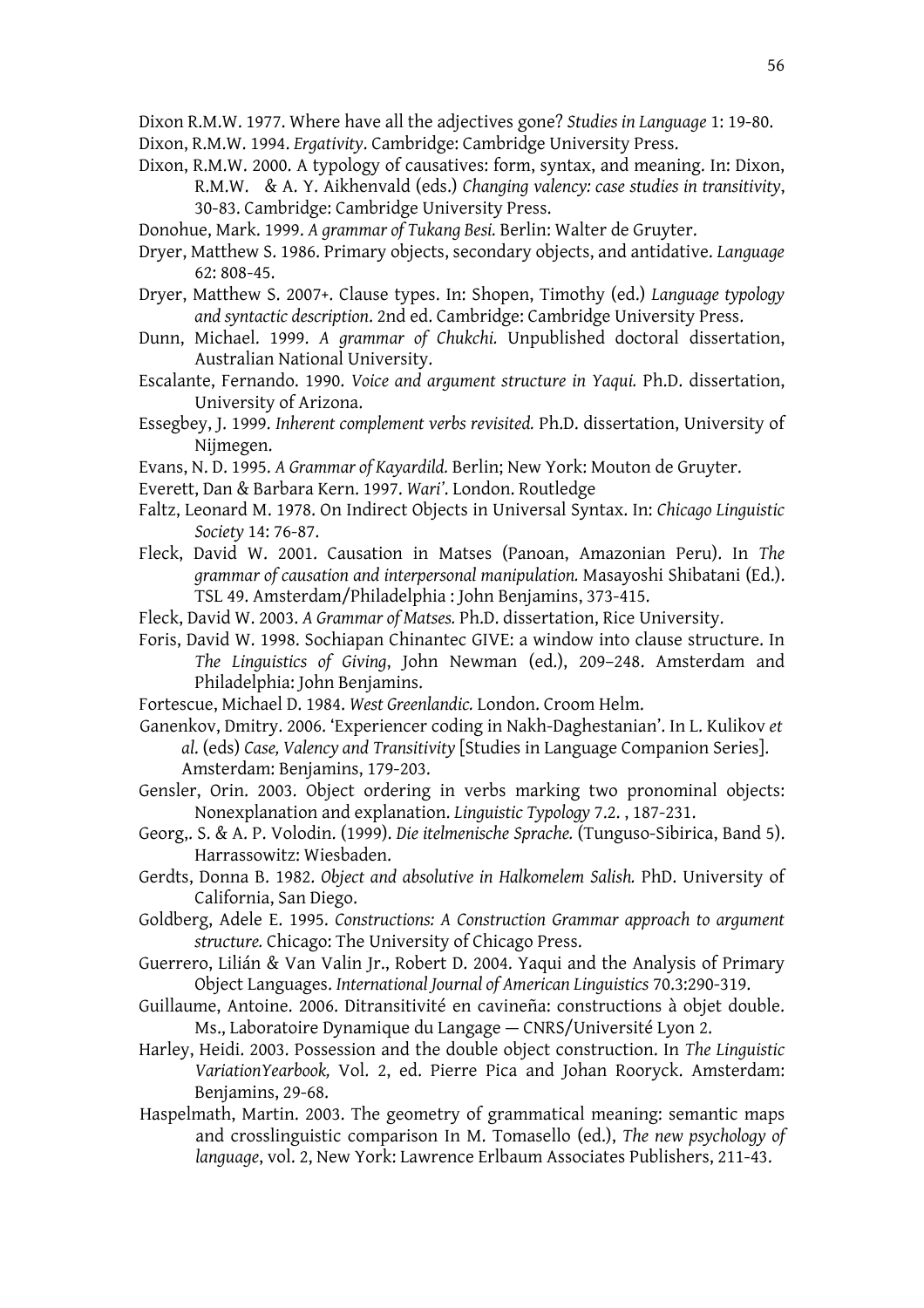- Dixon R.M.W. 1977. Where have all the adjectives gone? *Studies in Language* 1: 19-80. Dixon, R.M.W. 1994. *Ergativity*. Cambridge: Cambridge University Press.
- Dixon, R.M.W. 2000. A typology of causatives: form, syntax, and meaning. In: Dixon, R.M.W. & A. Y. Aikhenvald (eds.) *Changing valency: case studies in transitivity*, 30-83. Cambridge: Cambridge University Press.
- Donohue, Mark. 1999. *A grammar of Tukang Besi.* Berlin: Walter de Gruyter.
- Dryer, Matthew S. 1986. Primary objects, secondary objects, and antidative. *Language* 62: 808-45.
- Dryer, Matthew S. 2007+. Clause types. In: Shopen, Timothy (ed.) *Language typology and syntactic description*. 2nd ed. Cambridge: Cambridge University Press.
- Dunn, Michael. 1999. *A grammar of Chukchi.* Unpublished doctoral dissertation, Australian National University.
- Escalante, Fernando. 1990. *Voice and argument structure in Yaqui.* Ph.D. dissertation, University of Arizona.
- Essegbey, J. 1999. *Inherent complement verbs revisited.* Ph.D. dissertation, University of Nijmegen.
- Evans, N. D. 1995. *A Grammar of Kayardild.* Berlin; New York: Mouton de Gruyter.
- Everett, Dan & Barbara Kern. 1997. *Wari'*. London. Routledge
- Faltz, Leonard M. 1978. On Indirect Objects in Universal Syntax. In: *Chicago Linguistic Society* 14: 76-87.
- Fleck, David W. 2001. Causation in Matses (Panoan, Amazonian Peru). In *The grammar of causation and interpersonal manipulation.* Masayoshi Shibatani (Ed.). TSL 49. Amsterdam/Philadelphia : John Benjamins, 373-415.
- Fleck, David W. 2003. *A Grammar of Matses.* Ph.D. dissertation, Rice University.
- Foris, David W. 1998. Sochiapan Chinantec GIVE: a window into clause structure. In *The Linguistics of Giving*, John Newman (ed.), 209–248. Amsterdam and Philadelphia: John Benjamins.
- Fortescue, Michael D. 1984. *West Greenlandic.* London. Croom Helm.
- Ganenkov, Dmitry. 2006. 'Experiencer coding in Nakh-Daghestanian'. In L. Kulikov *et al*. (eds) *Case, Valency and Transitivity* [Studies in Language Companion Series]. Amsterdam: Benjamins, 179-203.
- Gensler, Orin. 2003. Object ordering in verbs marking two pronominal objects: Nonexplanation and explanation. *Linguistic Typology* 7.2. , 187-231.
- Georg,. S. & A. P. Volodin. (1999). *Die itelmenische Sprache.* (Tunguso-Sibirica, Band 5). Harrassowitz: Wiesbaden.
- Gerdts, Donna B. 1982. *Object and absolutive in Halkomelem Salish.* PhD. University of California, San Diego.
- Goldberg, Adele E. 1995. *Constructions: A Construction Grammar approach to argument structure.* Chicago: The University of Chicago Press.
- Guerrero, Lilián & Van Valin Jr., Robert D. 2004. Yaqui and the Analysis of Primary Object Languages. *International Journal of American Linguistics* 70.3:290-319.
- Guillaume, Antoine. 2006. Ditransitivité en cavineña: constructions à objet double. Ms., Laboratoire Dynamique du Langage — CNRS/Université Lyon 2.
- Harley, Heidi. 2003. Possession and the double object construction. In *The Linguistic VariationYearbook,* Vol. 2, ed. Pierre Pica and Johan Rooryck. Amsterdam: Benjamins, 29-68.
- Haspelmath, Martin. 2003. The geometry of grammatical meaning: semantic maps and crosslinguistic comparison In M. Tomasello (ed.), *The new psychology of language*, vol. 2, New York: Lawrence Erlbaum Associates Publishers, 211-43.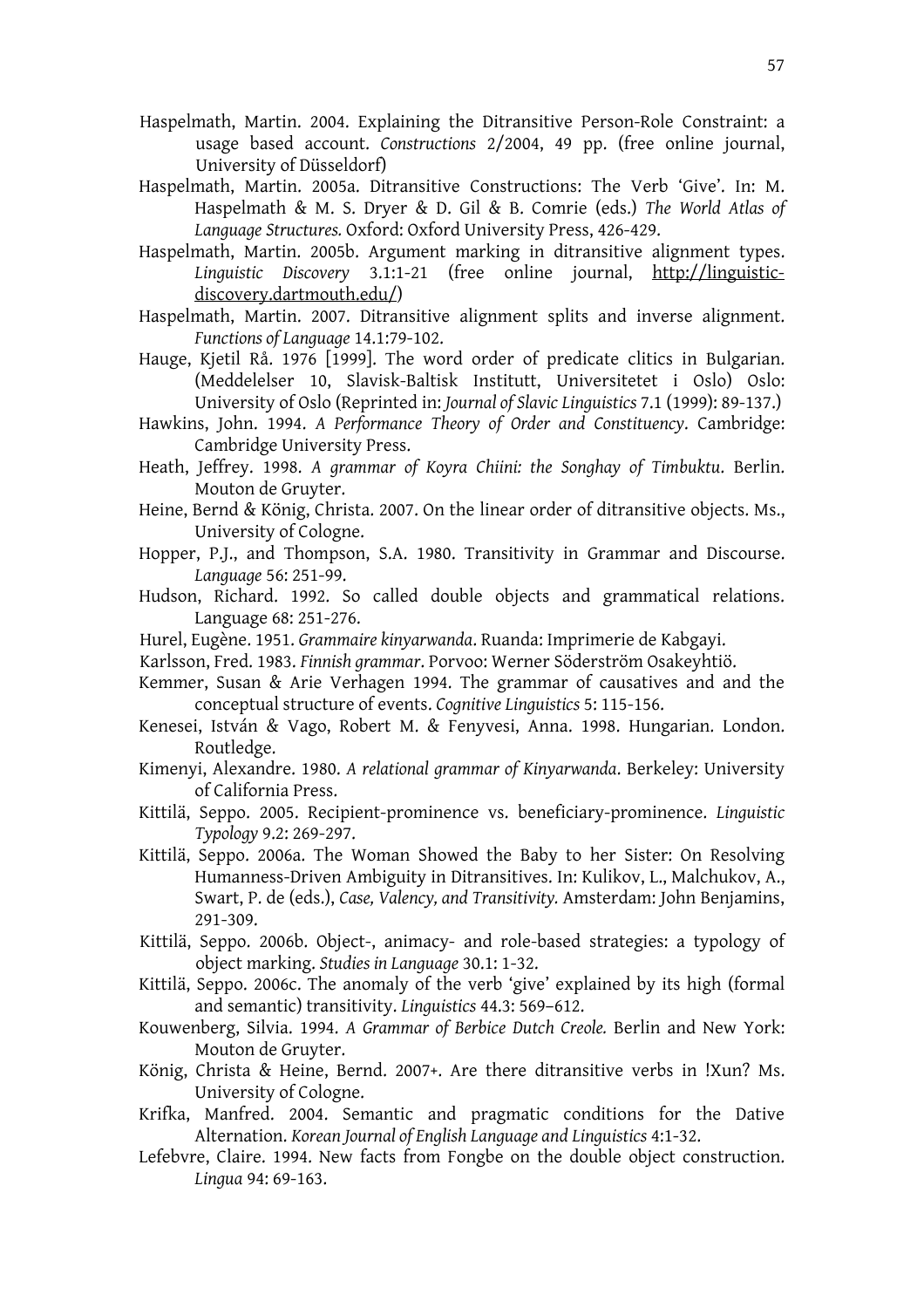- Haspelmath, Martin. 2004. Explaining the Ditransitive Person-Role Constraint: a usage based account. *Constructions* 2/2004, 49 pp. (free online journal, University of Düsseldorf)
- Haspelmath, Martin. 2005a. Ditransitive Constructions: The Verb 'Give'. In: M. Haspelmath & M. S. Dryer & D. Gil & B. Comrie (eds.) *The World Atlas of Language Structures.* Oxford: Oxford University Press, 426-429.
- Haspelmath, Martin. 2005b. Argument marking in ditransitive alignment types. *Linguistic Discovery* 3.1:1-21 (free online journal, http://linguisticdiscovery.dartmouth.edu/)
- Haspelmath, Martin. 2007. Ditransitive alignment splits and inverse alignment. *Functions of Language* 14.1:79-102.
- Hauge, Kjetil Rå. 1976 [1999]. The word order of predicate clitics in Bulgarian. (Meddelelser 10, Slavisk-Baltisk Institutt, Universitetet i Oslo) Oslo: University of Oslo (Reprinted in: *Journal of Slavic Linguistics* 7.1 (1999): 89-137.)
- Hawkins, John. 1994. *A Performance Theory of Order and Constituency*. Cambridge: Cambridge University Press.
- Heath, Jeffrey. 1998. *A grammar of Koyra Chiini: the Songhay of Timbuktu*. Berlin. Mouton de Gruyter.
- Heine, Bernd & König, Christa. 2007. On the linear order of ditransitive objects. Ms., University of Cologne.
- Hopper, P.J., and Thompson, S.A. 1980. Transitivity in Grammar and Discourse. *Language* 56: 251-99.
- Hudson, Richard. 1992. So called double objects and grammatical relations. Language 68: 251-276.
- Hurel, Eugène. 1951. *Grammaire kinyarwanda*. Ruanda: Imprimerie de Kabgayi.
- Karlsson, Fred. 1983. *Finnish grammar*. Porvoo: Werner Söderström Osakeyhtiö.
- Kemmer, Susan & Arie Verhagen 1994. The grammar of causatives and and the conceptual structure of events. *Cognitive Linguistics* 5: 115-156.
- Kenesei, István & Vago, Robert M. & Fenyvesi, Anna. 1998. Hungarian. London. Routledge.
- Kimenyi, Alexandre. 1980. *A relational grammar of Kinyarwanda*. Berkeley: University of California Press.
- Kittilä, Seppo. 2005. Recipient-prominence vs. beneficiary-prominence. *Linguistic Typology* 9.2: 269-297.
- Kittilä, Seppo. 2006a. The Woman Showed the Baby to her Sister: On Resolving Humanness-Driven Ambiguity in Ditransitives. In: Kulikov, L., Malchukov, A., Swart, P. de (eds.), *Case, Valency, and Transitivity.* Amsterdam: John Benjamins, 291-309.
- Kittilä, Seppo. 2006b. Object-, animacy- and role-based strategies: a typology of object marking. *Studies in Language* 30.1: 1-32.
- Kittilä, Seppo. 2006c. The anomaly of the verb 'give' explained by its high (formal and semantic) transitivity. *Linguistics* 44.3: 569–612.
- Kouwenberg, Silvia. 1994. *A Grammar of Berbice Dutch Creole.* Berlin and New York: Mouton de Gruyter.
- König, Christa & Heine, Bernd. 2007+. Are there ditransitive verbs in !Xun? Ms. University of Cologne.
- Krifka, Manfred. 2004. Semantic and pragmatic conditions for the Dative Alternation. *Korean Journal of English Language and Linguistics* 4:1-32.
- Lefebvre, Claire. 1994. New facts from Fongbe on the double object construction. *Lingua* 94: 69-163.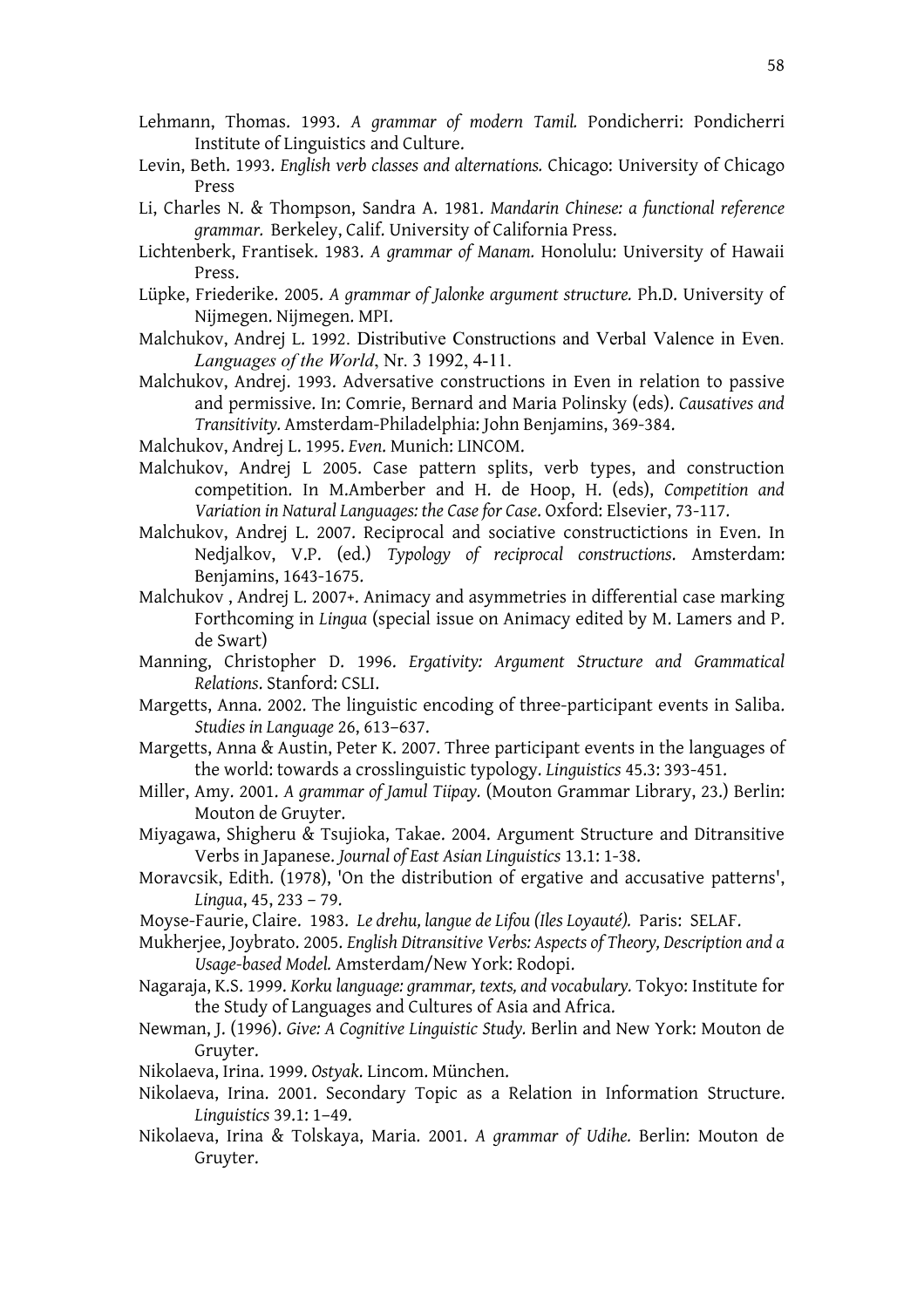- Lehmann, Thomas. 1993. *A grammar of modern Tamil.* Pondicherri: Pondicherri Institute of Linguistics and Culture.
- Levin, Beth. 1993. *English verb classes and alternations.* Chicago: University of Chicago Press
- Li, Charles N. & Thompson, Sandra A. 1981. *Mandarin Chinese: a functional reference grammar.* Berkeley, Calif. University of California Press.
- Lichtenberk, Frantisek. 1983. *A grammar of Manam.* Honolulu: University of Hawaii Press.
- Lüpke, Friederike. 2005. *A grammar of Jalonke argument structure.* Ph.D. University of Nijmegen. Nijmegen. MPI.
- Malchukov, Andrej L. 1992. Distributive Constructions and Verbal Valence in Even. *Languages of the World*, Nr. 3 1992, 4-11.
- Malchukov, Andrej. 1993. Adversative constructions in Even in relation to passive and permissive. In: Comrie, Bernard and Maria Polinsky (eds). *Causatives and Transitivity.* Amsterdam-Philadelphia: John Benjamins, 369-384.
- Malchukov, Andrej L. 1995. *Even*. Munich: LINCOM.
- Malchukov, Andrej L 2005. Case pattern splits, verb types, and construction competition. In M.Amberber and H. de Hoop, H. (eds), *Competition and Variation in Natural Languages: the Case for Case*. Oxford: Elsevier, 73-117.
- Malchukov, Andrej L. 2007. Reciprocal and sociative constructictions in Even. In Nedjalkov, V.P. (ed.) *Typology of reciprocal constructions*. Amsterdam: Benjamins, 1643-1675.
- Malchukov , Andrej L. 2007+. Animacy and asymmetries in differential case marking Forthcoming in *Lingua* (special issue on Animacy edited by M. Lamers and P. de Swart)
- Manning, Christopher D. 1996. *Ergativity: Argument Structure and Grammatical Relations*. Stanford: CSLI.
- Margetts, Anna. 2002. The linguistic encoding of three-participant events in Saliba. *Studies in Language* 26, 613–637.
- Margetts, Anna & Austin, Peter K. 2007. Three participant events in the languages of the world: towards a crosslinguistic typology. *Linguistics* 45.3: 393-451.
- Miller, Amy. 2001. *A grammar of Jamul Tiipay.* (Mouton Grammar Library, 23.) Berlin: Mouton de Gruyter.
- Miyagawa, Shigheru & Tsujioka, Takae. 2004. Argument Structure and Ditransitive Verbs in Japanese. *Journal of East Asian Linguistics* 13.1: 1-38.
- Moravcsik, Edith. (1978), 'On the distribution of ergative and accusative patterns', *Lingua*, 45, 233 – 79.
- Moyse-Faurie, Claire. 1983. *Le drehu, langue de Lifou (Iles Loyauté).* Paris: SELAF.
- Mukherjee, Joybrato. 2005. *English Ditransitive Verbs: Aspects of Theory, Description and a Usage-based Model.* Amsterdam/New York: Rodopi.
- Nagaraja, K.S. 1999. *Korku language: grammar, texts, and vocabulary.* Tokyo: Institute for the Study of Languages and Cultures of Asia and Africa.
- Newman, J. (1996). *Give: A Cognitive Linguistic Study.* Berlin and New York: Mouton de Gruyter.
- Nikolaeva, Irina. 1999. *Ostyak*. Lincom. München.
- Nikolaeva, Irina. 2001. Secondary Topic as a Relation in Information Structure. *Linguistics* 39.1: 1–49.
- Nikolaeva, Irina & Tolskaya, Maria. 2001. *A grammar of Udihe.* Berlin: Mouton de Gruyter.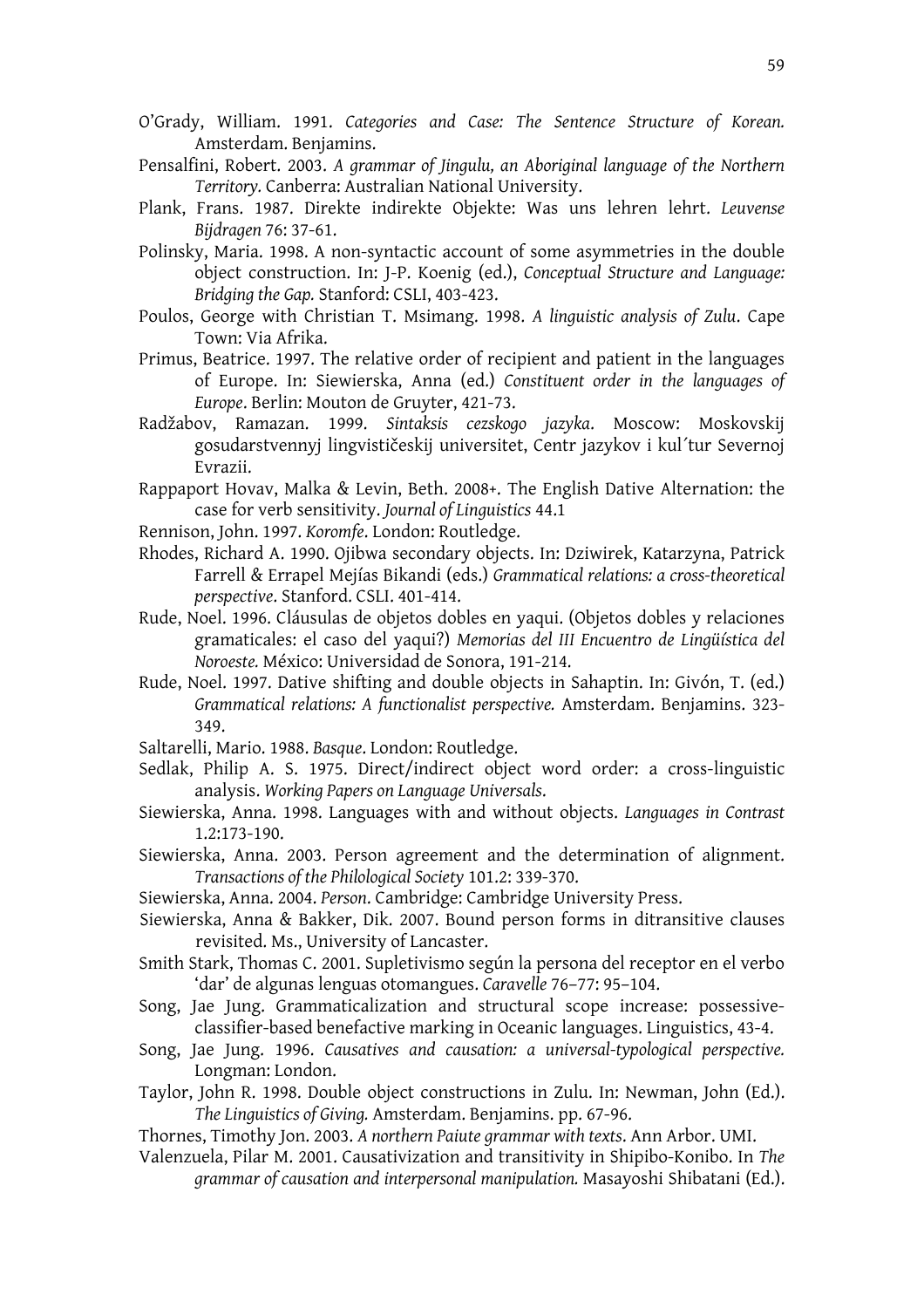- O'Grady, William. 1991. *Categories and Case: The Sentence Structure of Korean.* Amsterdam. Benjamins.
- Pensalfini, Robert. 2003. *A grammar of Jingulu, an Aboriginal language of the Northern Territory.* Canberra: Australian National University.
- Plank, Frans. 1987. Direkte indirekte Objekte: Was uns lehren lehrt. *Leuvense Bijdragen* 76: 37-61.
- Polinsky, Maria. 1998. A non-syntactic account of some asymmetries in the double object construction. In: J-P. Koenig (ed.), *Conceptual Structure and Language: Bridging the Gap.* Stanford: CSLI, 403-423.
- Poulos, George with Christian T. Msimang. 1998. *A linguistic analysis of Zulu*. Cape Town: Via Afrika.
- Primus, Beatrice. 1997. The relative order of recipient and patient in the languages of Europe. In: Siewierska, Anna (ed.) *Constituent order in the languages of Europe*. Berlin: Mouton de Gruyter, 421-73.
- Radžabov, Ramazan. 1999. *Sintaksis cezskogo jazyka*. Moscow: Moskovskij gosudarstvennyj lingvističeskij universitet, Centr jazykov i kul'tur Severnoj Evrazii.
- Rappaport Hovav, Malka & Levin, Beth. 2008+. The English Dative Alternation: the case for verb sensitivity. *Journal of Linguistics* 44.1
- Rennison, John. 1997. *Koromfe*. London: Routledge.
- Rhodes, Richard A. 1990. Ojibwa secondary objects. In: Dziwirek, Katarzyna, Patrick Farrell & Errapel Mejías Bikandi (eds.) *Grammatical relations: a cross-theoretical perspective*. Stanford. CSLI. 401-414.
- Rude, Noel. 1996. Cláusulas de objetos dobles en yaqui. (Objetos dobles y relaciones gramaticales: el caso del yaqui?) *Memorias del III Encuentro de Lingüística del Noroeste.* México: Universidad de Sonora, 191-214.
- Rude, Noel. 1997. Dative shifting and double objects in Sahaptin. In: Givón, T. (ed.) *Grammatical relations: A functionalist perspective.* Amsterdam. Benjamins. 323- 349.
- Saltarelli, Mario. 1988. *Basque*. London: Routledge.
- Sedlak, Philip A. S. 1975. Direct/indirect object word order: a cross-linguistic analysis. *Working Papers on Language Universals*.
- Siewierska, Anna. 1998. Languages with and without objects. *Languages in Contrast* 1.2:173-190.
- Siewierska, Anna. 2003. Person agreement and the determination of alignment. *Transactions of the Philological Society* 101.2: 339-370.
- Siewierska, Anna. 2004. *Person*. Cambridge: Cambridge University Press.
- Siewierska, Anna & Bakker, Dik. 2007. Bound person forms in ditransitive clauses revisited. Ms., University of Lancaster.
- Smith Stark, Thomas C. 2001. Supletivismo según la persona del receptor en el verbo 'dar' de algunas lenguas otomangues. *Caravelle* 76–77: 95–104.
- Song, Jae Jung. Grammaticalization and structural scope increase: possessiveclassifier-based benefactive marking in Oceanic languages. Linguistics, 43-4.
- Song, Jae Jung. 1996. *Causatives and causation: a universal-typological perspective.* Longman: London.
- Taylor, John R. 1998. Double object constructions in Zulu. In: Newman, John (Ed.). *The Linguistics of Giving.* Amsterdam. Benjamins. pp. 67-96.
- Thornes, Timothy Jon. 2003. *A northern Paiute grammar with texts*. Ann Arbor. UMI.
- Valenzuela, Pilar M. 2001. Causativization and transitivity in Shipibo-Konibo. In *The grammar of causation and interpersonal manipulation.* Masayoshi Shibatani (Ed.).